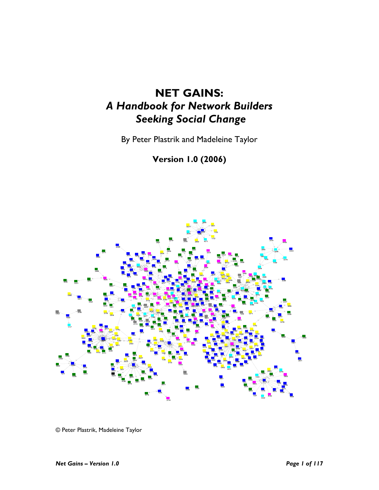# NET GAINS: A Handbook for Network Builders Seeking Social Change

By Peter Plastrik and Madeleine Taylor

Version 1.0 (2006)



© Peter Plastrik, Madeleine Taylor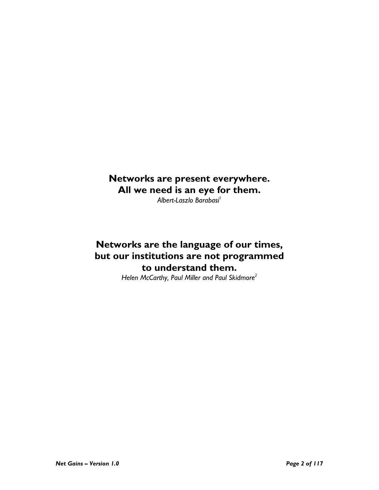## Networks are present everywhere. All we need is an eye for them.

Albert-Laszlo Barabasi<sup>1</sup>

## Networks are the language of our times, but our institutions are not programmed to understand them.

Helen McCarthy, Paul Miller and Paul Skidmore<sup>2</sup>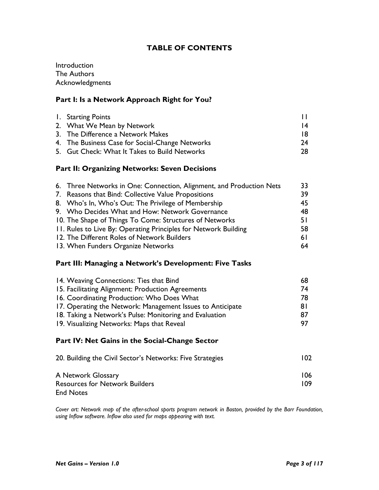## TABLE OF CONTENTS

Introduction The Authors **Acknowledgments** 

## Part I: Is a Network Approach Right for You?

| 1. Starting Points                              |     |
|-------------------------------------------------|-----|
| 2. What We Mean by Network                      | 14  |
| 3. The Difference a Network Makes               | 18. |
| 4. The Business Case for Social-Change Networks | 24  |
| 5. Gut Check: What It Takes to Build Networks   | 28. |

#### Part II: Organizing Networks: Seven Decisions

| 6. Three Networks in One: Connection, Alignment, and Production Nets | 33  |
|----------------------------------------------------------------------|-----|
| 7. Reasons that Bind: Collective Value Propositions                  | 39  |
| 8. Who's In, Who's Out: The Privilege of Membership                  | 45  |
| 9. Who Decides What and How: Network Governance                      | 48  |
| 10. The Shape of Things To Come: Structures of Networks              | 51  |
| 11. Rules to Live By: Operating Principles for Network Building      | 58  |
| 12. The Different Roles of Network Builders                          | 6 I |
| 13. When Funders Organize Networks                                   | 64  |

#### Part III: Managing a Network's Development: Five Tasks

| 14. Weaving Connections: Ties that Bind                    | 68 |
|------------------------------------------------------------|----|
| 15. Facilitating Alignment: Production Agreements          | 74 |
| 16. Coordinating Production: Who Does What                 | 78 |
| 17. Operating the Network: Management Issues to Anticipate | 81 |
| 18. Taking a Network's Pulse: Monitoring and Evaluation    | 87 |
| 19. Visualizing Networks: Maps that Reveal                 | 97 |

#### Part IV: Net Gains in the Social-Change Sector

| 20. Building the Civil Sector's Networks: Five Strategies | 102. |
|-----------------------------------------------------------|------|
| A Network Glossary                                        | 106  |
| <b>Resources for Network Builders</b>                     | 109  |
| <b>End Notes</b>                                          |      |

Cover art: Network map of the after-school sports program network in Boston, provided by the Barr Foundation, using Inflow software. Inflow also used for maps appearing with text.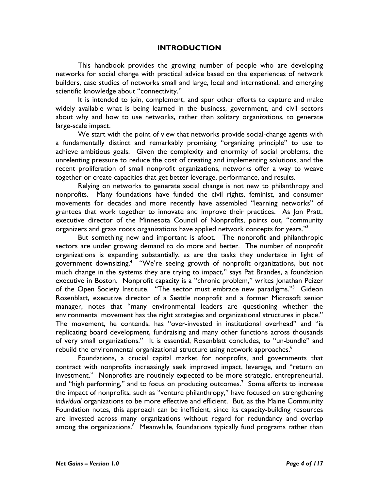#### INTRODUCTION

This handbook provides the growing number of people who are developing networks for social change with practical advice based on the experiences of network builders, case studies of networks small and large, local and international, and emerging scientific knowledge about "connectivity."

It is intended to join, complement, and spur other efforts to capture and make widely available what is being learned in the business, government, and civil sectors about why and how to use networks, rather than solitary organizations, to generate large-scale impact.

We start with the point of view that networks provide social-change agents with a fundamentally distinct and remarkably promising "organizing principle" to use to achieve ambitious goals. Given the complexity and enormity of social problems, the unrelenting pressure to reduce the cost of creating and implementing solutions, and the recent proliferation of small nonprofit organizations, networks offer a way to weave together or create capacities that get better leverage, performance, and results.

Relying on networks to generate social change is not new to philanthropy and nonprofits. Many foundations have funded the civil rights, feminist, and consumer movements for decades and more recently have assembled "learning networks" of grantees that work together to innovate and improve their practices. As Jon Pratt, executive director of the Minnesota Council of Nonprofits, points out, "community organizers and grass roots organizations have applied network concepts for years."<sup>3</sup>

But something new and important is afoot. The nonprofit and philanthropic sectors are under growing demand to do more and better. The number of nonprofit organizations is expanding substantially, as are the tasks they undertake in light of government downsizing.<sup>4</sup> "We're seeing growth of nonprofit organizations, but not much change in the systems they are trying to impact," says Pat Brandes, a foundation executive in Boston. Nonprofit capacity is a "chronic problem," writes Jonathan Peizer of the Open Society Institute. "The sector must embrace new paradigms."<sup>5</sup> Gideon Rosenblatt, executive director of a Seattle nonprofit and a former Microsoft senior manager, notes that "many environmental leaders are questioning whether the environmental movement has the right strategies and organizational structures in place." The movement, he contends, has "over-invested in institutional overhead" and "is replicating board development, fundraising and many other functions across thousands of very small organizations." It is essential, Rosenblatt concludes, to "un-bundle" and rebuild the environmental organizational structure using network approaches.<sup>6</sup>

Foundations, a crucial capital market for nonprofits, and governments that contract with nonprofits increasingly seek improved impact, leverage, and "return on investment." Nonprofits are routinely expected to be more strategic, entrepreneurial, and "high performing," and to focus on producing outcomes.<sup>7</sup> Some efforts to increase the impact of nonprofits, such as "venture philanthropy," have focused on strengthening individual organizations to be more effective and efficient. But, as the Maine Community Foundation notes, this approach can be inefficient, since its capacity-building resources are invested across many organizations without regard for redundancy and overlap among the organizations.<sup>8</sup> Meanwhile, foundations typically fund programs rather than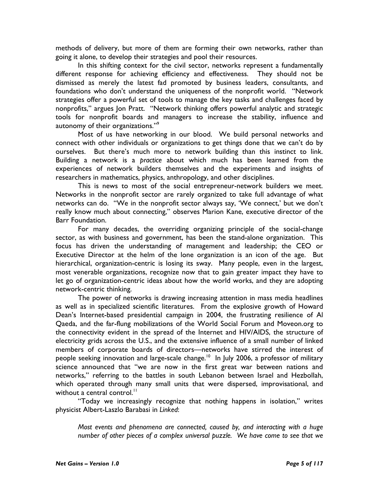methods of delivery, but more of them are forming their own networks, rather than going it alone, to develop their strategies and pool their resources.

 In this shifting context for the civil sector, networks represent a fundamentally different response for achieving efficiency and effectiveness. They should not be dismissed as merely the latest fad promoted by business leaders, consultants, and foundations who don't understand the uniqueness of the nonprofit world. "Network strategies offer a powerful set of tools to manage the key tasks and challenges faced by nonprofits," argues Jon Pratt. "Network thinking offers powerful analytic and strategic tools for nonprofit boards and managers to increase the stability, influence and autonomy of their organizations."<sup>9</sup>

Most of us have networking in our blood. We build personal networks and connect with other individuals or organizations to get things done that we can't do by ourselves. But there's much more to network building than this instinct to link. Building a network is a practice about which much has been learned from the experiences of network builders themselves and the experiments and insights of researchers in mathematics, physics, anthropology, and other disciplines.

This is news to most of the social entrepreneur-network builders we meet. Networks in the nonprofit sector are rarely organized to take full advantage of what networks can do. "We in the nonprofit sector always say, 'We connect,' but we don't really know much about connecting," observes Marion Kane, executive director of the Barr Foundation.

For many decades, the overriding organizing principle of the social-change sector, as with business and government, has been the stand-alone organization. This focus has driven the understanding of management and leadership; the CEO or Executive Director at the helm of the lone organization is an icon of the age. But hierarchical, organization-centric is losing its sway. Many people, even in the largest, most venerable organizations, recognize now that to gain greater impact they have to let go of organization-centric ideas about how the world works, and they are adopting network-centric thinking.

The power of networks is drawing increasing attention in mass media headlines as well as in specialized scientific literatures. From the explosive growth of Howard Dean's Internet-based presidential campaign in 2004, the frustrating resilience of Al Qaeda, and the far-flung mobilizations of the World Social Forum and Moveon.org to the connectivity evident in the spread of the Internet and HIV/AIDS, the structure of electricity grids across the U.S., and the extensive influence of a small number of linked members of corporate boards of directors—networks have stirred the interest of people seeking innovation and large-scale change.<sup>10</sup> In July 2006, a professor of military science announced that "we are now in the first great war between nations and networks," referring to the battles in south Lebanon between Israel and Hezbollah, which operated through many small units that were dispersed, improvisational, and without a central control.<sup>11</sup>

"Today we increasingly recognize that nothing happens in isolation," writes physicist Albert-Laszlo Barabasi in Linked:

Most events and phenomena are connected, caused by, and interacting with a huge number of other pieces of a complex universal puzzle. We have come to see that we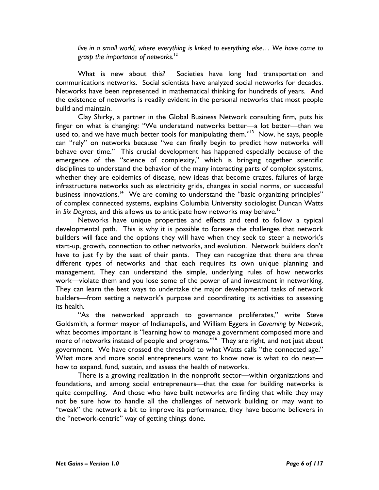live in a small world, where everything is linked to everything else… We have come to grasp the importance of networks. $12$ 

What is new about this? Societies have long had transportation and communications networks. Social scientists have analyzed social networks for decades. Networks have been represented in mathematical thinking for hundreds of years. And the existence of networks is readily evident in the personal networks that most people build and maintain.

Clay Shirky, a partner in the Global Business Network consulting firm, puts his finger on what is changing: "We understand networks better—a lot better—than we used to, and we have much better tools for manipulating them."<sup>13</sup> Now, he says, people can "rely" on networks because "we can finally begin to predict how networks will behave over time." This crucial development has happened especially because of the emergence of the "science of complexity," which is bringing together scientific disciplines to understand the behavior of the many interacting parts of complex systems, whether they are epidemics of disease, new ideas that become crazes, failures of large infrastructure networks such as electricity grids, changes in social norms, or successful business innovations.<sup>14</sup> We are coming to understand the "basic organizing principles" of complex connected systems, explains Columbia University sociologist Duncan Watts in Six Degrees, and this allows us to anticipate how networks may behave.<sup>15</sup>

Networks have unique properties and effects and tend to follow a typical developmental path. This is why it is possible to foresee the challenges that network builders will face and the options they will have when they seek to steer a network's start-up, growth, connection to other networks, and evolution. Network builders don't have to just fly by the seat of their pants. They can recognize that there are three different types of networks and that each requires its own unique planning and management. They can understand the simple, underlying rules of how networks work—violate them and you lose some of the power of and investment in networking. They can learn the best ways to undertake the major developmental tasks of network builders—from setting a network's purpose and coordinating its activities to assessing its health.

"As the networked approach to governance proliferates," write Steve Goldsmith, a former mayor of Indianapolis, and William Eggers in Governing by Network, what becomes important is "learning how to manage a government composed more and more of networks instead of people and programs."<sup>16</sup> They are right, and not just about government. We have crossed the threshold to what Watts calls "the connected age." What more and more social entrepreneurs want to know now is what to do next how to expand, fund, sustain, and assess the health of networks.

There is a growing realization in the nonprofit sector—within organizations and foundations, and among social entrepreneurs—that the case for building networks is quite compelling. And those who have built networks are finding that while they may not be sure how to handle all the challenges of network building or may want to "tweak" the network a bit to improve its performance, they have become believers in the "network-centric" way of getting things done.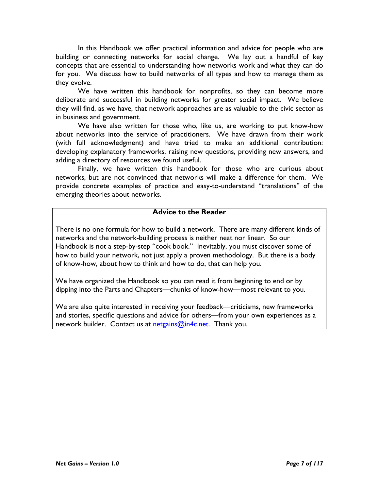In this Handbook we offer practical information and advice for people who are building or connecting networks for social change. We lay out a handful of key concepts that are essential to understanding how networks work and what they can do for you. We discuss how to build networks of all types and how to manage them as they evolve.

We have written this handbook for nonprofits, so they can become more deliberate and successful in building networks for greater social impact. We believe they will find, as we have, that network approaches are as valuable to the civic sector as in business and government.

We have also written for those who, like us, are working to put know-how about networks into the service of practitioners. We have drawn from their work (with full acknowledgment) and have tried to make an additional contribution: developing explanatory frameworks, raising new questions, providing new answers, and adding a directory of resources we found useful.

Finally, we have written this handbook for those who are curious about networks, but are not convinced that networks will make a difference for them. We provide concrete examples of practice and easy-to-understand "translations" of the emerging theories about networks.

#### Advice to the Reader

There is no one formula for how to build a network. There are many different kinds of networks and the network-building process is neither neat nor linear. So our Handbook is not a step-by-step "cook book." Inevitably, you must discover some of how to build your network, not just apply a proven methodology. But there is a body of know-how, about how to think and how to do, that can help you.

We have organized the Handbook so you can read it from beginning to end or by dipping into the Parts and Chapters—chunks of know-how—most relevant to you.

We are also quite interested in receiving your feedback—criticisms, new frameworks and stories, specific questions and advice for others—from your own experiences as a network builder. Contact us at netgains@in4c.net. Thank you.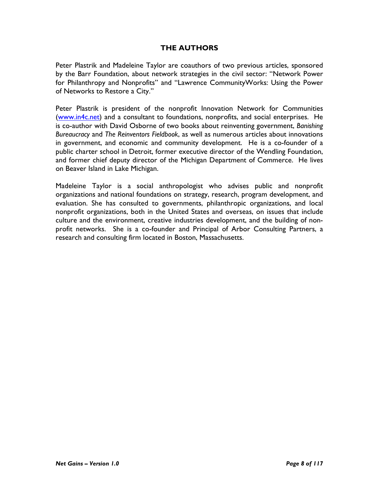## THE AUTHORS

Peter Plastrik and Madeleine Taylor are coauthors of two previous articles, sponsored by the Barr Foundation, about network strategies in the civil sector: "Network Power for Philanthropy and Nonprofits" and "Lawrence CommunityWorks: Using the Power of Networks to Restore a City."

Peter Plastrik is president of the nonprofit Innovation Network for Communities (www.in4c.net) and a consultant to foundations, nonprofits, and social enterprises. He is co-author with David Osborne of two books about reinventing government, Banishing Bureaucracy and The Reinventors Fieldbook, as well as numerous articles about innovations in government, and economic and community development. He is a co-founder of a public charter school in Detroit, former executive director of the Wendling Foundation, and former chief deputy director of the Michigan Department of Commerce. He lives on Beaver Island in Lake Michigan.

Madeleine Taylor is a social anthropologist who advises public and nonprofit organizations and national foundations on strategy, research, program development, and evaluation. She has consulted to governments, philanthropic organizations, and local nonprofit organizations, both in the United States and overseas, on issues that include culture and the environment, creative industries development, and the building of nonprofit networks. She is a co-founder and Principal of Arbor Consulting Partners, a research and consulting firm located in Boston, Massachusetts.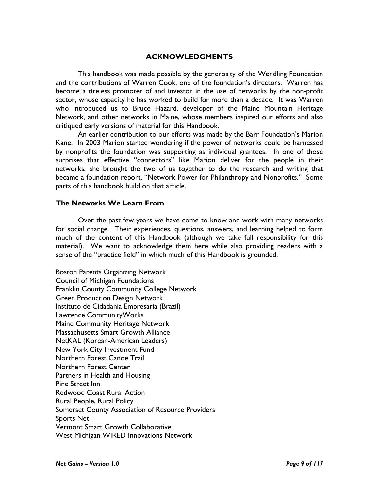#### ACKNOWLEDGMENTS

This handbook was made possible by the generosity of the Wendling Foundation and the contributions of Warren Cook, one of the foundation's directors. Warren has become a tireless promoter of and investor in the use of networks by the non-profit sector, whose capacity he has worked to build for more than a decade. It was Warren who introduced us to Bruce Hazard, developer of the Maine Mountain Heritage Network, and other networks in Maine, whose members inspired our efforts and also critiqued early versions of material for this Handbook.

An earlier contribution to our efforts was made by the Barr Foundation's Marion Kane. In 2003 Marion started wondering if the power of networks could be harnessed by nonprofits the foundation was supporting as individual grantees. In one of those surprises that effective "connectors" like Marion deliver for the people in their networks, she brought the two of us together to do the research and writing that became a foundation report, "Network Power for Philanthropy and Nonprofits." Some parts of this handbook build on that article.

#### The Networks We Learn From

Over the past few years we have come to know and work with many networks for social change. Their experiences, questions, answers, and learning helped to form much of the content of this Handbook (although we take full responsibility for this material). We want to acknowledge them here while also providing readers with a sense of the "practice field" in which much of this Handbook is grounded.

Boston Parents Organizing Network Council of Michigan Foundations Franklin County Community College Network Green Production Design Network Instituto de Cidadania Empresaria (Brazil) Lawrence CommunityWorks Maine Community Heritage Network Massachusetts Smart Growth Alliance NetKAL (Korean-American Leaders) New York City Investment Fund Northern Forest Canoe Trail Northern Forest Center Partners in Health and Housing Pine Street Inn Redwood Coast Rural Action Rural People, Rural Policy Somerset County Association of Resource Providers Sports Net Vermont Smart Growth Collaborative West Michigan WIRED Innovations Network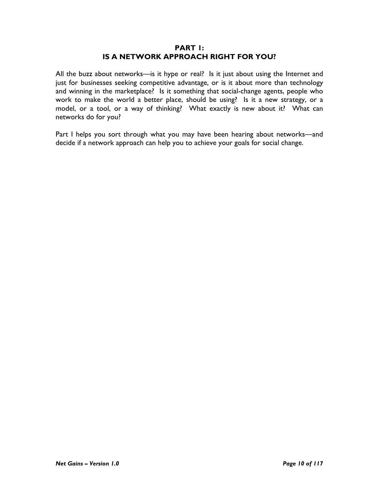#### PART 1: IS A NETWORK APPROACH RIGHT FOR YOU?

All the buzz about networks—is it hype or real? Is it just about using the Internet and just for businesses seeking competitive advantage, or is it about more than technology and winning in the marketplace? Is it something that social-change agents, people who work to make the world a better place, should be using? Is it a new strategy, or a model, or a tool, or a way of thinking? What exactly is new about it? What can networks do for you?

Part I helps you sort through what you may have been hearing about networks—and decide if a network approach can help you to achieve your goals for social change.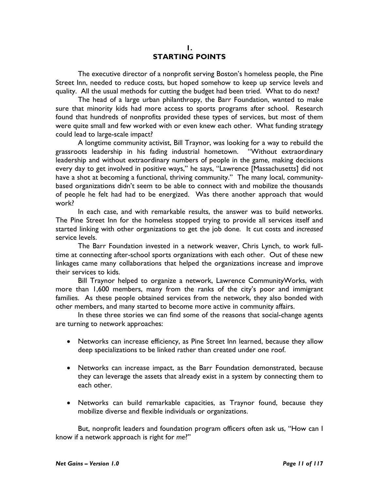#### 1. STARTING POINTS

The executive director of a nonprofit serving Boston's homeless people, the Pine Street Inn, needed to reduce costs, but hoped somehow to keep up service levels and quality. All the usual methods for cutting the budget had been tried. What to do next?

The head of a large urban philanthropy, the Barr Foundation, wanted to make sure that minority kids had more access to sports programs after school. Research found that hundreds of nonprofits provided these types of services, but most of them were quite small and few worked with or even knew each other. What funding strategy could lead to large-scale impact?

A longtime community activist, Bill Traynor, was looking for a way to rebuild the grassroots leadership in his fading industrial hometown. "Without extraordinary leadership and without extraordinary numbers of people in the game, making decisions every day to get involved in positive ways," he says, "Lawrence [Massachusetts] did not have a shot at becoming a functional, thriving community." The many local, communitybased organizations didn't seem to be able to connect with and mobilize the thousands of people he felt had had to be energized. Was there another approach that would work?

 In each case, and with remarkable results, the answer was to build networks. The Pine Street Inn for the homeless stopped trying to provide all services itself and started linking with other organizations to get the job done. It cut costs and increased service levels.

The Barr Foundation invested in a network weaver, Chris Lynch, to work fulltime at connecting after-school sports organizations with each other. Out of these new linkages came many collaborations that helped the organizations increase and improve their services to kids.

Bill Traynor helped to organize a network, Lawrence CommunityWorks, with more than 1,600 members, many from the ranks of the city's poor and immigrant families. As these people obtained services from the network, they also bonded with other members, and many started to become more active in community affairs.

In these three stories we can find some of the reasons that social-change agents are turning to network approaches:

- Networks can increase efficiency, as Pine Street Inn learned, because they allow deep specializations to be linked rather than created under one roof.
- Networks can increase impact, as the Barr Foundation demonstrated, because they can leverage the assets that already exist in a system by connecting them to each other.
- Networks can build remarkable capacities, as Traynor found, because they mobilize diverse and flexible individuals or organizations.

But, nonprofit leaders and foundation program officers often ask us, "How can I know if a network approach is right for me?"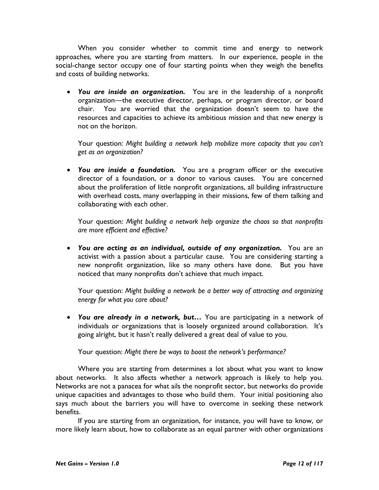When you consider whether to commit time and energy to network approaches, where you are starting from matters. In our experience, people in the social-change sector occupy one of four starting points when they weigh the benefits and costs of building networks.

• You are inside an organization. You are in the leadership of a nonprofit organization—the executive director, perhaps, or program director, or board chair. You are worried that the organization doesn't seem to have the resources and capacities to achieve its ambitious mission and that new energy is not on the horizon.

Your question: Might building a network help mobilize more capacity that you can't get as an organization?

• You are inside a foundation. You are a program officer or the executive director of a foundation, or a donor to various causes. You are concerned about the proliferation of little nonprofit organizations, all building infrastructure with overhead costs, many overlapping in their missions, few of them talking and collaborating with each other.

Your question: Might building a network help organize the chaos so that nonprofits are more efficient and effective?

• You are acting as an individual, outside of any organization. You are an activist with a passion about a particular cause. You are considering starting a new nonprofit organization, like so many others have done. But you have noticed that many nonprofits don't achieve that much impact.

Your question: Might building a network be a better way of attracting and organizing energy for what you care about?

• You are already in a network, but... You are participating in a network of individuals or organizations that is loosely organized around collaboration. It's going alright, but it hasn't really delivered a great deal of value to you.

Your question: Might there be ways to boost the network's performance?

 Where you are starting from determines a lot about what you want to know about networks. It also affects whether a network approach is likely to help you. Networks are not a panacea for what ails the nonprofit sector, but networks do provide unique capacities and advantages to those who build them. Your initial positioning also says much about the barriers you will have to overcome in seeking these network benefits.

 If you are starting from an organization, for instance, you will have to know, or more likely learn about, how to collaborate as an equal partner with other organizations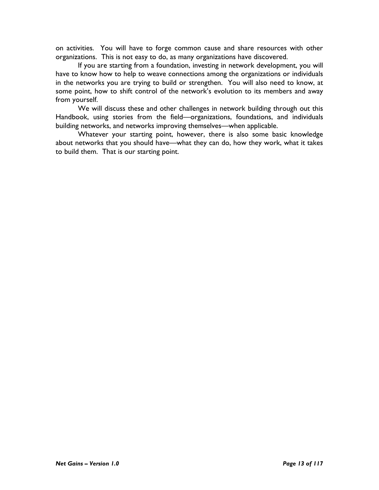on activities. You will have to forge common cause and share resources with other organizations. This is not easy to do, as many organizations have discovered.

 If you are starting from a foundation, investing in network development, you will have to know how to help to weave connections among the organizations or individuals in the networks you are trying to build or strengthen. You will also need to know, at some point, how to shift control of the network's evolution to its members and away from yourself.

 We will discuss these and other challenges in network building through out this Handbook, using stories from the field—organizations, foundations, and individuals building networks, and networks improving themselves—when applicable.

 Whatever your starting point, however, there is also some basic knowledge about networks that you should have—what they can do, how they work, what it takes to build them. That is our starting point.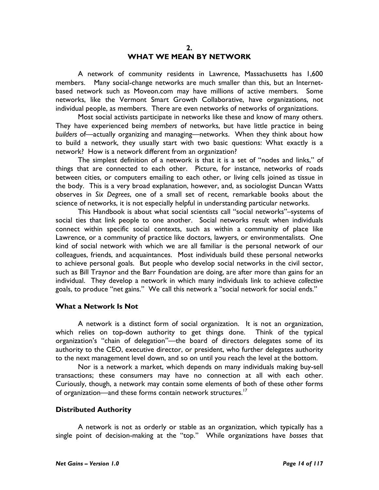#### 2. WHAT WE MEAN BY NETWORK

A network of community residents in Lawrence, Massachusetts has 1,600 members. Many social-change networks are much smaller than this, but an Internetbased network such as Moveon.com may have millions of active members. Some networks, like the Vermont Smart Growth Collaborative, have organizations, not individual people, as members. There are even networks of networks of organizations.

Most social activists participate in networks like these and know of many others. They have experienced being members of networks, but have little practice in being builders of—actually organizing and managing—networks. When they think about how to build a network, they usually start with two basic questions: What exactly is a network? How is a network different from an organization?

The simplest definition of a network is that it is a set of "nodes and links," of things that are connected to each other. Picture, for instance, networks of roads between cities, or computers emailing to each other, or living cells joined as tissue in the body. This is a very broad explanation, however, and, as sociologist Duncan Watts observes in Six Degrees, one of a small set of recent, remarkable books about the science of networks, it is not especially helpful in understanding particular networks.

This Handbook is about what social scientists call "social networks"–systems of social ties that link people to one another. Social networks result when individuals connect within specific social contexts, such as within a community of place like Lawrence, or a community of practice like doctors, lawyers, or environmentalists. One kind of social network with which we are all familiar is the personal network of our colleagues, friends, and acquaintances. Most individuals build these personal networks to achieve personal goals. But people who develop social networks in the civil sector, such as Bill Traynor and the Barr Foundation are doing, are after more than gains for an individual. They develop a network in which many individuals link to achieve collective goals, to produce "net gains." We call this network a "social network for social ends."

#### What a Network Is Not

A network is a distinct form of social organization. It is not an organization, which relies on top-down authority to get things done. Think of the typical organization's "chain of delegation"—the board of directors delegates some of its authority to the CEO, executive director, or president, who further delegates authority to the next management level down, and so on until you reach the level at the bottom.

Nor is a network a market, which depends on many individuals making buy-sell transactions; these consumers may have no connection at all with each other. Curiously, though, a network may contain some elements of both of these other forms of organization—and these forms contain network structures.<sup>17</sup>

#### Distributed Authority

A network is not as orderly or stable as an organization, which typically has a single point of decision-making at the "top." While organizations have bosses that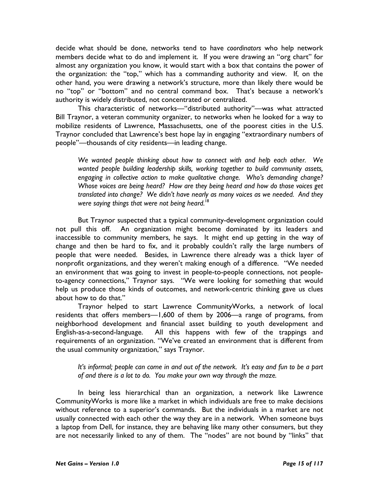decide what should be done, networks tend to have coordinators who help network members decide what to do and implement it. If you were drawing an "org chart" for almost any organization you know, it would start with a box that contains the power of the organization: the "top," which has a commanding authority and view. If, on the other hand, you were drawing a network's structure, more than likely there would be no "top" or "bottom" and no central command box. That's because a network's authority is widely distributed, not concentrated or centralized.

This characteristic of networks—"distributed authority"—was what attracted Bill Traynor, a veteran community organizer, to networks when he looked for a way to mobilize residents of Lawrence, Massachusetts, one of the poorest cities in the U.S. Traynor concluded that Lawrence's best hope lay in engaging "extraordinary numbers of people"—thousands of city residents—in leading change.

We wanted people thinking about how to connect with and help each other. We wanted people building leadership skills, working together to build community assets, engaging in collective action to make qualitative change. Who's demanding change? Whose voices are being heard? How are they being heard and how do those voices get translated into change? We didn't have nearly as many voices as we needed. And they were saying things that were not being heard.<sup>18</sup>

But Traynor suspected that a typical community-development organization could not pull this off. An organization might become dominated by its leaders and inaccessible to community members, he says. It might end up getting in the way of change and then be hard to fix, and it probably couldn't rally the large numbers of people that were needed. Besides, in Lawrence there already was a thick layer of nonprofit organizations, and they weren't making enough of a difference. "We needed an environment that was going to invest in people-to-people connections, not peopleto-agency connections," Traynor says. "We were looking for something that would help us produce those kinds of outcomes, and network-centric thinking gave us clues about how to do that."

Traynor helped to start Lawrence CommunityWorks, a network of local residents that offers members—1,600 of them by 2006—a range of programs, from neighborhood development and financial asset building to youth development and English-as-a-second-language. All this happens with few of the trappings and requirements of an organization. "We've created an environment that is different from the usual community organization," says Traynor.

It's informal; people can come in and out of the network. It's easy and fun to be a part of and there is a lot to do. You make your own way through the maze.

In being less hierarchical than an organization, a network like Lawrence CommunityWorks is more like a market in which individuals are free to make decisions without reference to a superior's commands. But the individuals in a market are not usually connected with each other the way they are in a network. When someone buys a laptop from Dell, for instance, they are behaving like many other consumers, but they are not necessarily linked to any of them. The "nodes" are not bound by "links" that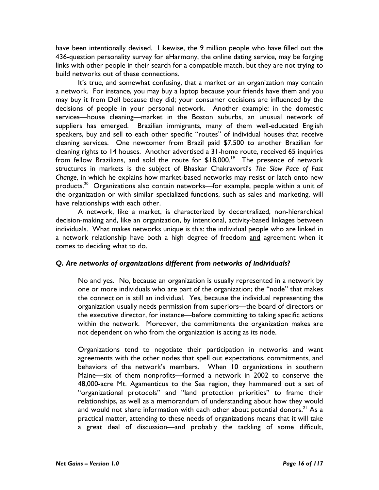have been intentionally devised. Likewise, the 9 million people who have filled out the 436-question personality survey for eHarmony, the online dating service, may be forging links with other people in their search for a compatible match, but they are not trying to build networks out of these connections.

It's true, and somewhat confusing, that a market or an organization may contain a network. For instance, you may buy a laptop because your friends have them and you may buy it from Dell because they did; your consumer decisions are influenced by the decisions of people in your personal network. Another example: in the domestic services—house cleaning—market in the Boston suburbs, an unusual network of suppliers has emerged. Brazilian immigrants, many of them well-educated English speakers, buy and sell to each other specific "routes" of individual houses that receive cleaning services. One newcomer from Brazil paid \$7,500 to another Brazilian for cleaning rights to 14 houses. Another advertised a 31-home route, received 65 inquiries from fellow Brazilians, and sold the route for  $$18,000.<sup>19</sup>$  The presence of network structures in markets is the subject of Bhaskar Chakravorti's The Slow Pace of Fast Change, in which he explains how market-based networks may resist or latch onto new products.<sup>20</sup> Organizations also contain networks—for example, people within a unit of the organization or with similar specialized functions, such as sales and marketing, will have relationships with each other.

A network, like a market, is characterized by decentralized, non-hierarchical decision-making and, like an organization, by intentional, activity-based linkages between individuals. What makes networks unique is this: the individual people who are linked in a network relationship have both a high degree of freedom and agreement when it comes to deciding what to do.

## Q. Are networks of organizations different from networks of individuals?

No and yes. No, because an organization is usually represented in a network by one or more individuals who are part of the organization; the "node" that makes the connection is still an individual. Yes, because the individual representing the organization usually needs permission from superiors—the board of directors or the executive director, for instance—before committing to taking specific actions within the network. Moreover, the commitments the organization makes are not dependent on who from the organization is acting as its node.

Organizations tend to negotiate their participation in networks and want agreements with the other nodes that spell out expectations, commitments, and behaviors of the network's members. When 10 organizations in southern Maine—six of them nonprofits—formed a network in 2002 to conserve the 48,000-acre Mt. Agamenticus to the Sea region, they hammered out a set of "organizational protocols" and "land protection priorities" to frame their relationships, as well as a memorandum of understanding about how they would and would not share information with each other about potential donors.<sup>21</sup> As a practical matter, attending to these needs of organizations means that it will take a great deal of discussion—and probably the tackling of some difficult,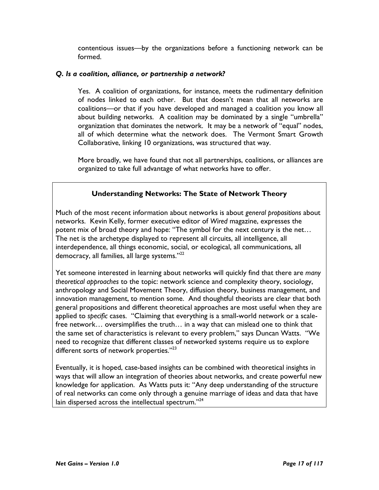contentious issues—by the organizations before a functioning network can be formed.

#### Q. Is a coalition, alliance, or partnership a network?

Yes. A coalition of organizations, for instance, meets the rudimentary definition of nodes linked to each other. But that doesn't mean that all networks are coalitions—or that if you have developed and managed a coalition you know all about building networks. A coalition may be dominated by a single "umbrella" organization that dominates the network. It may be a network of "equal" nodes, all of which determine what the network does. The Vermont Smart Growth Collaborative, linking 10 organizations, was structured that way.

More broadly, we have found that not all partnerships, coalitions, or alliances are organized to take full advantage of what networks have to offer.

## Understanding Networks: The State of Network Theory

Much of the most recent information about networks is about general propositions about networks. Kevin Kelly, former executive editor of Wired magazine, expresses the potent mix of broad theory and hope: "The symbol for the next century is the net… The net is the archetype displayed to represent all circuits, all intelligence, all interdependence, all things economic, social, or ecological, all communications, all democracy, all families, all large systems."<sup>22</sup>

Yet someone interested in learning about networks will quickly find that there are many theoretical approaches to the topic: network science and complexity theory, sociology, anthropology and Social Movement Theory, diffusion theory, business management, and innovation management, to mention some. And thoughtful theorists are clear that both general propositions and different theoretical approaches are most useful when they are applied to specific cases. "Claiming that everything is a small-world network or a scalefree network… oversimplifies the truth… in a way that can mislead one to think that the same set of characteristics is relevant to every problem," says Duncan Watts. "We need to recognize that different classes of networked systems require us to explore different sorts of network properties."<sup>23</sup>

Eventually, it is hoped, case-based insights can be combined with theoretical insights in ways that will allow an integration of theories about networks, and create powerful new knowledge for application. As Watts puts it: "Any deep understanding of the structure of real networks can come only through a genuine marriage of ideas and data that have lain dispersed across the intellectual spectrum."<sup>24</sup>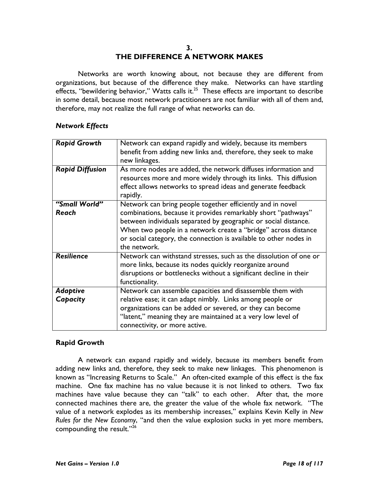#### 3. THE DIFFERENCE A NETWORK MAKES

Networks are worth knowing about, not because they are different from organizations, but because of the difference they make. Networks can have startling effects, "bewildering behavior," Watts calls it. $^{25}$  These effects are important to describe in some detail, because most network practitioners are not familiar with all of them and, therefore, may not realize the full range of what networks can do.

#### Network Effects

| <b>Rapid Growth</b>         | Network can expand rapidly and widely, because its members<br>benefit from adding new links and, therefore, they seek to make<br>new linkages.                                                                                                                                                                                                        |
|-----------------------------|-------------------------------------------------------------------------------------------------------------------------------------------------------------------------------------------------------------------------------------------------------------------------------------------------------------------------------------------------------|
| <b>Rapid Diffusion</b>      | As more nodes are added, the network diffuses information and<br>resources more and more widely through its links. This diffusion<br>effect allows networks to spread ideas and generate feedback<br>rapidly.                                                                                                                                         |
| "Small World"<br>Reach      | Network can bring people together efficiently and in novel<br>combinations, because it provides remarkably short "pathways"<br>between individuals separated by geographic or social distance.<br>When two people in a network create a "bridge" across distance<br>or social category, the connection is available to other nodes in<br>the network. |
| <b>Resilience</b>           | Network can withstand stresses, such as the dissolution of one or<br>more links, because its nodes quickly reorganize around<br>disruptions or bottlenecks without a significant decline in their<br>functionality.                                                                                                                                   |
| <b>Adaptive</b><br>Capacity | Network can assemble capacities and disassemble them with<br>relative ease; it can adapt nimbly. Links among people or<br>organizations can be added or severed, or they can become<br>"latent," meaning they are maintained at a very low level of<br>connectivity, or more active.                                                                  |

## Rapid Growth

A network can expand rapidly and widely, because its members benefit from adding new links and, therefore, they seek to make new linkages. This phenomenon is known as "Increasing Returns to Scale." An often-cited example of this effect is the fax machine. One fax machine has no value because it is not linked to others. Two fax machines have value because they can "talk" to each other. After that, the more connected machines there are, the greater the value of the whole fax network. "The value of a network explodes as its membership increases," explains Kevin Kelly in New Rules for the New Economy, "and then the value explosion sucks in yet more members, compounding the result."26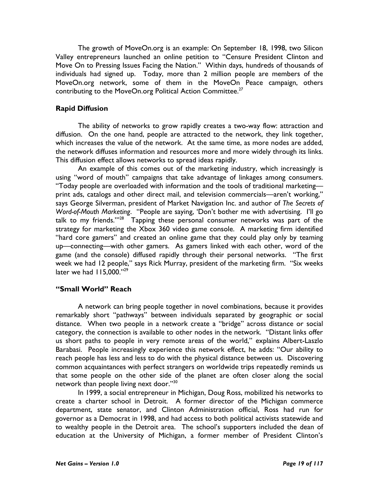The growth of MoveOn.org is an example: On September 18, 1998, two Silicon Valley entrepreneurs launched an online petition to "Censure President Clinton and Move On to Pressing Issues Facing the Nation." Within days, hundreds of thousands of individuals had signed up. Today, more than 2 million people are members of the MoveOn.org network, some of them in the MoveOn Peace campaign, others contributing to the MoveOn.org Political Action Committee.<sup>27</sup>

#### Rapid Diffusion

The ability of networks to grow rapidly creates a two-way flow: attraction and diffusion. On the one hand, people are attracted to the network, they link together, which increases the value of the network. At the same time, as more nodes are added, the network diffuses information and resources more and more widely through its links. This diffusion effect allows networks to spread ideas rapidly.

An example of this comes out of the marketing industry, which increasingly is using "word of mouth" campaigns that take advantage of linkages among consumers. "Today people are overloaded with information and the tools of traditional marketing print ads, catalogs and other direct mail, and television commercials—aren't working," says George Silverman, president of Market Navigation Inc. and author of The Secrets of Word-of-Mouth Marketing. "People are saying, 'Don't bother me with advertising. I'll go talk to my friends.'"<sup>28</sup> Tapping these personal consumer networks was part of the strategy for marketing the Xbox 360 video game console. A marketing firm identified "hard core gamers" and created an online game that they could play only by teaming up—connecting—with other gamers. As gamers linked with each other, word of the game (and the console) diffused rapidly through their personal networks. "The first week we had 12 people," says Rick Murray, president of the marketing firm. "Six weeks later we had  $115,000."^{29}$ 

#### "Small World" Reach

A network can bring people together in novel combinations, because it provides remarkably short "pathways" between individuals separated by geographic or social distance. When two people in a network create a "bridge" across distance or social category, the connection is available to other nodes in the network. "Distant links offer us short paths to people in very remote areas of the world," explains Albert-Laszlo Barabasi. People increasingly experience this network effect, he adds: "Our ability to reach people has less and less to do with the physical distance between us. Discovering common acquaintances with perfect strangers on worldwide trips repeatedly reminds us that some people on the other side of the planet are often closer along the social network than people living next door."<sup>30</sup>

In 1999, a social entrepreneur in Michigan, Doug Ross, mobilized his networks to create a charter school in Detroit. A former director of the Michigan commerce department, state senator, and Clinton Administration official, Ross had run for governor as a Democrat in 1998, and had access to both political activists statewide and to wealthy people in the Detroit area. The school's supporters included the dean of education at the University of Michigan, a former member of President Clinton's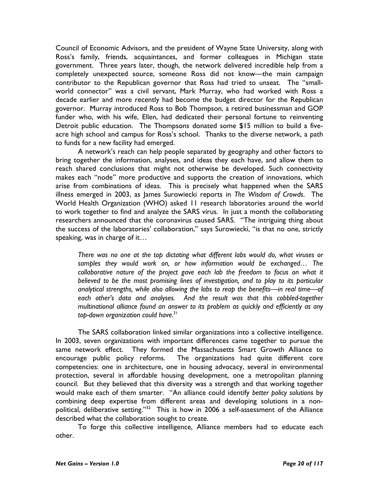Council of Economic Advisors, and the president of Wayne State University, along with Ross's family, friends, acquaintances, and former colleagues in Michigan state government. Three years later, though, the network delivered incredible help from a completely unexpected source, someone Ross did not know—the main campaign contributor to the Republican governor that Ross had tried to unseat. The "smallworld connector" was a civil servant, Mark Murray, who had worked with Ross a decade earlier and more recently had become the budget director for the Republican governor. Murray introduced Ross to Bob Thompson, a retired businessman and GOP funder who, with his wife, Ellen, had dedicated their personal fortune to reinventing Detroit public education. The Thompsons donated some \$15 million to build a fiveacre high school and campus for Ross's school. Thanks to the diverse network, a path to funds for a new facility had emerged.

A network's reach can help people separated by geography and other factors to bring together the information, analyses, and ideas they each have, and allow them to reach shared conclusions that might not otherwise be developed. Such connectivity makes each "node" more productive and supports the creation of innovations, which arise from combinations of ideas. This is precisely what happened when the SARS illness emerged in 2003, as James Surowiecki reports in The Wisdom of Crowds. The World Health Organization (WHO) asked 11 research laboratories around the world to work together to find and analyze the SARS virus. In just a month the collaborating researchers announced that the coronavirus caused SARS. "The intriguing thing about the success of the laboratories' collaboration," says Surowiecki, "is that no one, strictly speaking, was in charge of it…

There was no one at the top dictating what different labs would do, what viruses or samples they would work on, or how information would be exchanged… The collaborative nature of the project gave each lab the freedom to focus on what it believed to be the most promising lines of investigation, and to play to its particular analytical strengths, while also allowing the labs to reap the benefits—in real time—of each other's data and analyses. And the result was that this cobbled-together multinational alliance found an answer to its problem as quickly and efficiently as any top-down organization could have.<sup>31</sup>

 The SARS collaboration linked similar organizations into a collective intelligence. In 2003, seven organizations with important differences came together to pursue the same network effect. They formed the Massachusetts Smart Growth Alliance to encourage public policy reforms. The organizations had quite different core competencies: one in architecture, one in housing advocacy, several in environmental protection, several in affordable housing development, one a metropolitan planning council. But they believed that this diversity was a strength and that working together would make each of them smarter. "An alliance could identify better policy solutions by combining deep expertise from different areas and developing solutions in a nonpolitical, deliberative setting."<sup>32</sup> This is how in 2006 a self-assessment of the Alliance described what the collaboration sought to create.

 To forge this collective intelligence, Alliance members had to educate each other.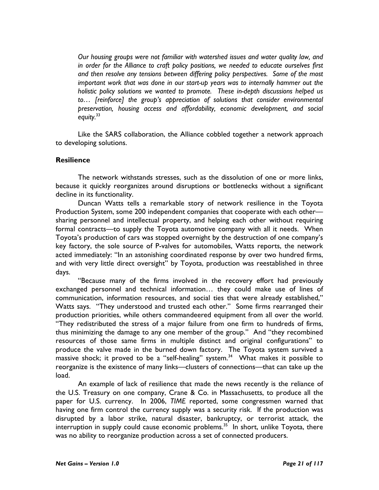Our housing groups were not familiar with watershed issues and water quality law, and in order for the Alliance to craft policy positions, we needed to educate ourselves first and then resolve any tensions between differing policy perspectives. Some of the most important work that was done in our start-up years was to internally hammer out the holistic policy solutions we wanted to promote. These in-depth discussions helped us to… [reinforce] the group's appreciation of solutions that consider environmental preservation, housing access and affordability, economic development, and social equity.<sup>33</sup>

Like the SARS collaboration, the Alliance cobbled together a network approach to developing solutions.

## **Resilience**

The network withstands stresses, such as the dissolution of one or more links, because it quickly reorganizes around disruptions or bottlenecks without a significant decline in its functionality.

Duncan Watts tells a remarkable story of network resilience in the Toyota Production System, some 200 independent companies that cooperate with each other sharing personnel and intellectual property, and helping each other without requiring formal contracts—to supply the Toyota automotive company with all it needs. When Toyota's production of cars was stopped overnight by the destruction of one company's key factory, the sole source of P-valves for automobiles, Watts reports, the network acted immediately: "In an astonishing coordinated response by over two hundred firms, and with very little direct oversight" by Toyota, production was reestablished in three days.

"Because many of the firms involved in the recovery effort had previously exchanged personnel and technical information… they could make use of lines of communication, information resources, and social ties that were already established," Watts says. "They understood and trusted each other." Some firms rearranged their production priorities, while others commandeered equipment from all over the world. "They redistributed the stress of a major failure from one firm to hundreds of firms, thus minimizing the damage to any one member of the group." And "they recombined resources of those same firms in multiple distinct and original configurations" to produce the valve made in the burned down factory. The Toyota system survived a massive shock; it proved to be a "self-healing" system.<sup>34</sup> What makes it possible to reorganize is the existence of many links—clusters of connections—that can take up the load.

An example of lack of resilience that made the news recently is the reliance of the U.S. Treasury on one company, Crane & Co. in Massachusetts, to produce all the paper for U.S. currency. In 2006, TIME reported, some congressmen warned that having one firm control the currency supply was a security risk. If the production was disrupted by a labor strike, natural disaster, bankruptcy, or terrorist attack, the interruption in supply could cause economic problems.<sup>35</sup> In short, unlike Toyota, there was no ability to reorganize production across a set of connected producers.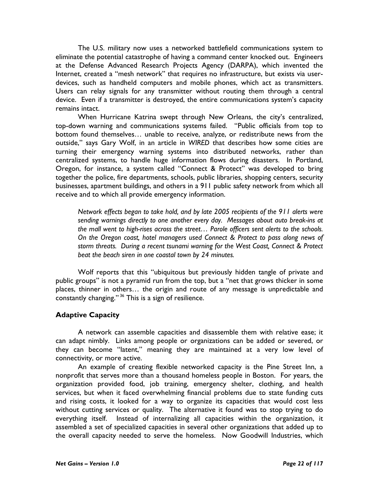The U.S. military now uses a networked battlefield communications system to eliminate the potential catastrophe of having a command center knocked out. Engineers at the Defense Advanced Research Projects Agency (DARPA), which invented the Internet, created a "mesh network" that requires no infrastructure, but exists via userdevices, such as handheld computers and mobile phones, which act as transmitters. Users can relay signals for any transmitter without routing them through a central device. Even if a transmitter is destroyed, the entire communications system's capacity remains intact.

When Hurricane Katrina swept through New Orleans, the city's centralized, top-down warning and communications systems failed. "Public officials from top to bottom found themselves… unable to receive, analyze, or redistribute news from the outside," says Gary Wolf, in an article in WIRED that describes how some cities are turning their emergency warning systems into distributed networks, rather than centralized systems, to handle huge information flows during disasters. In Portland, Oregon, for instance, a system called "Connect & Protect" was developed to bring together the police, fire departments, schools, public libraries, shopping centers, security businesses, apartment buildings, and others in a 911 public safety network from which all receive and to which all provide emergency information.

Network effects began to take hold, and by late 2005 recipients of the 911 alerts were sending warnings directly to one another every day. Messages about auto break-ins at the mall went to high-rises across the street… Parole officers sent alerts to the schools. On the Oregon coast, hotel managers used Connect & Protect to pass along news of storm threats. During a recent tsunami warning for the West Coast, Connect & Protect beat the beach siren in one coastal town by 24 minutes.

Wolf reports that this "ubiquitous but previously hidden tangle of private and public groups" is not a pyramid run from the top, but a "net that grows thicker in some places, thinner in others… the origin and route of any message is unpredictable and constantly changing."<sup>36</sup> This is a sign of resilience.

## Adaptive Capacity

A network can assemble capacities and disassemble them with relative ease; it can adapt nimbly. Links among people or organizations can be added or severed, or they can become "latent," meaning they are maintained at a very low level of connectivity, or more active.

An example of creating flexible networked capacity is the Pine Street Inn, a nonprofit that serves more than a thousand homeless people in Boston. For years, the organization provided food, job training, emergency shelter, clothing, and health services, but when it faced overwhelming financial problems due to state funding cuts and rising costs, it looked for a way to organize its capacities that would cost less without cutting services or quality. The alternative it found was to stop trying to do everything itself. Instead of internalizing all capacities within the organization, it assembled a set of specialized capacities in several other organizations that added up to the overall capacity needed to serve the homeless. Now Goodwill Industries, which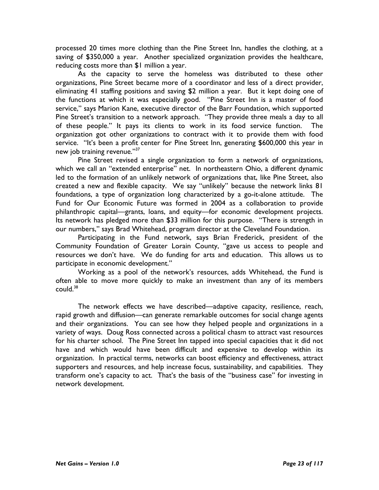processed 20 times more clothing than the Pine Street Inn, handles the clothing, at a saving of \$350,000 a year. Another specialized organization provides the healthcare, reducing costs more than \$1 million a year.

As the capacity to serve the homeless was distributed to these other organizations, Pine Street became more of a coordinator and less of a direct provider, eliminating 41 staffing positions and saving \$2 million a year. But it kept doing one of the functions at which it was especially good. "Pine Street Inn is a master of food service," says Marion Kane, executive director of the Barr Foundation, which supported Pine Street's transition to a network approach. "They provide three meals a day to all of these people." It pays its clients to work in its food service function. The organization got other organizations to contract with it to provide them with food service. "It's been a profit center for Pine Street Inn, generating \$600,000 this year in new job training revenue."<sup>37</sup>

Pine Street revised a single organization to form a network of organizations, which we call an "extended enterprise" net. In northeastern Ohio, a different dynamic led to the formation of an unlikely network of organizations that, like Pine Street, also created a new and flexible capacity. We say "unlikely" because the network links 81 foundations, a type of organization long characterized by a go-it-alone attitude. The Fund for Our Economic Future was formed in 2004 as a collaboration to provide philanthropic capital—grants, loans, and equity—for economic development projects. Its network has pledged more than \$33 million for this purpose. "There is strength in our numbers," says Brad Whitehead, program director at the Cleveland Foundation.

Participating in the Fund network, says Brian Frederick, president of the Community Foundation of Greater Lorain County, "gave us access to people and resources we don't have. We do funding for arts and education. This allows us to participate in economic development."

Working as a pool of the network's resources, adds Whitehead, the Fund is often able to move more quickly to make an investment than any of its members  $\text{could.}^{38}$ 

The network effects we have described—adaptive capacity, resilience, reach, rapid growth and diffusion—can generate remarkable outcomes for social change agents and their organizations. You can see how they helped people and organizations in a variety of ways. Doug Ross connected across a political chasm to attract vast resources for his charter school. The Pine Street Inn tapped into special capacities that it did not have and which would have been difficult and expensive to develop within its organization. In practical terms, networks can boost efficiency and effectiveness, attract supporters and resources, and help increase focus, sustainability, and capabilities. They transform one's capacity to act. That's the basis of the "business case" for investing in network development.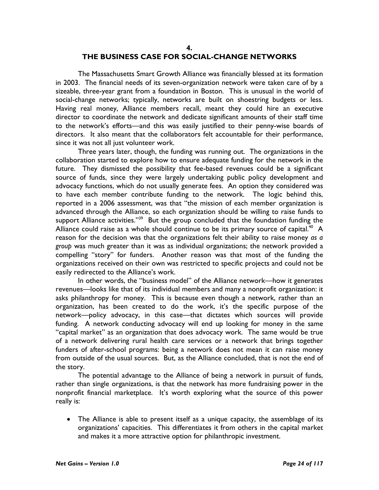#### 4.

#### THE BUSINESS CASE FOR SOCIAL-CHANGE NETWORKS

The Massachusetts Smart Growth Alliance was financially blessed at its formation in 2003. The financial needs of its seven-organization network were taken care of by a sizeable, three-year grant from a foundation in Boston. This is unusual in the world of social-change networks; typically, networks are built on shoestring budgets or less. Having real money, Alliance members recall, meant they could hire an executive director to coordinate the network and dedicate significant amounts of their staff time to the network's efforts—and this was easily justified to their penny-wise boards of directors. It also meant that the collaborators felt accountable for their performance, since it was not all just volunteer work.

Three years later, though, the funding was running out. The organizations in the collaboration started to explore how to ensure adequate funding for the network in the future. They dismissed the possibility that fee-based revenues could be a significant source of funds, since they were largely undertaking public policy development and advocacy functions, which do not usually generate fees. An option they considered was to have each member contribute funding to the network. The logic behind this, reported in a 2006 assessment, was that "the mission of each member organization is advanced through the Alliance, so each organization should be willing to raise funds to support Alliance activities."<sup>39</sup> But the group concluded that the foundation funding the Alliance could raise as a whole should continue to be its primary source of capital.<sup>40</sup> A reason for the decision was that the organizations felt their ability to raise money as a group was much greater than it was as individual organizations; the network provided a compelling "story" for funders. Another reason was that most of the funding the organizations received on their own was restricted to specific projects and could not be easily redirected to the Alliance's work.

In other words, the "business model" of the Alliance network—how it generates revenues—looks like that of its individual members and many a nonprofit organization: it asks philanthropy for money. This is because even though a network, rather than an organization, has been created to do the work, it's the specific purpose of the network—policy advocacy, in this case—that dictates which sources will provide funding. A network conducting advocacy will end up looking for money in the same "capital market" as an organization that does advocacy work. The same would be true of a network delivering rural health care services or a network that brings together funders of after-school programs: being a network does not mean it can raise money from outside of the usual sources. But, as the Alliance concluded, that is not the end of the story.

The potential advantage to the Alliance of being a network in pursuit of funds, rather than single organizations, is that the network has more fundraising power in the nonprofit financial marketplace. It's worth exploring what the source of this power really is:

• The Alliance is able to present itself as a unique capacity, the assemblage of its organizations' capacities. This differentiates it from others in the capital market and makes it a more attractive option for philanthropic investment.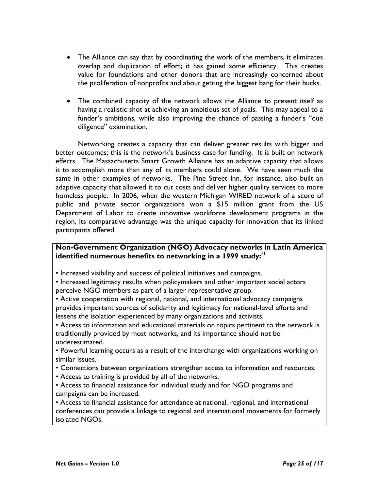- The Alliance can say that by coordinating the work of the members, it eliminates overlap and duplication of effort; it has gained some efficiency. This creates value for foundations and other donors that are increasingly concerned about the proliferation of nonprofits and about getting the biggest bang for their bucks.
- The combined capacity of the network allows the Alliance to present itself as having a realistic shot at achieving an ambitious set of goals. This may appeal to a funder's ambitions, while also improving the chance of passing a funder's "due diligence" examination.

Networking creates a capacity that can deliver greater results with bigger and better outcomes; this is the network's business case for funding. It is built on network effects. The Massachusetts Smart Growth Alliance has an adaptive capacity that allows it to accomplish more than any of its members could alone. We have seen much the same in other examples of networks. The Pine Street Inn, for instance, also built an adaptive capacity that allowed it to cut costs and deliver higher quality services to more homeless people. In 2006, when the western Michigan WIRED network of a score of public and private sector organizations won a \$15 million grant from the US Department of Labor to create innovative workforce development programs in the region, its comparative advantage was the unique capacity for innovation that its linked participants offered.

## Non-Government Organization (NGO) Advocacy networks in Latin America identified numerous benefits to networking in a 1999 study: $41$

- Increased visibility and success of political initiatives and campaigns.
- Increased legitimacy results when policymakers and other important social actors perceive NGO members as part of a larger representative group.
- Active cooperation with regional, national, and international advocacy campaigns provides important sources of solidarity and legitimacy for national-level efforts and lessens the isolation experienced by many organizations and activists.

• Access to information and educational materials on topics pertinent to the network is traditionally provided by most networks, and its importance should not be underestimated.

• Powerful learning occurs as a result of the interchange with organizations working on similar issues.

- Connections between organizations strengthen access to information and resources.
- Access to training is provided by all of the networks.
- Access to financial assistance for individual study and for NGO programs and campaigns can be increased.

• Access to financial assistance for attendance at national, regional, and international conferences can provide a linkage to regional and international movements for formerly isolated NGOs.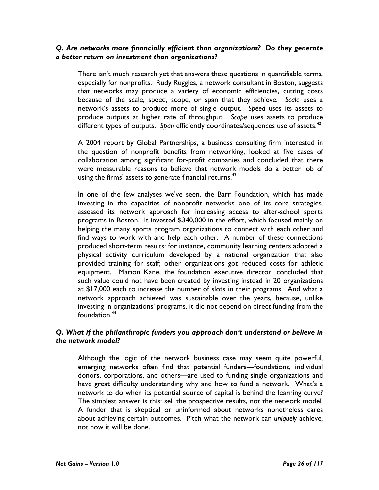#### Q. Are networks more financially efficient than organizations? Do they generate a better return on investment than organizations?

There isn't much research yet that answers these questions in quantifiable terms, especially for nonprofits. Rudy Ruggles, a network consultant in Boston, suggests that networks may produce a variety of economic efficiencies, cutting costs because of the scale, speed, scope, or span that they achieve. Scale uses a network's assets to produce more of single output. Speed uses its assets to produce outputs at higher rate of throughput. Scope uses assets to produce different types of outputs. Span efficiently coordinates/sequences use of assets. $42$ 

A 2004 report by Global Partnerships, a business consulting firm interested in the question of nonprofit benefits from networking, looked at five cases of collaboration among significant for-profit companies and concluded that there were measurable reasons to believe that network models do a better job of using the firms' assets to generate financial returns.<sup>43</sup>

In one of the few analyses we've seen, the Barr Foundation, which has made investing in the capacities of nonprofit networks one of its core strategies, assessed its network approach for increasing access to after-school sports programs in Boston. It invested \$340,000 in the effort, which focused mainly on helping the many sports program organizations to connect with each other and find ways to work with and help each other. A number of these connections produced short-term results: for instance, community learning centers adopted a physical activity curriculum developed by a national organization that also provided training for staff; other organizations got reduced costs for athletic equipment. Marion Kane, the foundation executive director, concluded that such value could not have been created by investing instead in 20 organizations at \$17,000 each to increase the number of slots in their programs. And what a network approach achieved was sustainable over the years, because, unlike investing in organizations' programs, it did not depend on direct funding from the foundation.<sup>44</sup>

## Q. What if the philanthropic funders you approach don't understand or believe in the network model?

Although the logic of the network business case may seem quite powerful, emerging networks often find that potential funders—foundations, individual donors, corporations, and others—are used to funding single organizations and have great difficulty understanding why and how to fund a network. What's a network to do when its potential source of capital is behind the learning curve? The simplest answer is this: sell the prospective results, not the network model. A funder that is skeptical or uninformed about networks nonetheless cares about achieving certain outcomes. Pitch what the network can uniquely achieve, not how it will be done.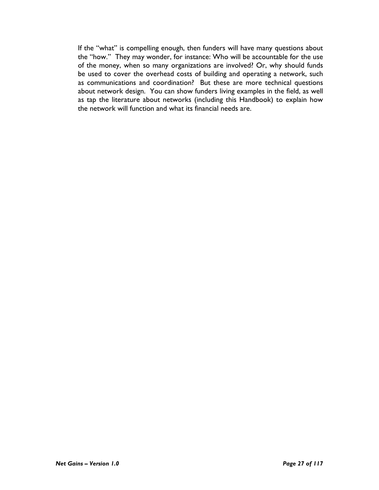If the "what" is compelling enough, then funders will have many questions about the "how." They may wonder, for instance: Who will be accountable for the use of the money, when so many organizations are involved? Or, why should funds be used to cover the overhead costs of building and operating a network, such as communications and coordination? But these are more technical questions about network design. You can show funders living examples in the field, as well as tap the literature about networks (including this Handbook) to explain how the network will function and what its financial needs are.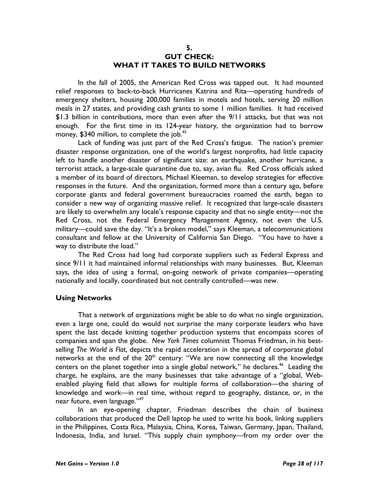#### 5. GUT CHECK: WHAT IT TAKES TO BUILD NETWORKS

In the fall of 2005, the American Red Cross was tapped out. It had mounted relief responses to back-to-back Hurricanes Katrina and Rita—operating hundreds of emergency shelters, housing 200,000 families in motels and hotels, serving 20 million meals in 27 states, and providing cash grants to some 1 million families. It had received \$1.3 billion in contributions, more than even after the 9/11 attacks, but that was not enough. For the first time in its 124-year history, the organization had to borrow money, \$340 million, to complete the job.<sup>45</sup>

Lack of funding was just part of the Red Cross's fatigue. The nation's premier disaster response organization, one of the world's largest nonprofits, had little capacity left to handle another disaster of significant size: an earthquake, another hurricane, a terrorist attack, a large-scale quarantine due to, say, avian flu. Red Cross officials asked a member of its board of directors, Michael Kleeman, to develop strategies for effective responses in the future. And the organization, formed more than a century ago, before corporate giants and federal government bureaucracies roamed the earth, began to consider a new way of organizing massive relief. It recognized that large-scale disasters are likely to overwhelm any locale's response capacity and that no single entity—not the Red Cross, not the Federal Emergency Management Agency, not even the U.S. military—could save the day. "It's a broken model," says Kleeman, a telecommunications consultant and fellow at the University of California San Diego. "You have to have a way to distribute the load."

The Red Cross had long had corporate suppliers such as Federal Express and since 9/11 it had maintained informal relationships with many businesses. But, Kleeman says, the idea of using a formal, on-going network of private companies—operating nationally and locally, coordinated but not centrally controlled—was new.

#### Using Networks

 That a network of organizations might be able to do what no single organization, even a large one, could do would not surprise the many corporate leaders who have spent the last decade knitting together production systems that encompass scores of companies and span the globe. New York Times columnist Thomas Friedman, in his bestselling The World is Flat, depicts the rapid acceleration in the spread of corporate global networks at the end of the  $20<sup>th</sup>$  century: "We are now connecting all the knowledge centers on the planet together into a single global network," he declares.<sup>46</sup> Leading the charge, he explains, are the many businesses that take advantage of a "global, Webenabled playing field that allows for multiple forms of collaboration—the sharing of knowledge and work—in real time, without regard to geography, distance, or, in the near future, even language."<sup>47</sup>

In an eye-opening chapter, Friedman describes the chain of business collaborations that produced the Dell laptop he used to write his book, linking suppliers in the Philippines, Costa Rica, Malaysia, China, Korea, Taiwan, Germany, Japan, Thailand, Indonesia, India, and Israel. "This supply chain symphony—from my order over the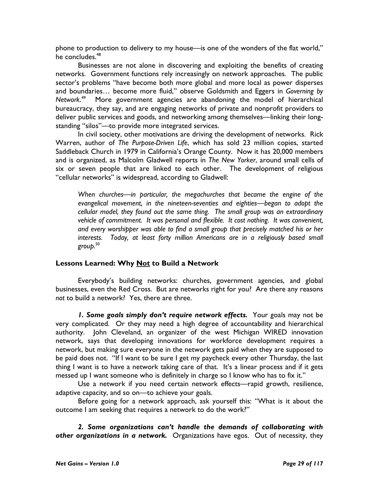phone to production to delivery to my house—is one of the wonders of the flat world," he concludes.<sup>48</sup>

Businesses are not alone in discovering and exploiting the benefits of creating networks. Government functions rely increasingly on network approaches. The public sector's problems "have become both more global and more local as power disperses and boundaries... become more fluid," observe Goldsmith and Eggers in Governing by Network.<sup>49</sup> More government agencies are abandoning the model of hierarchical bureaucracy, they say, and are engaging networks of private and nonprofit providers to deliver public services and goods, and networking among themselves—linking their longstanding "silos"—to provide more integrated services.

In civil society, other motivations are driving the development of networks. Rick Warren, author of The Purpose-Driven Life, which has sold 23 million copies, started Saddleback Church in 1979 in California's Orange County. Now it has 20,000 members and is organized, as Malcolm Gladwell reports in The New Yorker, around small cells of six or seven people that are linked to each other. The development of religious "cellular networks" is widespread, according to Gladwell:

When churches—in particular, the megachurches that became the engine of the evangelical movement, in the nineteen-seventies and eighties—began to adopt the cellular model, they found out the same thing. The small group was an extraordinary vehicle of commitment. It was personal and flexible. It cost nothing. It was convenient, and every worshipper was able to find a small group that precisely matched his or her interests. Today, at least forty million Americans are in a religiously based small group.<sup>50</sup>

## Lessons Learned: Why Not to Build a Network

 Everybody's building networks: churches, government agencies, and global businesses, even the Red Cross. But are networks right for you? Are there any reasons not to build a network? Yes, there are three.

1. Some goals simply don't require network effects. Your goals may not be very complicated. Or they may need a high degree of accountability and hierarchical authority. John Cleveland, an organizer of the west Michigan WIRED innovation network, says that developing innovations for workforce development requires a network, but making sure everyone in the network gets paid when they are supposed to be paid does not. "If I want to be sure I get my paycheck every other Thursday, the last thing I want is to have a network taking care of that. It's a linear process and if it gets messed up I want someone who is definitely in charge so I know who has to fix it."

Use a network if you need certain network effects—rapid growth, resilience, adaptive capacity, and so on—to achieve your goals.

Before going for a network approach, ask yourself this: "What is it about the outcome I am seeking that requires a network to do the work?"

2. Some organizations can't handle the demands of collaborating with other organizations in a network. Organizations have egos. Out of necessity, they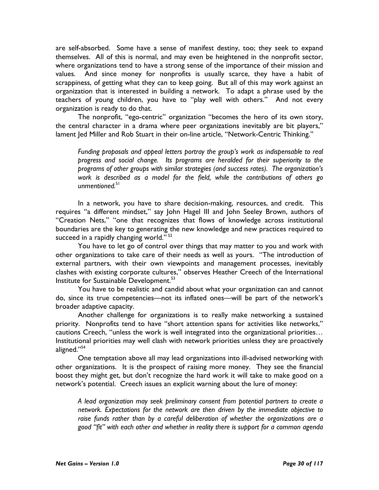are self-absorbed. Some have a sense of manifest destiny, too; they seek to expand themselves. All of this is normal, and may even be heightened in the nonprofit sector, where organizations tend to have a strong sense of the importance of their mission and values. And since money for nonprofits is usually scarce, they have a habit of scrappiness, of getting what they can to keep going. But all of this may work against an organization that is interested in building a network. To adapt a phrase used by the teachers of young children, you have to "play well with others." And not every organization is ready to do that.

The nonprofit, "ego-centric" organization "becomes the hero of its own story, the central character in a drama where peer organizations inevitably are bit players," lament Jed Miller and Rob Stuart in their on-line article, "Network-Centric Thinking."

Funding proposals and appeal letters portray the group's work as indispensable to real progress and social change. Its programs are heralded for their superiority to the programs of other groups with similar strategies (and success rates). The organization's work is described as a model for the field, while the contributions of others go unmentioned.<sup>51</sup>

In a network, you have to share decision-making, resources, and credit. This requires "a different mindset," say John Hagel III and John Seeley Brown, authors of "Creation Nets," "one that recognizes that flows of knowledge across institutional boundaries are the key to generating the new knowledge and new practices required to succeed in a rapidly changing world." $52$ 

You have to let go of control over things that may matter to you and work with other organizations to take care of their needs as well as yours. "The introduction of external partners, with their own viewpoints and management processes, inevitably clashes with existing corporate cultures," observes Heather Creech of the International Institute for Sustainable Development.<sup>53</sup>

You have to be realistic and candid about what your organization can and cannot do, since its true competencies—not its inflated ones—will be part of the network's broader adaptive capacity.

 Another challenge for organizations is to really make networking a sustained priority. Nonprofits tend to have "short attention spans for activities like networks," cautions Creech, "unless the work is well integrated into the organizational priorities… Institutional priorities may well clash with network priorities unless they are proactively aligned."<sup>54</sup>

One temptation above all may lead organizations into ill-advised networking with other organizations. It is the prospect of raising more money. They see the financial boost they might get, but don't recognize the hard work it will take to make good on a network's potential. Creech issues an explicit warning about the lure of money:

A lead organization may seek preliminary consent from potential partners to create a network. Expectations for the network are then driven by the immediate objective to raise funds rather than by a careful deliberation of whether the organizations are a good "fit" with each other and whether in reality there is support for a common agenda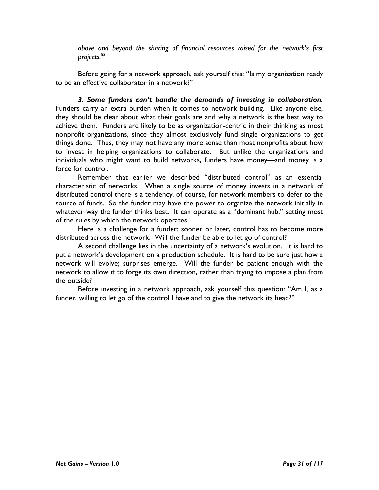above and beyond the sharing of financial resources raised for the network's first projects.<sup>55</sup>

Before going for a network approach, ask yourself this: "Is my organization ready to be an effective collaborator in a network?"

3. Some funders can't handle the demands of investing in collaboration. Funders carry an extra burden when it comes to network building. Like anyone else, they should be clear about what their goals are and why a network is the best way to achieve them. Funders are likely to be as organization-centric in their thinking as most nonprofit organizations, since they almost exclusively fund single organizations to get things done. Thus, they may not have any more sense than most nonprofits about how to invest in helping organizations to collaborate. But unlike the organizations and individuals who might want to build networks, funders have money—and money is a force for control.

Remember that earlier we described "distributed control" as an essential characteristic of networks. When a single source of money invests in a network of distributed control there is a tendency, of course, for network members to defer to the source of funds. So the funder may have the power to organize the network initially in whatever way the funder thinks best. It can operate as a "dominant hub," setting most of the rules by which the network operates.

Here is a challenge for a funder: sooner or later, control has to become more distributed across the network. Will the funder be able to let go of control?

A second challenge lies in the uncertainty of a network's evolution. It is hard to put a network's development on a production schedule. It is hard to be sure just how a network will evolve; surprises emerge. Will the funder be patient enough with the network to allow it to forge its own direction, rather than trying to impose a plan from the outside?

Before investing in a network approach, ask yourself this question: "Am I, as a funder, willing to let go of the control I have and to give the network its head?"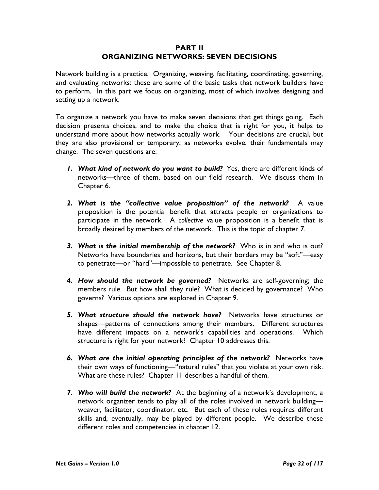#### PART II ORGANIZING NETWORKS: SEVEN DECISIONS

Network building is a practice. Organizing, weaving, facilitating, coordinating, governing, and evaluating networks: these are some of the basic tasks that network builders have to perform. In this part we focus on organizing, most of which involves designing and setting up a network.

To organize a network you have to make seven decisions that get things going. Each decision presents choices, and to make the choice that is right for you, it helps to understand more about how networks actually work. Your decisions are crucial, but they are also provisional or temporary; as networks evolve, their fundamentals may change. The seven questions are:

- 1. What kind of network do you want to build? Yes, there are different kinds of networks—three of them, based on our field research. We discuss them in Chapter 6.
- 2. What is the "collective value proposition" of the network? A value proposition is the potential benefit that attracts people or organizations to participate in the network. A collective value proposition is a benefit that is broadly desired by members of the network. This is the topic of chapter 7.
- **3.** What is the initial membership of the network? Who is in and who is out? Networks have boundaries and horizons, but their borders may be "soft"—easy to penetrate—or "hard"—impossible to penetrate. See Chapter 8.
- 4. How should the network be governed? Networks are self-governing; the members rule. But how shall they rule? What is decided by governance? Who governs? Various options are explored in Chapter 9.
- 5. What structure should the network have? Networks have structures or shapes—patterns of connections among their members. Different structures have different impacts on a network's capabilities and operations. Which structure is right for your network? Chapter 10 addresses this.
- 6. What are the initial operating principles of the network? Networks have their own ways of functioning—"natural rules" that you violate at your own risk. What are these rules? Chapter 11 describes a handful of them.
- 7. Who will build the network? At the beginning of a network's development, a network organizer tends to play all of the roles involved in network building weaver, facilitator, coordinator, etc. But each of these roles requires different skills and, eventually, may be played by different people. We describe these different roles and competencies in chapter 12.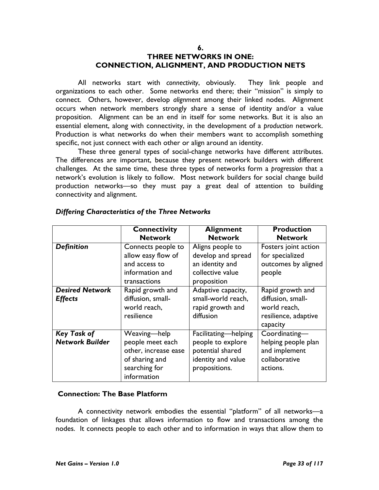#### 6. THREE NETWORKS IN ONE: CONNECTION, ALIGNMENT, AND PRODUCTION NETS

All networks start with connectivity, obviously. They link people and organizations to each other. Some networks end there; their "mission" is simply to connect. Others, however, develop alignment among their linked nodes. Alignment occurs when network members strongly share a sense of identity and/or a value proposition. Alignment can be an end in itself for some networks. But it is also an essential element, along with connectivity, in the development of a production network. Production is what networks do when their members want to accomplish something specific, not just connect with each other or align around an identity.

These three general types of social-change networks have different attributes. The differences are important, because they present network builders with different challenges. At the same time, these three types of networks form a progression that a network's evolution is likely to follow. Most network builders for social change build production networks—so they must pay a great deal of attention to building connectivity and alignment.

|                        | <b>Connectivity</b>  | <b>Alignment</b>     | <b>Production</b>    |
|------------------------|----------------------|----------------------|----------------------|
|                        | <b>Network</b>       | <b>Network</b>       | <b>Network</b>       |
| <b>Definition</b>      | Connects people to   | Aligns people to     | Fosters joint action |
|                        | allow easy flow of   | develop and spread   | for specialized      |
|                        | and access to        | an identity and      | outcomes by aligned  |
|                        | information and      | collective value     | people               |
|                        | transactions         | proposition          |                      |
| <b>Desired Network</b> | Rapid growth and     | Adaptive capacity,   | Rapid growth and     |
| <b>Effects</b>         | diffusion, small-    | small-world reach,   | diffusion, small-    |
|                        | world reach,         | rapid growth and     | world reach,         |
|                        | resilience           | diffusion            | resilience, adaptive |
|                        |                      |                      | capacity             |
| <b>Key Task of</b>     | Weaving-help         | Facilitating-helping | Coordinating-        |
| <b>Network Builder</b> | people meet each     | people to explore    | helping people plan  |
|                        | other, increase ease | potential shared     | and implement        |
|                        | of sharing and       | identity and value   | collaborative        |
|                        | searching for        | propositions.        | actions.             |
|                        | information          |                      |                      |

#### Differing Characteristics of the Three Networks

#### Connection: The Base Platform

A connectivity network embodies the essential "platform" of all networks—a foundation of linkages that allows information to flow and transactions among the nodes. It connects people to each other and to information in ways that allow them to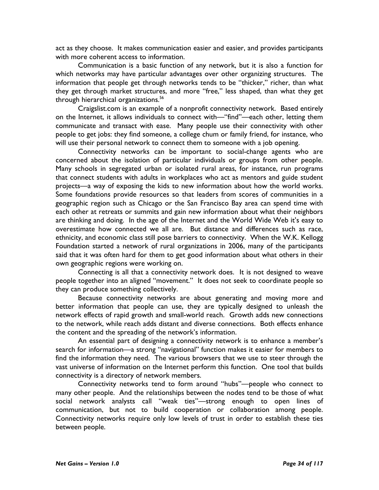act as they choose. It makes communication easier and easier, and provides participants with more coherent access to information.

Communication is a basic function of any network, but it is also a function for which networks may have particular advantages over other organizing structures. The information that people get through networks tends to be "thicker," richer, than what they get through market structures, and more "free," less shaped, than what they get through hierarchical organizations.<sup>56</sup>

Craigslist.com is an example of a nonprofit connectivity network. Based entirely on the Internet, it allows individuals to connect with—"find"—each other, letting them communicate and transact with ease. Many people use their connectivity with other people to get jobs: they find someone, a college chum or family friend, for instance, who will use their personal network to connect them to someone with a job opening.

Connectivity networks can be important to social-change agents who are concerned about the isolation of particular individuals or groups from other people. Many schools in segregated urban or isolated rural areas, for instance, run programs that connect students with adults in workplaces who act as mentors and guide student projects—a way of exposing the kids to new information about how the world works. Some foundations provide resources so that leaders from scores of communities in a geographic region such as Chicago or the San Francisco Bay area can spend time with each other at retreats or summits and gain new information about what their neighbors are thinking and doing. In the age of the Internet and the World Wide Web it's easy to overestimate how connected we all are. But distance and differences such as race, ethnicity, and economic class still pose barriers to connectivity. When the W.K. Kellogg Foundation started a network of rural organizations in 2006, many of the participants said that it was often hard for them to get good information about what others in their own geographic regions were working on.

Connecting is all that a connectivity network does. It is not designed to weave people together into an aligned "movement." It does not seek to coordinate people so they can produce something collectively.

Because connectivity networks are about generating and moving more and better information that people can use, they are typically designed to unleash the network effects of rapid growth and small-world reach. Growth adds new connections to the network, while reach adds distant and diverse connections. Both effects enhance the content and the spreading of the network's information.

An essential part of designing a connectivity network is to enhance a member's search for information—a strong "navigational" function makes it easier for members to find the information they need. The various browsers that we use to steer through the vast universe of information on the Internet perform this function. One tool that builds connectivity is a directory of network members.

Connectivity networks tend to form around "hubs"—people who connect to many other people. And the relationships between the nodes tend to be those of what social network analysts call "weak ties"—strong enough to open lines of communication, but not to build cooperation or collaboration among people. Connectivity networks require only low levels of trust in order to establish these ties between people.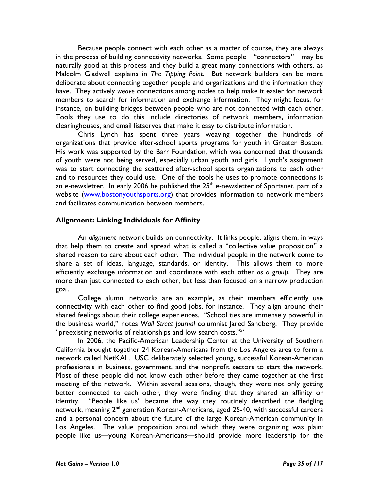Because people connect with each other as a matter of course, they are always in the process of building connectivity networks. Some people—"connectors"—may be naturally good at this process and they build a great many connections with others, as Malcolm Gladwell explains in The Tipping Point. But network builders can be more deliberate about connecting together people and organizations and the information they have. They actively weave connections among nodes to help make it easier for network members to search for information and exchange information. They might focus, for instance, on building bridges between people who are not connected with each other. Tools they use to do this include directories of network members, information clearinghouses, and email listserves that make it easy to distribute information.

Chris Lynch has spent three years weaving together the hundreds of organizations that provide after-school sports programs for youth in Greater Boston. His work was supported by the Barr Foundation, which was concerned that thousands of youth were not being served, especially urban youth and girls. Lynch's assignment was to start connecting the scattered after-school sports organizations to each other and to resources they could use. One of the tools he uses to promote connections is an e-newsletter. In early 2006 he published the  $25<sup>th</sup>$  e-newsletter of Sportsnet, part of a website (www.bostonyouthsports.org) that provides information to network members and facilitates communication between members.

#### Alignment: Linking Individuals for Affinity

An alignment network builds on connectivity. It links people, aligns them, in ways that help them to create and spread what is called a "collective value proposition" a shared reason to care about each other. The individual people in the network come to share a set of ideas, language, standards, or identity. This allows them to more efficiently exchange information and coordinate with each other as a group. They are more than just connected to each other, but less than focused on a narrow production goal.

College alumni networks are an example, as their members efficiently use connectivity with each other to find good jobs, for instance. They align around their shared feelings about their college experiences. "School ties are immensely powerful in the business world," notes Wall Street Journal columnist Jared Sandberg. They provide "preexisting networks of relationships and low search costs." $57$ 

In 2006, the Pacific-American Leadership Center at the University of Southern California brought together 24 Korean-Americans from the Los Angeles area to form a network called NetKAL. USC deliberately selected young, successful Korean-American professionals in business, government, and the nonprofit sectors to start the network. Most of these people did not know each other before they came together at the first meeting of the network. Within several sessions, though, they were not only getting better connected to each other, they were finding that they shared an affinity or identity. "People like us" became the way they routinely described the fledgling network, meaning  $2^{nd}$  generation Korean-Americans, aged 25-40, with successful careers and a personal concern about the future of the large Korean-American community in Los Angeles. The value proposition around which they were organizing was plain: people like us—young Korean-Americans—should provide more leadership for the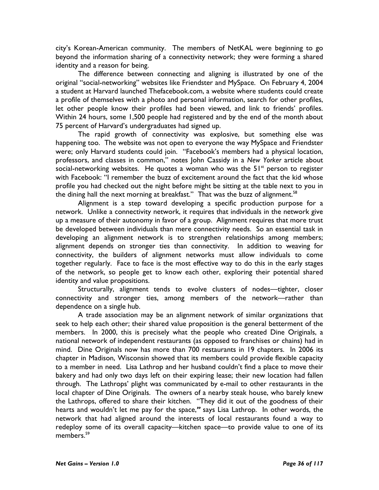city's Korean-American community. The members of NetKAL were beginning to go beyond the information sharing of a connectivity network; they were forming a shared identity and a reason for being.

The difference between connecting and aligning is illustrated by one of the original "social-networking" websites like Friendster and MySpace. On February 4, 2004 a student at Harvard launched Thefacebook.com, a website where students could create a profile of themselves with a photo and personal information, search for other profiles, let other people know their profiles had been viewed, and link to friends' profiles. Within 24 hours, some 1,500 people had registered and by the end of the month about 75 percent of Harvard's undergraduates had signed up.

The rapid growth of connectivity was explosive, but something else was happening too. The website was not open to everyone the way MySpace and Friendster were; only Harvard students could join. "Facebook's members had a physical location, professors, and classes in common," notes John Cassidy in a New Yorker article about social-networking websites. He quotes a woman who was the  $51<sup>st</sup>$  person to register with Facebook: "I remember the buzz of excitement around the fact that the kid whose profile you had checked out the night before might be sitting at the table next to you in the dining hall the next morning at breakfast." That was the buzz of alignment.<sup>58</sup>

Alignment is a step toward developing a specific production purpose for a network. Unlike a connectivity network, it requires that individuals in the network give up a measure of their autonomy in favor of a group. Alignment requires that more trust be developed between individuals than mere connectivity needs. So an essential task in developing an alignment network is to strengthen relationships among members; alignment depends on stronger ties than connectivity. In addition to weaving for connectivity, the builders of alignment networks must allow individuals to come together regularly. Face to face is the most effective way to do this in the early stages of the network, so people get to know each other, exploring their potential shared identity and value propositions.

Structurally, alignment tends to evolve clusters of nodes—tighter, closer connectivity and stronger ties, among members of the network—rather than dependence on a single hub.

A trade association may be an alignment network of similar organizations that seek to help each other; their shared value proposition is the general betterment of the members. In 2000, this is precisely what the people who created Dine Originals, a national network of independent restaurants (as opposed to franchises or chains) had in mind. Dine Originals now has more than 700 restaurants in 19 chapters. In 2006 its chapter in Madison, Wisconsin showed that its members could provide flexible capacity to a member in need. Lisa Lathrop and her husband couldn't find a place to move their bakery and had only two days left on their expiring lease; their new location had fallen through. The Lathrops' plight was communicated by e-mail to other restaurants in the local chapter of Dine Originals. The owners of a nearby steak house, who barely knew the Lathrops, offered to share their kitchen. "They did it out of the goodness of their hearts and wouldn't let me pay for the space," says Lisa Lathrop. In other words, the network that had aligned around the interests of local restaurants found a way to redeploy some of its overall capacity—kitchen space—to provide value to one of its members.<sup>59</sup>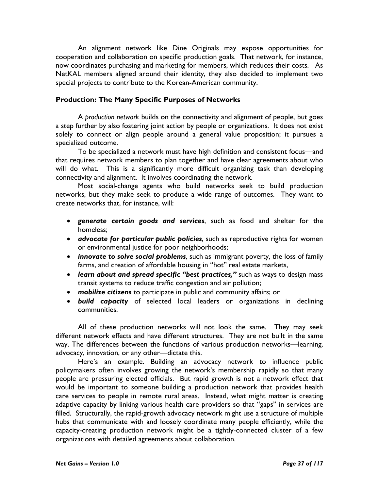An alignment network like Dine Originals may expose opportunities for cooperation and collaboration on specific production goals. That network, for instance, now coordinates purchasing and marketing for members, which reduces their costs. As NetKAL members aligned around their identity, they also decided to implement two special projects to contribute to the Korean-American community.

## Production: The Many Specific Purposes of Networks

A production network builds on the connectivity and alignment of people, but goes a step further by also fostering joint action by people or organizations. It does not exist solely to connect or align people around a general value proposition; it pursues a specialized outcome.

To be specialized a network must have high definition and consistent focus—and that requires network members to plan together and have clear agreements about who will do what. This is a significantly more difficult organizing task than developing connectivity and alignment. It involves coordinating the network.

Most social-change agents who build networks seek to build production networks, but they make seek to produce a wide range of outcomes. They want to create networks that, for instance, will:

- generate certain goods and services, such as food and shelter for the homeless;
- advocate for particular public policies, such as reproductive rights for women or environmental justice for poor neighborhoods;
- innovate to solve social problems, such as immigrant poverty, the loss of family farms, and creation of affordable housing in "hot" real estate markets,
- learn about and spread specific "best practices," such as ways to design mass transit systems to reduce traffic congestion and air pollution;
- mobilize citizens to participate in public and community affairs; or
- build capacity of selected local leaders or organizations in declining communities.

All of these production networks will not look the same. They may seek different network effects and have different structures. They are not built in the same way. The differences between the functions of various production networks—learning, advocacy, innovation, or any other—dictate this.

Here's an example. Building an advocacy network to influence public policymakers often involves growing the network's membership rapidly so that many people are pressuring elected officials. But rapid growth is not a network effect that would be important to someone building a production network that provides health care services to people in remote rural areas. Instead, what might matter is creating adaptive capacity by linking various health care providers so that "gaps" in services are filled. Structurally, the rapid-growth advocacy network might use a structure of multiple hubs that communicate with and loosely coordinate many people efficiently, while the capacity-creating production network might be a tightly-connected cluster of a few organizations with detailed agreements about collaboration.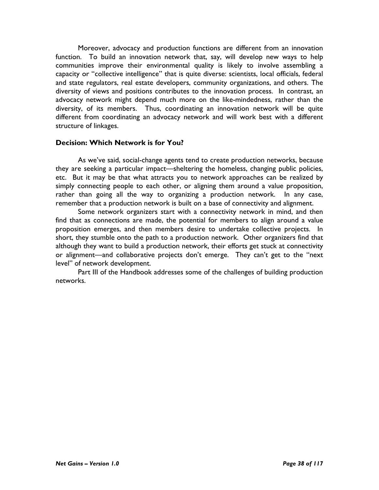Moreover, advocacy and production functions are different from an innovation function. To build an innovation network that, say, will develop new ways to help communities improve their environmental quality is likely to involve assembling a capacity or "collective intelligence" that is quite diverse: scientists, local officials, federal and state regulators, real estate developers, community organizations, and others. The diversity of views and positions contributes to the innovation process. In contrast, an advocacy network might depend much more on the like-mindedness, rather than the diversity, of its members. Thus, coordinating an innovation network will be quite different from coordinating an advocacy network and will work best with a different structure of linkages.

# Decision: Which Network is for You?

As we've said, social-change agents tend to create production networks, because they are seeking a particular impact—sheltering the homeless, changing public policies, etc. But it may be that what attracts you to network approaches can be realized by simply connecting people to each other, or aligning them around a value proposition, rather than going all the way to organizing a production network. In any case, remember that a production network is built on a base of connectivity and alignment.

Some network organizers start with a connectivity network in mind, and then find that as connections are made, the potential for members to align around a value proposition emerges, and then members desire to undertake collective projects. In short, they stumble onto the path to a production network. Other organizers find that although they want to build a production network, their efforts get stuck at connectivity or alignment—and collaborative projects don't emerge. They can't get to the "next level" of network development.

Part III of the Handbook addresses some of the challenges of building production networks.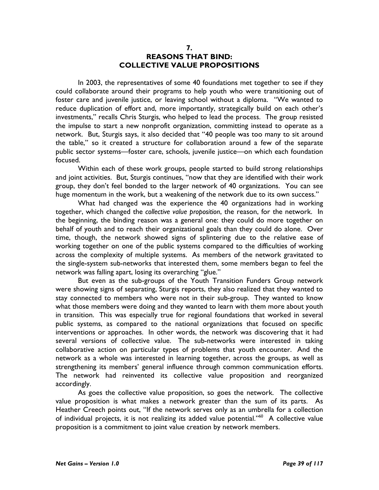### 7. REASONS THAT BIND: COLLECTIVE VALUE PROPOSITIONS

In 2003, the representatives of some 40 foundations met together to see if they could collaborate around their programs to help youth who were transitioning out of foster care and juvenile justice, or leaving school without a diploma. "We wanted to reduce duplication of effort and, more importantly, strategically build on each other's investments," recalls Chris Sturgis, who helped to lead the process. The group resisted the impulse to start a new nonprofit organization, committing instead to operate as a network. But, Sturgis says, it also decided that "40 people was too many to sit around the table," so it created a structure for collaboration around a few of the separate public sector systems—foster care, schools, juvenile justice—on which each foundation focused.

Within each of these work groups, people started to build strong relationships and joint activities. But, Sturgis continues, "now that they are identified with their work group, they don't feel bonded to the larger network of 40 organizations. You can see huge momentum in the work, but a weakening of the network due to its own success."

What had changed was the experience the 40 organizations had in working together, which changed the collective value proposition, the reason, for the network. In the beginning, the binding reason was a general one: they could do more together on behalf of youth and to reach their organizational goals than they could do alone. Over time, though, the network showed signs of splintering due to the relative ease of working together on one of the public systems compared to the difficulties of working across the complexity of multiple systems. As members of the network gravitated to the single-system sub-networks that interested them, some members began to feel the network was falling apart, losing its overarching "glue."

But even as the sub-groups of the Youth Transition Funders Group network were showing signs of separating, Sturgis reports, they also realized that they wanted to stay connected to members who were not in their sub-group. They wanted to know what those members were doing and they wanted to learn with them more about youth in transition. This was especially true for regional foundations that worked in several public systems, as compared to the national organizations that focused on specific interventions or approaches. In other words, the network was discovering that it had several versions of collective value. The sub-networks were interested in taking collaborative action on particular types of problems that youth encounter. And the network as a whole was interested in learning together, across the groups, as well as strengthening its members' general influence through common communication efforts. The network had reinvented its collective value proposition and reorganized accordingly.

As goes the collective value proposition, so goes the network. The collective value proposition is what makes a network greater than the sum of its parts. As Heather Creech points out, "If the network serves only as an umbrella for a collection of individual projects, it is not realizing its added value potential."<sup>60</sup> A collective value proposition is a commitment to joint value creation by network members.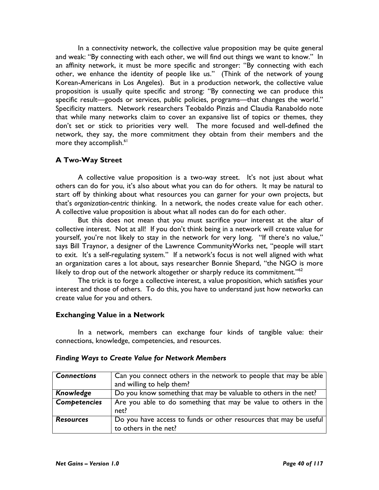In a connectivity network, the collective value proposition may be quite general and weak: "By connecting with each other, we will find out things we want to know." In an affinity network, it must be more specific and stronger: "By connecting with each other, we enhance the identity of people like us." (Think of the network of young Korean-Americans in Los Angeles). But in a production network, the collective value proposition is usually quite specific and strong: "By connecting we can produce this specific result—goods or services, public policies, programs—that changes the world." Specificity matters. Network researchers Teobaldo Pinzás and Claudia Ranaboldo note that while many networks claim to cover an expansive list of topics or themes, they don't set or stick to priorities very well. The more focused and well-defined the network, they say, the more commitment they obtain from their members and the more they accomplish.<sup>61</sup>

# A Two-Way Street

A collective value proposition is a two-way street. It's not just about what others can do for you, it's also about what you can do for others. It may be natural to start off by thinking about what resources you can garner for your own projects, but that's organization-centric thinking. In a network, the nodes create value for each other. A collective value proposition is about what all nodes can do for each other.

But this does not mean that you must sacrifice your interest at the altar of collective interest. Not at all! If you don't think being in a network will create value for yourself, you're not likely to stay in the network for very long. "If there's no value," says Bill Traynor, a designer of the Lawrence CommunityWorks net, "people will start to exit. It's a self-regulating system." If a network's focus is not well aligned with what an organization cares a lot about, says researcher Bonnie Shepard, "the NGO is more likely to drop out of the network altogether or sharply reduce its commitment." $62$ 

The trick is to forge a collective interest, a value proposition, which satisfies your interest and those of others. To do this, you have to understand just how networks can create value for you and others.

# Exchanging Value in a Network

In a network, members can exchange four kinds of tangible value: their connections, knowledge, competencies, and resources.

| <b>Connections</b>  | Can you connect others in the network to people that may be able  |
|---------------------|-------------------------------------------------------------------|
|                     | and willing to help them?                                         |
| Knowledge           | Do you know something that may be valuable to others in the net?  |
| <b>Competencies</b> | Are you able to do something that may be value to others in the   |
|                     | net?                                                              |
| <b>Resources</b>    | Do you have access to funds or other resources that may be useful |
|                     | to others in the net?                                             |

### Finding Ways to Create Value for Network Members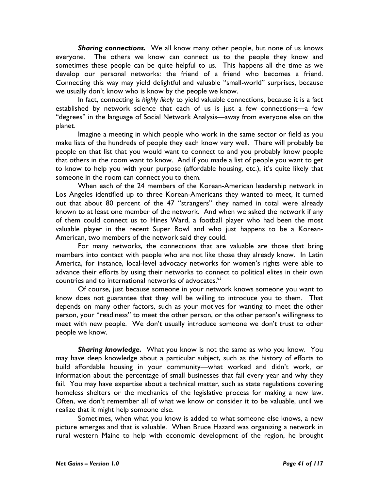Sharing connections. We all know many other people, but none of us knows everyone. The others we know can connect us to the people they know and sometimes these people can be quite helpful to us. This happens all the time as we develop our personal networks: the friend of a friend who becomes a friend. Connecting this way may yield delightful and valuable "small-world" surprises, because we usually don't know who is know by the people we know.

In fact, connecting is highly likely to yield valuable connections, because it is a fact established by network science that each of us is just a few connections—a few "degrees" in the language of Social Network Analysis—away from everyone else on the planet.

Imagine a meeting in which people who work in the same sector or field as you make lists of the hundreds of people they each know very well. There will probably be people on that list that you would want to connect to and you probably know people that others in the room want to know. And if you made a list of people you want to get to know to help you with your purpose (affordable housing, etc.), it's quite likely that someone in the room can connect you to them.

When each of the 24 members of the Korean-American leadership network in Los Angeles identified up to three Korean-Americans they wanted to meet, it turned out that about 80 percent of the 47 "strangers" they named in total were already known to at least one member of the network. And when we asked the network if any of them could connect us to Hines Ward, a football player who had been the most valuable player in the recent Super Bowl and who just happens to be a Korean-American, two members of the network said they could.

For many networks, the connections that are valuable are those that bring members into contact with people who are not like those they already know. In Latin America, for instance, local-level advocacy networks for women's rights were able to advance their efforts by using their networks to connect to political elites in their own countries and to international networks of advocates.<sup>63</sup>

Of course, just because someone in your network knows someone you want to know does not guarantee that they will be willing to introduce you to them. That depends on many other factors, such as your motives for wanting to meet the other person, your "readiness" to meet the other person, or the other person's willingness to meet with new people. We don't usually introduce someone we don't trust to other people we know.

**Sharing knowledge.** What you know is not the same as who you know. You may have deep knowledge about a particular subject, such as the history of efforts to build affordable housing in your community—what worked and didn't work, or information about the percentage of small businesses that fail every year and why they fail. You may have expertise about a technical matter, such as state regulations covering homeless shelters or the mechanics of the legislative process for making a new law. Often, we don't remember all of what we know or consider it to be valuable, until we realize that it might help someone else.

Sometimes, when what you know is added to what someone else knows, a new picture emerges and that is valuable. When Bruce Hazard was organizing a network in rural western Maine to help with economic development of the region, he brought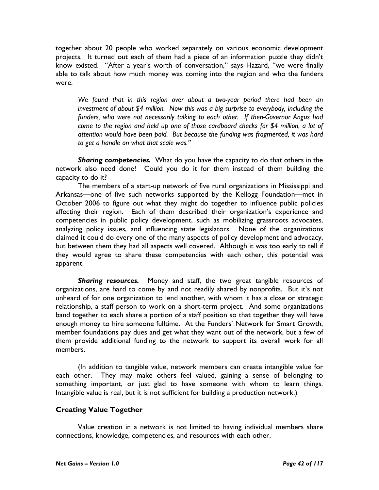together about 20 people who worked separately on various economic development projects. It turned out each of them had a piece of an information puzzle they didn't know existed. "After a year's worth of conversation," says Hazard, "we were finally able to talk about how much money was coming into the region and who the funders were.

We found that in this region over about a two-year period there had been an investment of about \$4 million. Now this was a big surprise to everybody, including the funders, who were not necessarily talking to each other. If then-Governor Angus had come to the region and held up one of those cardboard checks for \$4 million, a lot of attention would have been paid. But because the funding was fragmented, it was hard to get a handle on what that scale was."

Sharing competencies. What do you have the capacity to do that others in the network also need done? Could you do it for them instead of them building the capacity to do it?

The members of a start-up network of five rural organizations in Mississippi and Arkansas—one of five such networks supported by the Kellogg Foundation—met in October 2006 to figure out what they might do together to influence public policies affecting their region. Each of them described their organization's experience and competencies in public policy development, such as mobilizing grassroots advocates, analyzing policy issues, and influencing state legislators. None of the organizations claimed it could do every one of the many aspects of policy development and advocacy, but between them they had all aspects well covered. Although it was too early to tell if they would agree to share these competencies with each other, this potential was apparent.

Sharing resources. Money and staff, the two great tangible resources of organizations, are hard to come by and not readily shared by nonprofits. But it's not unheard of for one organization to lend another, with whom it has a close or strategic relationship, a staff person to work on a short-term project. And some organizations band together to each share a portion of a staff position so that together they will have enough money to hire someone fulltime. At the Funders' Network for Smart Growth, member foundations pay dues and get what they want out of the network, but a few of them provide additional funding to the network to support its overall work for all members.

(In addition to tangible value, network members can create intangible value for each other. They may make others feel valued, gaining a sense of belonging to something important, or just glad to have someone with whom to learn things. Intangible value is real, but it is not sufficient for building a production network.)

# Creating Value Together

Value creation in a network is not limited to having individual members share connections, knowledge, competencies, and resources with each other.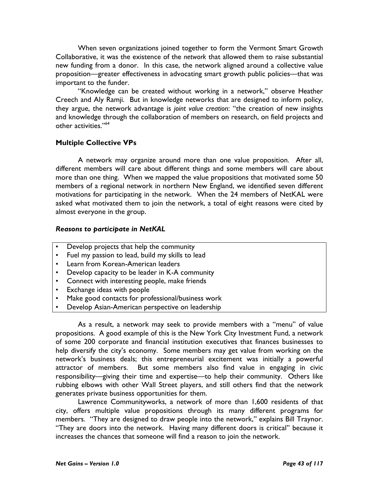When seven organizations joined together to form the Vermont Smart Growth Collaborative, it was the existence of the network that allowed them to raise substantial new funding from a donor. In this case, the network aligned around a collective value proposition—greater effectiveness in advocating smart growth public policies—that was important to the funder.

"Knowledge can be created without working in a network," observe Heather Creech and Aly Ramji. But in knowledge networks that are designed to inform policy, they argue, the network advantage is joint value creation: "the creation of new insights and knowledge through the collaboration of members on research, on field projects and other activities."<sup>64</sup>

# Multiple Collective VPs

A network may organize around more than one value proposition. After all, different members will care about different things and some members will care about more than one thing. When we mapped the value propositions that motivated some 50 members of a regional network in northern New England, we identified seven different motivations for participating in the network. When the 24 members of NetKAL were asked what motivated them to join the network, a total of eight reasons were cited by almost everyone in the group.

## Reasons to participate in NetKAL

- Develop projects that help the community
- Fuel my passion to lead, build my skills to lead
- Learn from Korean-American leaders
- Develop capacity to be leader in K-A community
- Connect with interesting people, make friends
- Exchange ideas with people
- Make good contacts for professional/business work
- Develop Asian-American perspective on leadership

As a result, a network may seek to provide members with a "menu" of value propositions. A good example of this is the New York City Investment Fund, a network of some 200 corporate and financial institution executives that finances businesses to help diversify the city's economy. Some members may get value from working on the network's business deals; this entrepreneurial excitement was initially a powerful attractor of members. But some members also find value in engaging in civic responsibility—giving their time and expertise—to help their community. Others like rubbing elbows with other Wall Street players, and still others find that the network generates private business opportunities for them.

Lawrence Communityworks, a network of more than 1,600 residents of that city, offers multiple value propositions through its many different programs for members. "They are designed to draw people into the network," explains Bill Traynor. "They are doors into the network. Having many different doors is critical" because it increases the chances that someone will find a reason to join the network.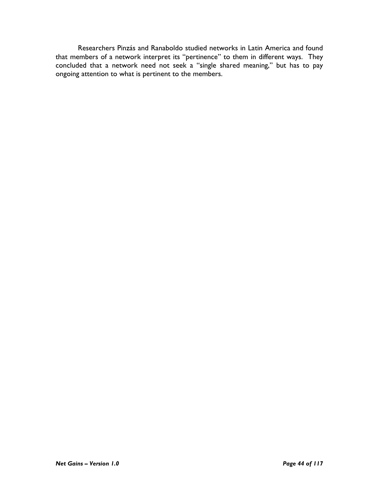Researchers Pinzás and Ranaboldo studied networks in Latin America and found that members of a network interpret its "pertinence" to them in different ways. They concluded that a network need not seek a "single shared meaning," but has to pay ongoing attention to what is pertinent to the members.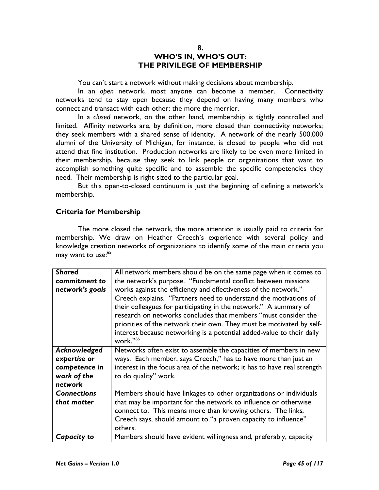### 8. WHO'S IN, WHO'S OUT: THE PRIVILEGE OF MEMBERSHIP

You can't start a network without making decisions about membership.

In an open network, most anyone can become a member. Connectivity networks tend to stay open because they depend on having many members who connect and transact with each other; the more the merrier.

In a closed network, on the other hand, membership is tightly controlled and limited. Affinity networks are, by definition, more closed than connectivity networks; they seek members with a shared sense of identity. A network of the nearly 500,000 alumni of the University of Michigan, for instance, is closed to people who did not attend that fine institution. Production networks are likely to be even more limited in their membership, because they seek to link people or organizations that want to accomplish something quite specific and to assemble the specific competencies they need. Their membership is right-sized to the particular goal.

But this open-to-closed continuum is just the beginning of defining a network's membership.

## Criteria for Membership

The more closed the network, the more attention is usually paid to criteria for membership. We draw on Heather Creech's experience with several policy and knowledge creation networks of organizations to identify some of the main criteria you may want to use:<sup>65</sup>

| <b>Shared</b>      | All network members should be on the same page when it comes to                                                                                                                                                                                                                                                                                                     |
|--------------------|---------------------------------------------------------------------------------------------------------------------------------------------------------------------------------------------------------------------------------------------------------------------------------------------------------------------------------------------------------------------|
| commitment to      | the network's purpose. "Fundamental conflict between missions                                                                                                                                                                                                                                                                                                       |
| network's goals    | works against the efficiency and effectiveness of the network,"                                                                                                                                                                                                                                                                                                     |
|                    | Creech explains. "Partners need to understand the motivations of<br>their colleagues for participating in the network." A summary of<br>research on networks concludes that members "must consider the<br>priorities of the network their own. They must be motivated by self-<br>interest because networking is a potential added-value to their daily<br>work."66 |
| Acknowledged       | Networks often exist to assemble the capacities of members in new                                                                                                                                                                                                                                                                                                   |
| expertise or       | ways. Each member, says Creech," has to have more than just an                                                                                                                                                                                                                                                                                                      |
| competence in      | interest in the focus area of the network; it has to have real strength                                                                                                                                                                                                                                                                                             |
| work of the        | to do quality" work.                                                                                                                                                                                                                                                                                                                                                |
| network            |                                                                                                                                                                                                                                                                                                                                                                     |
| <b>Connections</b> | Members should have linkages to other organizations or individuals                                                                                                                                                                                                                                                                                                  |
| that matter        | that may be important for the network to influence or otherwise                                                                                                                                                                                                                                                                                                     |
|                    | connect to. This means more than knowing others. The links,                                                                                                                                                                                                                                                                                                         |
|                    | Creech says, should amount to "a proven capacity to influence"                                                                                                                                                                                                                                                                                                      |
|                    | others.                                                                                                                                                                                                                                                                                                                                                             |
| Capacity to        | Members should have evident willingness and, preferably, capacity                                                                                                                                                                                                                                                                                                   |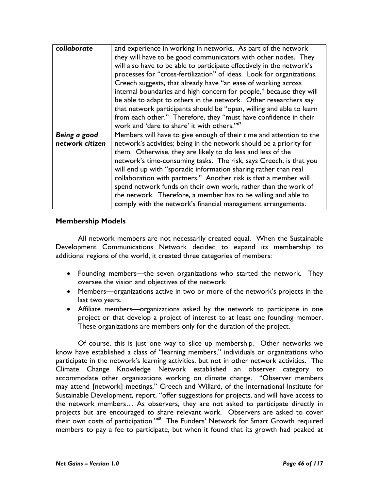| collaborate     | and experience in working in networks. As part of the network         |
|-----------------|-----------------------------------------------------------------------|
|                 | they will have to be good communicators with other nodes. They        |
|                 | will also have to be able to participate effectively in the network's |
|                 | processes for "cross-fertilization" of ideas. Look for organizations, |
|                 | Creech suggests, that already have "an ease of working across         |
|                 | internal boundaries and high concern for people," because they will   |
|                 | be able to adapt to others in the network. Other researchers say      |
|                 | that network participants should be "open, willing and able to learn  |
|                 | from each other." Therefore, they "must have confidence in their      |
|                 | work and 'dare to share' it with others."67                           |
| Being a good    | Members will have to give enough of their time and attention to the   |
| network citizen | network's activities; being in the network should be a priority for   |
|                 | them. Otherwise, they are likely to do less and less of the           |
|                 | network's time-consuming tasks. The risk, says Creech, is that you    |
|                 | will end up with "sporadic information sharing rather than real       |
|                 | collaboration with partners." Another risk is that a member will      |
|                 | spend network funds on their own work, rather than the work of        |
|                 | the network. Therefore, a member has to be willing and able to        |
|                 | comply with the network's financial management arrangements.          |

## Membership Models

 All network members are not necessarily created equal. When the Sustainable Development Communications Network decided to expand its membership to additional regions of the world, it created three categories of members:

- Founding members—the seven organizations who started the network. They oversee the vision and objectives of the network.
- Members—organizations active in two or more of the network's projects in the last two years.
- Affiliate members—organizations asked by the network to participate in one project or that develop a project of interest to at least one founding member. These organizations are members only for the duration of the project.

Of course, this is just one way to slice up membership. Other networks we know have established a class of "learning members," individuals or organizations who participate in the network's learning activities, but not in other network activities. The Climate Change Knowledge Network established an observer category to accommodate other organizations working on climate change. "Observer members may attend [network] meetings," Creech and Willard, of the International Institute for Sustainable Development, report, "offer suggestions for projects, and will have access to the network members… As observers, they are not asked to participate directly in projects but are encouraged to share relevant work. Observers are asked to cover their own costs of participation."<sup>68</sup> The Funders' Network for Smart Growth required members to pay a fee to participate, but when it found that its growth had peaked at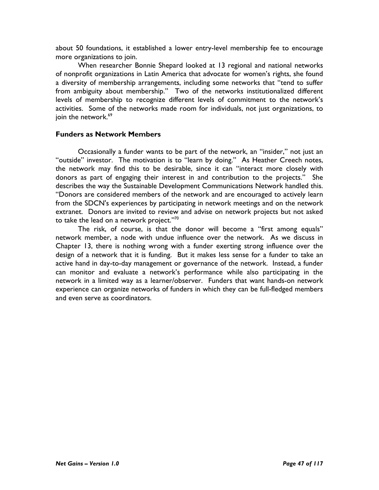about 50 foundations, it established a lower entry-level membership fee to encourage more organizations to join.

When researcher Bonnie Shepard looked at 13 regional and national networks of nonprofit organizations in Latin America that advocate for women's rights, she found a diversity of membership arrangements, including some networks that "tend to suffer from ambiguity about membership." Two of the networks institutionalized different levels of membership to recognize different levels of commitment to the network's activities. Some of the networks made room for individuals, not just organizations, to join the network.<sup>69</sup>

## Funders as Network Members

Occasionally a funder wants to be part of the network, an "insider," not just an "outside" investor. The motivation is to "learn by doing." As Heather Creech notes, the network may find this to be desirable, since it can "interact more closely with donors as part of engaging their interest in and contribution to the projects." She describes the way the Sustainable Development Communications Network handled this. "Donors are considered members of the network and are encouraged to actively learn from the SDCN's experiences by participating in network meetings and on the network extranet. Donors are invited to review and advise on network projects but not asked to take the lead on a network project."70

The risk, of course, is that the donor will become a "first among equals" network member, a node with undue influence over the network. As we discuss in Chapter 13, there is nothing wrong with a funder exerting strong influence over the design of a network that it is funding. But it makes less sense for a funder to take an active hand in day-to-day management or governance of the network. Instead, a funder can monitor and evaluate a network's performance while also participating in the network in a limited way as a learner/observer. Funders that want hands-on network experience can organize networks of funders in which they can be full-fledged members and even serve as coordinators.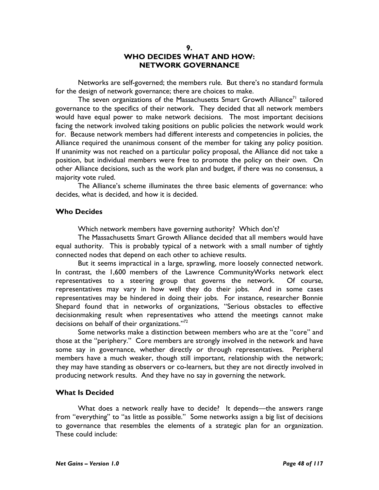### 9. WHO DECIDES WHAT AND HOW: NETWORK GOVERNANCE

Networks are self-governed; the members rule. But there's no standard formula for the design of network governance; there are choices to make.

The seven organizations of the Massachusetts Smart Growth Alliance<sup>71</sup> tailored governance to the specifics of their network. They decided that all network members would have equal power to make network decisions. The most important decisions facing the network involved taking positions on public policies the network would work for. Because network members had different interests and competencies in policies, the Alliance required the unanimous consent of the member for taking any policy position. If unanimity was not reached on a particular policy proposal, the Alliance did not take a position, but individual members were free to promote the policy on their own. On other Alliance decisions, such as the work plan and budget, if there was no consensus, a majority vote ruled.

The Alliance's scheme illuminates the three basic elements of governance: who decides, what is decided, and how it is decided.

### Who Decides

Which network members have governing authority? Which don't?

The Massachusetts Smart Growth Alliance decided that all members would have equal authority. This is probably typical of a network with a small number of tightly connected nodes that depend on each other to achieve results.

But it seems impractical in a large, sprawling, more loosely connected network. In contrast, the 1,600 members of the Lawrence CommunityWorks network elect representatives to a steering group that governs the network. Of course, representatives may vary in how well they do their jobs. And in some cases representatives may be hindered in doing their jobs. For instance, researcher Bonnie Shepard found that in networks of organizations, "Serious obstacles to effective decisionmaking result when representatives who attend the meetings cannot make decisions on behalf of their organizations."<sup>72</sup>

Some networks make a distinction between members who are at the "core" and those at the "periphery." Core members are strongly involved in the network and have some say in governance, whether directly or through representatives. Peripheral members have a much weaker, though still important, relationship with the network; they may have standing as observers or co-learners, but they are not directly involved in producing network results. And they have no say in governing the network.

#### What Is Decided

What does a network really have to decide? It depends—the answers range from "everything" to "as little as possible." Some networks assign a big list of decisions to governance that resembles the elements of a strategic plan for an organization. These could include: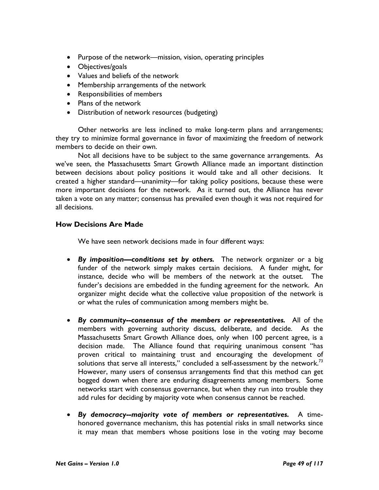- Purpose of the network—mission, vision, operating principles
- Objectives/goals
- Values and beliefs of the network
- Membership arrangements of the network
- Responsibilities of members
- Plans of the network
- Distribution of network resources (budgeting)

Other networks are less inclined to make long-term plans and arrangements; they try to minimize formal governance in favor of maximizing the freedom of network members to decide on their own.

Not all decisions have to be subject to the same governance arrangements. As we've seen, the Massachusetts Smart Growth Alliance made an important distinction between decisions about policy positions it would take and all other decisions. It created a higher standard—unanimity—for taking policy positions, because these were more important decisions for the network. As it turned out, the Alliance has never taken a vote on any matter; consensus has prevailed even though it was not required for all decisions.

# How Decisions Are Made

We have seen network decisions made in four different ways:

- By imposition—conditions set by others. The network organizer or a big funder of the network simply makes certain decisions. A funder might, for instance, decide who will be members of the network at the outset. The funder's decisions are embedded in the funding agreement for the network. An organizer might decide what the collective value proposition of the network is or what the rules of communication among members might be.
- By community--consensus of the members or representatives. All of the members with governing authority discuss, deliberate, and decide. As the Massachusetts Smart Growth Alliance does, only when 100 percent agree, is a decision made. The Alliance found that requiring unanimous consent "has proven critical to maintaining trust and encouraging the development of solutions that serve all interests," concluded a self-assessment by the network.<sup>73</sup> However, many users of consensus arrangements find that this method can get bogged down when there are enduring disagreements among members. Some networks start with consensus governance, but when they run into trouble they add rules for deciding by majority vote when consensus cannot be reached.
- By democracy--majority vote of members or representatives. A timehonored governance mechanism, this has potential risks in small networks since it may mean that members whose positions lose in the voting may become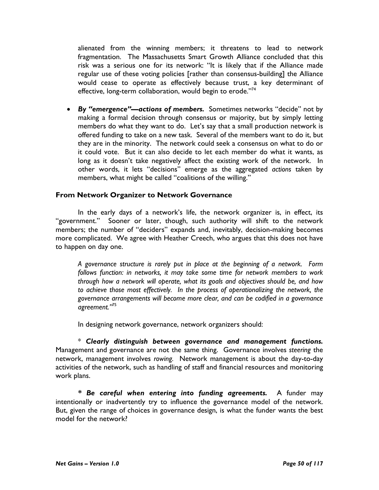alienated from the winning members; it threatens to lead to network fragmentation. The Massachusetts Smart Growth Alliance concluded that this risk was a serious one for its network: "It is likely that if the Alliance made regular use of these voting policies [rather than consensus-building] the Alliance would cease to operate as effectively because trust, a key determinant of effective, long-term collaboration, would begin to erode."<sup>74</sup>

• By "emergence"—actions of members. Sometimes networks "decide" not by making a formal decision through consensus or majority, but by simply letting members do what they want to do. Let's say that a small production network is offered funding to take on a new task. Several of the members want to do it, but they are in the minority. The network could seek a consensus on what to do or it could vote. But it can also decide to let each member do what it wants, as long as it doesn't take negatively affect the existing work of the network. In other words, it lets "decisions" emerge as the aggregated actions taken by members, what might be called "coalitions of the willing."

## From Network Organizer to Network Governance

In the early days of a network's life, the network organizer is, in effect, its "government." Sooner or later, though, such authority will shift to the network members; the number of "deciders" expands and, inevitably, decision-making becomes more complicated. We agree with Heather Creech, who argues that this does not have to happen on day one.

A governance structure is rarely put in place at the beginning of a network. Form follows function: in networks, it may take some time for network members to work through how a network will operate, what its goals and objectives should be, and how to achieve those most effectively. In the process of operationalizing the network, the governance arrangements will become more clear, and can be codified in a governance agreement."<sup>75</sup>

In designing network governance, network organizers should:

 $*$  Clearly distinguish between governance and management functions. Management and governance are not the same thing. Governance involves steering the network, management involves rowing. Network management is about the day-to-day activities of the network, such as handling of staff and financial resources and monitoring work plans.

\* Be careful when entering into funding agreements. A funder may intentionally or inadvertently try to influence the governance model of the network. But, given the range of choices in governance design, is what the funder wants the best model for the network?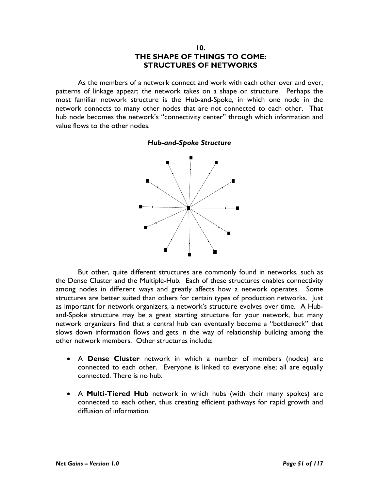### 10. THE SHAPE OF THINGS TO COME: STRUCTURES OF NETWORKS

As the members of a network connect and work with each other over and over, patterns of linkage appear; the network takes on a shape or structure. Perhaps the most familiar network structure is the Hub-and-Spoke, in which one node in the network connects to many other nodes that are not connected to each other. That hub node becomes the network's "connectivity center" through which information and value flows to the other nodes.

#### Hub-and-Spoke Structure



But other, quite different structures are commonly found in networks, such as the Dense Cluster and the Multiple-Hub. Each of these structures enables connectivity among nodes in different ways and greatly affects how a network operates. Some structures are better suited than others for certain types of production networks. Just as important for network organizers, a network's structure evolves over time. A Huband-Spoke structure may be a great starting structure for your network, but many network organizers find that a central hub can eventually become a "bottleneck" that slows down information flows and gets in the way of relationship building among the other network members. Other structures include:

- A Dense Cluster network in which a number of members (nodes) are connected to each other. Everyone is linked to everyone else; all are equally connected. There is no hub.
- A **Multi-Tiered Hub** network in which hubs (with their many spokes) are connected to each other, thus creating efficient pathways for rapid growth and diffusion of information.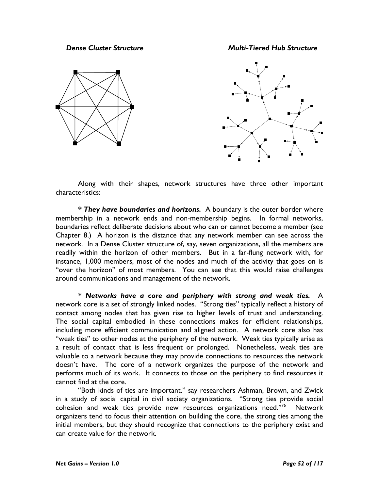Dense Cluster Structure Multi-Tiered Hub Structure





Along with their shapes, network structures have three other important characteristics:

\* They have boundaries and horizons. A boundary is the outer border where membership in a network ends and non-membership begins. In formal networks, boundaries reflect deliberate decisions about who can or cannot become a member (see Chapter 8.) A horizon is the distance that any network member can see across the network. In a Dense Cluster structure of, say, seven organizations, all the members are readily within the horizon of other members. But in a far-flung network with, for instance, 1,000 members, most of the nodes and much of the activity that goes on is "over the horizon" of most members. You can see that this would raise challenges around communications and management of the network.

\* Networks have a core and periphery with strong and weak ties. A network core is a set of strongly linked nodes. "Strong ties" typically reflect a history of contact among nodes that has given rise to higher levels of trust and understanding. The social capital embodied in these connections makes for efficient relationships, including more efficient communication and aligned action. A network core also has "weak ties" to other nodes at the periphery of the network. Weak ties typically arise as a result of contact that is less frequent or prolonged. Nonetheless, weak ties are valuable to a network because they may provide connections to resources the network doesn't have. The core of a network organizes the purpose of the network and performs much of its work. It connects to those on the periphery to find resources it cannot find at the core.

"Both kinds of ties are important," say researchers Ashman, Brown, and Zwick in a study of social capital in civil society organizations. "Strong ties provide social cohesion and weak ties provide new resources organizations need."<sup>76</sup> Network organizers tend to focus their attention on building the core, the strong ties among the initial members, but they should recognize that connections to the periphery exist and can create value for the network.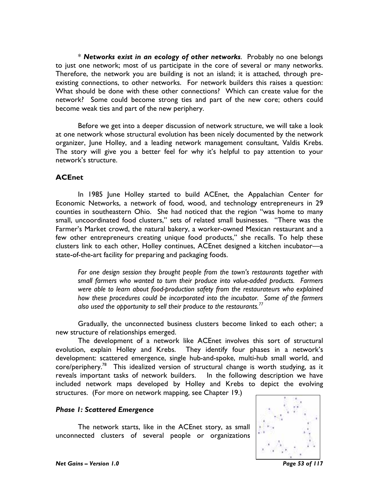\* Networks exist in an ecology of other networks. Probably no one belongs to just one network; most of us participate in the core of several or many networks. Therefore, the network you are building is not an island; it is attached, through preexisting connections, to other networks. For network builders this raises a question: What should be done with these other connections? Which can create value for the network? Some could become strong ties and part of the new core; others could become weak ties and part of the new periphery.

Before we get into a deeper discussion of network structure, we will take a look at one network whose structural evolution has been nicely documented by the network organizer, June Holley, and a leading network management consultant, Valdis Krebs. The story will give you a better feel for why it's helpful to pay attention to your network's structure.

## ACEnet

In 1985 June Holley started to build ACEnet, the Appalachian Center for Economic Networks, a network of food, wood, and technology entrepreneurs in 29 counties in southeastern Ohio. She had noticed that the region "was home to many small, uncoordinated food clusters," sets of related small businesses. "There was the Farmer's Market crowd, the natural bakery, a worker-owned Mexican restaurant and a few other entrepreneurs creating unique food products," she recalls. To help these clusters link to each other, Holley continues, ACEnet designed a kitchen incubator—a state-of-the-art facility for preparing and packaging foods.

For one design session they brought people from the town's restaurants together with small farmers who wanted to turn their produce into value-added products. Farmers were able to learn about food-production safety from the restaurateurs who explained how these procedures could be incorporated into the incubator. Some of the farmers also used the opportunity to sell their produce to the restaurants.<sup>77</sup>

Gradually, the unconnected business clusters become linked to each other; a new structure of relationships emerged.

The development of a network like ACEnet involves this sort of structural evolution, explain Holley and Krebs. They identify four phases in a network's development: scattered emergence, single hub-and-spoke, multi-hub small world, and core/periphery.<sup>78</sup> This idealized version of structural change is worth studying, as it reveals important tasks of network builders. In the following description we have included network maps developed by Holley and Krebs to depict the evolving structures. (For more on network mapping, see Chapter 19.)

#### Phase 1: Scattered Emergence

The network starts, like in the ACEnet story, as small unconnected clusters of several people or organizations

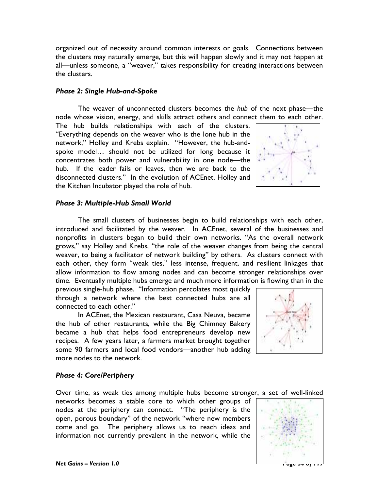organized out of necessity around common interests or goals. Connections between the clusters may naturally emerge, but this will happen slowly and it may not happen at all—unless someone, a "weaver," takes responsibility for creating interactions between the clusters.

# Phase 2: Single Hub-and-Spoke

The weaver of unconnected clusters becomes the hub of the next phase—the node whose vision, energy, and skills attract others and connect them to each other.

The hub builds relationships with each of the clusters. "Everything depends on the weaver who is the lone hub in the network," Holley and Krebs explain. "However, the hub-andspoke model… should not be utilized for long because it concentrates both power and vulnerability in one node—the hub. If the leader fails or leaves, then we are back to the disconnected clusters." In the evolution of ACEnet, Holley and the Kitchen Incubator played the role of hub.



### Phase 3: Multiple-Hub Small World

The small clusters of businesses begin to build relationships with each other, introduced and facilitated by the weaver. In ACEnet, several of the businesses and nonprofits in clusters began to build their own networks. "As the overall network grows," say Holley and Krebs, "the role of the weaver changes from being the central weaver, to being a facilitator of network building" by others. As clusters connect with each other, they form "weak ties," less intense, frequent, and resilient linkages that allow information to flow among nodes and can become stronger relationships over time. Eventually multiple hubs emerge and much more information is flowing than in the

previous single-hub phase. "Information percolates most quickly through a network where the best connected hubs are all connected to each other."

In ACEnet, the Mexican restaurant, Casa Neuva, became the hub of other restaurants, while the Big Chimney Bakery became a hub that helps food entrepreneurs develop new recipes. A few years later, a farmers market brought together some 90 farmers and local food vendors—another hub adding more nodes to the network.



### Phase 4: Core/Periphery

Over time, as weak ties among multiple hubs become stronger, a set of well-linked

networks becomes a stable core to which other groups of nodes at the periphery can connect. "The periphery is the open, porous boundary" of the network "where new members come and go. The periphery allows us to reach ideas and information not currently prevalent in the network, while the

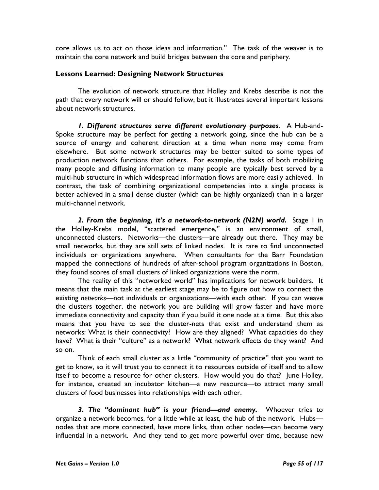core allows us to act on those ideas and information." The task of the weaver is to maintain the core network and build bridges between the core and periphery.

# Lessons Learned: Designing Network Structures

The evolution of network structure that Holley and Krebs describe is not the path that every network will or should follow, but it illustrates several important lessons about network structures.

1. Different structures serve different evolutionary purposes. A Hub-and-Spoke structure may be perfect for getting a network going, since the hub can be a source of energy and coherent direction at a time when none may come from elsewhere. But some network structures may be better suited to some types of production network functions than others. For example, the tasks of both mobilizing many people and diffusing information to many people are typically best served by a multi-hub structure in which widespread information flows are more easily achieved. In contrast, the task of combining organizational competencies into a single process is better achieved in a small dense cluster (which can be highly organized) than in a larger multi-channel network.

2. From the beginning, it's a network-to-network  $(N2N)$  world. Stage I in the Holley-Krebs model, "scattered emergence," is an environment of small, unconnected clusters. Networks—the clusters—are already out there. They may be small networks, but they are still sets of linked nodes. It is rare to find unconnected individuals or organizations anywhere. When consultants for the Barr Foundation mapped the connections of hundreds of after-school program organizations in Boston, they found scores of small clusters of linked organizations were the norm.

The reality of this "networked world" has implications for network builders. It means that the main task at the earliest stage may be to figure out how to connect the existing networks—not individuals or organizations—with each other. If you can weave the clusters together, the network you are building will grow faster and have more immediate connectivity and capacity than if you build it one node at a time. But this also means that you have to see the cluster-nets that exist and understand them as networks: What is their connectivity? How are they aligned? What capacities do they have? What is their "culture" as a network? What network effects do they want? And so on.

Think of each small cluster as a little "community of practice" that you want to get to know, so it will trust you to connect it to resources outside of itself and to allow itself to become a resource for other clusters. How would you do that? June Holley, for instance, created an incubator kitchen—a new resource—to attract many small clusters of food businesses into relationships with each other.

3. The "dominant hub" is your friend—and enemy. Whoever tries to organize a network becomes, for a little while at least, the hub of the network. Hubs nodes that are more connected, have more links, than other nodes—can become very influential in a network. And they tend to get more powerful over time, because new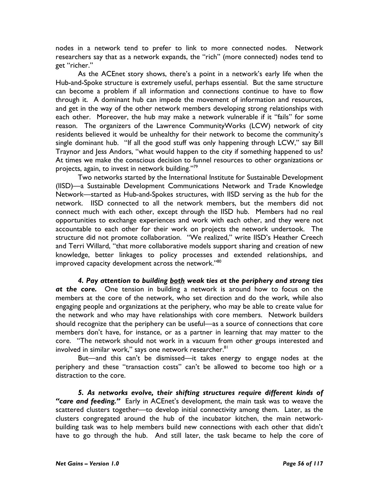nodes in a network tend to prefer to link to more connected nodes. Network researchers say that as a network expands, the "rich" (more connected) nodes tend to get "richer."

As the ACEnet story shows, there's a point in a network's early life when the Hub-and-Spoke structure is extremely useful, perhaps essential. But the same structure can become a problem if all information and connections continue to have to flow through it. A dominant hub can impede the movement of information and resources, and get in the way of the other network members developing strong relationships with each other. Moreover, the hub may make a network vulnerable if it "fails" for some reason. The organizers of the Lawrence CommunityWorks (LCW) network of city residents believed it would be unhealthy for their network to become the community's single dominant hub. "If all the good stuff was only happening through LCW," say Bill Traynor and Jess Andors, "what would happen to the city if something happened to us? At times we make the conscious decision to funnel resources to other organizations or projects, again, to invest in network building."<sup>79</sup>

Two networks started by the International Institute for Sustainable Development (IISD)—a Sustainable Development Communications Network and Trade Knowledge Network—started as Hub-and-Spokes structures, with IISD serving as the hub for the network. IISD connected to all the network members, but the members did not connect much with each other, except through the IISD hub. Members had no real opportunities to exchange experiences and work with each other, and they were not accountable to each other for their work on projects the network undertook. The structure did not promote collaboration. "We realized," write IISD's Heather Creech and Terri Willard, "that more collaborative models support sharing and creation of new knowledge, better linkages to policy processes and extended relationships, and improved capacity development across the network."<sup>80</sup>

4. Pay attention to building **both** weak ties at the periphery and strong ties at the core. One tension in building a network is around how to focus on the members at the core of the network, who set direction and do the work, while also engaging people and organizations at the periphery, who may be able to create value for the network and who may have relationships with core members. Network builders should recognize that the periphery can be useful—as a source of connections that core members don't have, for instance, or as a partner in learning that may matter to the core. "The network should not work in a vacuum from other groups interested and involved in similar work," says one network researcher.<sup>81</sup>

But—and this can't be dismissed—it takes energy to engage nodes at the periphery and these "transaction costs" can't be allowed to become too high or a distraction to the core.

5. As networks evolve, their shifting structures require different kinds of "care and feeding." Early in ACEnet's development, the main task was to weave the scattered clusters together—to develop initial connectivity among them. Later, as the clusters congregated around the hub of the incubator kitchen, the main networkbuilding task was to help members build new connections with each other that didn't have to go through the hub. And still later, the task became to help the core of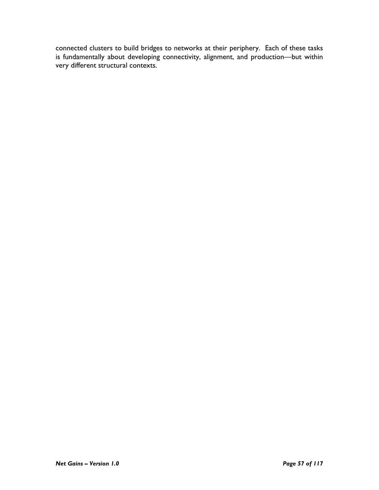connected clusters to build bridges to networks at their periphery. Each of these tasks is fundamentally about developing connectivity, alignment, and production—but within very different structural contexts.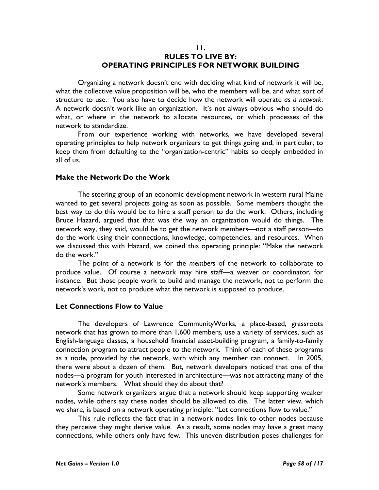### 11. RULES TO LIVE BY: OPERATING PRINCIPLES FOR NETWORK BUILDING

Organizing a network doesn't end with deciding what kind of network it will be, what the collective value proposition will be, who the members will be, and what sort of structure to use. You also have to decide how the network will operate as a network. A network doesn't work like an organization. It's not always obvious who should do what, or where in the network to allocate resources, or which processes of the network to standardize.

From our experience working with networks, we have developed several operating principles to help network organizers to get things going and, in particular, to keep them from defaulting to the "organization-centric" habits so deeply embedded in all of us.

### Make the Network Do the Work

The steering group of an economic development network in western rural Maine wanted to get several projects going as soon as possible. Some members thought the best way to do this would be to hire a staff person to do the work. Others, including Bruce Hazard, argued that that was the way an organization would do things. The network way, they said, would be to get the network members—not a staff person—to do the work using their connections, knowledge, competencies, and resources. When we discussed this with Hazard, we coined this operating principle: "Make the network do the work."

The point of a network is for the members of the network to collaborate to produce value. Of course a network may hire staff—a weaver or coordinator, for instance. But those people work to build and manage the network, not to perform the network's work, not to produce what the network is supposed to produce.

#### Let Connections Flow to Value

The developers of Lawrence CommunityWorks, a place-based, grassroots network that has grown to more than 1,600 members, use a variety of services, such as English-language classes, a household financial asset-building program, a family-to-family connection program to attract people to the network. Think of each of these programs as a node, provided by the network, with which any member can connect. In 2005, there were about a dozen of them. But, network developers noticed that one of the nodes—a program for youth interested in architecture—was not attracting many of the network's members. What should they do about that?

Some network organizers argue that a network should keep supporting weaker nodes, while others say these nodes should be allowed to die. The latter view, which we share, is based on a network operating principle: "Let connections flow to value."

This rule reflects the fact that in a network nodes link to other nodes because they perceive they might derive value. As a result, some nodes may have a great many connections, while others only have few. This uneven distribution poses challenges for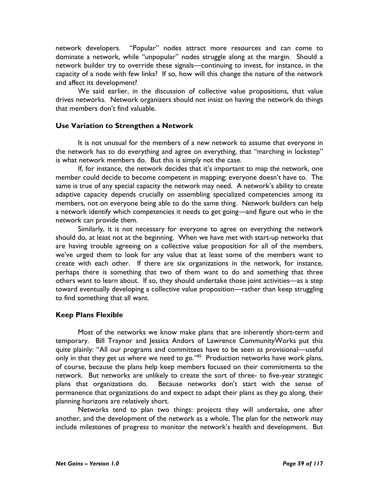network developers. "Popular" nodes attract more resources and can come to dominate a network, while "unpopular" nodes struggle along at the margin. Should a network builder try to override these signals—continuing to invest, for instance, in the capacity of a node with few links? If so, how will this change the nature of the network and affect its development?

We said earlier, in the discussion of collective value propositions, that value drives networks. Network organizers should not insist on having the network do things that members don't find valuable.

## Use Variation to Strengthen a Network

It is not unusual for the members of a new network to assume that everyone in the network has to do everything and agree on everything, that "marching in lockstep" is what network members do. But this is simply not the case.

If, for instance, the network decides that it's important to map the network, one member could decide to become competent in mapping; everyone doesn't have to. The same is true of any special capacity the network may need. A network's ability to create adaptive capacity depends crucially on assembling specialized competencies among its members, not on everyone being able to do the same thing. Network builders can help a network identify which competencies it needs to get going—and figure out who in the network can provide them.

Similarly, it is not necessary for everyone to agree on everything the network should do, at least not at the beginning. When we have met with start-up networks that are having trouble agreeing on a collective value proposition for all of the members, we've urged them to look for any value that at least some of the members want to create with each other. If there are six organizations in the network, for instance, perhaps there is something that two of them want to do and something that three others want to learn about. If so, they should undertake those joint activities—as a step toward eventually developing a collective value proposition—rather than keep struggling to find something that all want.

# Keep Plans Flexible

 Most of the networks we know make plans that are inherently short-term and temporary. Bill Traynor and Jessica Andors of Lawrence CommunityWorks put this quite plainly: "All our programs and committees have to be seen as provisional—useful only in that they get us where we need to go."<sup>82</sup> Production networks have work plans, of course, because the plans help keep members focused on their commitments to the network. But networks are unlikely to create the sort of three- to five-year strategic plans that organizations do. Because networks don't start with the sense of permanence that organizations do and expect to adapt their plans as they go along, their planning horizons are relatively short.

 Networks tend to plan two things: projects they will undertake, one after another, and the development of the network as a whole. The plan for the network may include milestones of progress to monitor the network's health and development. But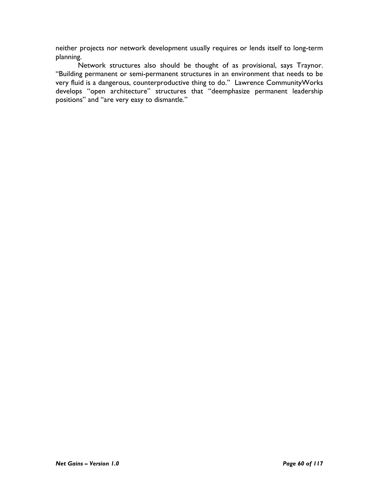neither projects nor network development usually requires or lends itself to long-term planning.

Network structures also should be thought of as provisional, says Traynor. "Building permanent or semi-permanent structures in an environment that needs to be very fluid is a dangerous, counterproductive thing to do." Lawrence CommunityWorks develops "open architecture" structures that "deemphasize permanent leadership positions" and "are very easy to dismantle."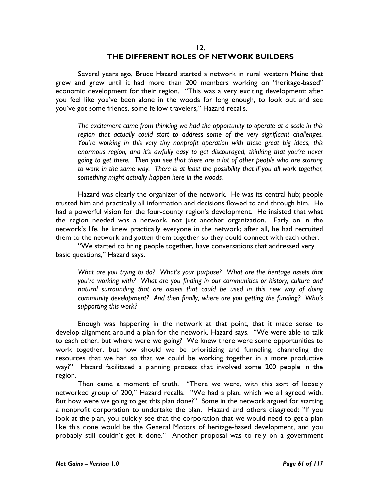### 12. THE DIFFERENT ROLES OF NETWORK BUILDERS

Several years ago, Bruce Hazard started a network in rural western Maine that grew and grew until it had more than 200 members working on "heritage-based" economic development for their region. "This was a very exciting development: after you feel like you've been alone in the woods for long enough, to look out and see you've got some friends, some fellow travelers," Hazard recalls.

The excitement came from thinking we had the opportunity to operate at a scale in this region that actually could start to address some of the very significant challenges. You're working in this very tiny nonprofit operation with these great big ideas, this enormous region, and it's awfully easy to get discouraged, thinking that you're never going to get there. Then you see that there are a lot of other people who are starting to work in the same way. There is at least the possibility that if you all work together, something might actually happen here in the woods.

Hazard was clearly the organizer of the network. He was its central hub; people trusted him and practically all information and decisions flowed to and through him. He had a powerful vision for the four-county region's development. He insisted that what the region needed was a network, not just another organization. Early on in the network's life, he knew practically everyone in the network; after all, he had recruited them to the network and gotten them together so they could connect with each other.

"We started to bring people together, have conversations that addressed very basic questions," Hazard says.

What are you trying to do? What's your purpose? What are the heritage assets that you're working with? What are you finding in our communities or history, culture and natural surrounding that are assets that could be used in this new way of doing community development? And then finally, where are you getting the funding? Who's supporting this work?

 Enough was happening in the network at that point, that it made sense to develop alignment around a plan for the network, Hazard says. "We were able to talk to each other, but where were we going? We knew there were some opportunities to work together, but how should we be prioritizing and funneling, channeling the resources that we had so that we could be working together in a more productive way?" Hazard facilitated a planning process that involved some 200 people in the region.

 Then came a moment of truth. "There we were, with this sort of loosely networked group of 200," Hazard recalls. "We had a plan, which we all agreed with. But how were we going to get this plan done?" Some in the network argued for starting a nonprofit corporation to undertake the plan. Hazard and others disagreed: "If you look at the plan, you quickly see that the corporation that we would need to get a plan like this done would be the General Motors of heritage-based development, and you probably still couldn't get it done." Another proposal was to rely on a government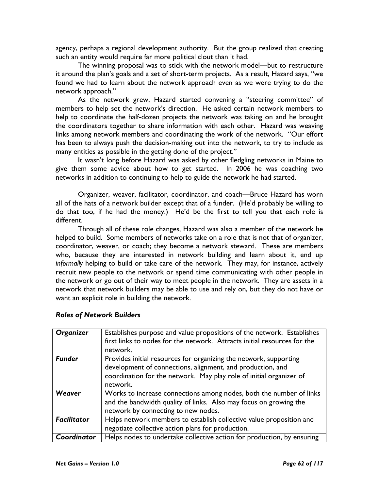agency, perhaps a regional development authority. But the group realized that creating such an entity would require far more political clout than it had.

 The winning proposal was to stick with the network model—but to restructure it around the plan's goals and a set of short-term projects. As a result, Hazard says, "we found we had to learn about the network approach even as we were trying to do the network approach."

As the network grew, Hazard started convening a "steering committee" of members to help set the network's direction. He asked certain network members to help to coordinate the half-dozen projects the network was taking on and he brought the coordinators together to share information with each other. Hazard was weaving links among network members and coordinating the work of the network. "Our effort has been to always push the decision-making out into the network, to try to include as many entities as possible in the getting done of the project."

 It wasn't long before Hazard was asked by other fledgling networks in Maine to give them some advice about how to get started. In 2006 he was coaching two networks in addition to continuing to help to guide the network he had started.

 Organizer, weaver, facilitator, coordinator, and coach—Bruce Hazard has worn all of the hats of a network builder except that of a funder. (He'd probably be willing to do that too, if he had the money.) He'd be the first to tell you that each role is different.

 Through all of these role changes, Hazard was also a member of the network he helped to build. Some members of networks take on a role that is not that of organizer, coordinator, weaver, or coach; they become a network steward. These are members who, because they are interested in network building and learn about it, end up informally helping to build or take care of the network. They may, for instance, actively recruit new people to the network or spend time communicating with other people in the network or go out of their way to meet people in the network. They are assets in a network that network builders may be able to use and rely on, but they do not have or want an explicit role in building the network.

| Organizer          | Establishes purpose and value propositions of the network. Establishes<br>first links to nodes for the network. Attracts initial resources for the<br>network.                                                     |
|--------------------|--------------------------------------------------------------------------------------------------------------------------------------------------------------------------------------------------------------------|
| <b>Funder</b>      | Provides initial resources for organizing the network, supporting<br>development of connections, alignment, and production, and<br>coordination for the network. May play role of initial organizer of<br>network. |
| Weaver             | Works to increase connections among nodes, both the number of links<br>and the bandwidth quality of links. Also may focus on growing the<br>network by connecting to new nodes.                                    |
| <b>Facilitator</b> | Helps network members to establish collective value proposition and<br>negotiate collective action plans for production.                                                                                           |
| Coordinator        | Helps nodes to undertake collective action for production, by ensuring                                                                                                                                             |

# Roles of Network Builders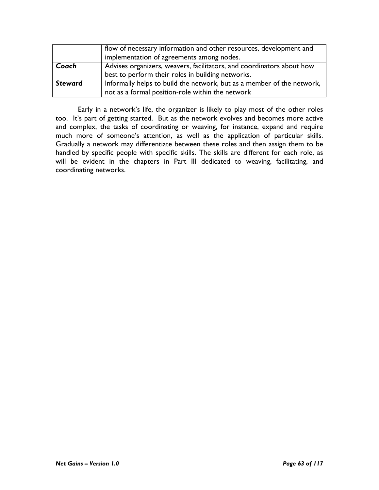|         | flow of necessary information and other resources, development and     |
|---------|------------------------------------------------------------------------|
|         | implementation of agreements among nodes.                              |
| Coach   | Advises organizers, weavers, facilitators, and coordinators about how  |
|         | best to perform their roles in building networks.                      |
| Steward | Informally helps to build the network, but as a member of the network, |
|         | not as a formal position-role within the network                       |

Early in a network's life, the organizer is likely to play most of the other roles too. It's part of getting started. But as the network evolves and becomes more active and complex, the tasks of coordinating or weaving, for instance, expand and require much more of someone's attention, as well as the application of particular skills. Gradually a network may differentiate between these roles and then assign them to be handled by specific people with specific skills. The skills are different for each role, as will be evident in the chapters in Part III dedicated to weaving, facilitating, and coordinating networks.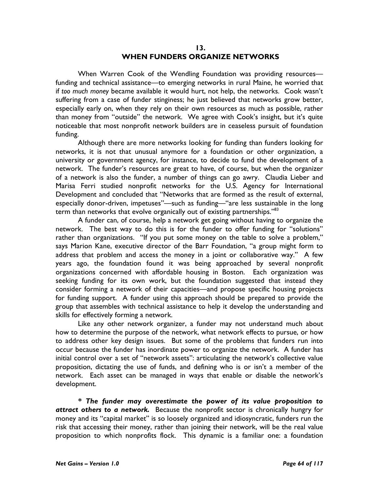### 13. WHEN FUNDERS ORGANIZE NETWORKS

When Warren Cook of the Wendling Foundation was providing resourcesfunding and technical assistance—to emerging networks in rural Maine, he worried that if too much money became available it would hurt, not help, the networks. Cook wasn't suffering from a case of funder stinginess; he just believed that networks grow better, especially early on, when they rely on their own resources as much as possible, rather than money from "outside" the network. We agree with Cook's insight, but it's quite noticeable that most nonprofit network builders are in ceaseless pursuit of foundation funding.

Although there are more networks looking for funding than funders looking for networks, it is not that unusual anymore for a foundation or other organization, a university or government agency, for instance, to decide to fund the development of a network. The funder's resources are great to have, of course, but when the organizer of a network is also the funder, a number of things can go awry. Claudia Lieber and Marisa Ferri studied nonprofit networks for the U.S. Agency for International Development and concluded that "Networks that are formed as the result of external, especially donor-driven, impetuses"—such as funding—"are less sustainable in the long term than networks that evolve organically out of existing partnerships."<sup>83</sup>

A funder can, of course, help a network get going without having to organize the network. The best way to do this is for the funder to offer funding for "solutions" rather than organizations. "If you put some money on the table to solve a problem," says Marion Kane, executive director of the Barr Foundation, "a group might form to address that problem and access the money in a joint or collaborative way." A few years ago, the foundation found it was being approached by several nonprofit organizations concerned with affordable housing in Boston. Each organization was seeking funding for its own work, but the foundation suggested that instead they consider forming a network of their capacities—and propose specific housing projects for funding support. A funder using this approach should be prepared to provide the group that assembles with technical assistance to help it develop the understanding and skills for effectively forming a network.

Like any other network organizer, a funder may not understand much about how to determine the purpose of the network, what network effects to pursue, or how to address other key design issues. But some of the problems that funders run into occur because the funder has inordinate power to organize the network. A funder has initial control over a set of "network assets": articulating the network's collective value proposition, dictating the use of funds, and defining who is or isn't a member of the network. Each asset can be managed in ways that enable or disable the network's development.

\* The funder may overestimate the power of its value proposition to attract others to a network. Because the nonprofit sector is chronically hungry for money and its "capital market" is so loosely organized and idiosyncratic, funders run the risk that accessing their money, rather than joining their network, will be the real value proposition to which nonprofits flock. This dynamic is a familiar one: a foundation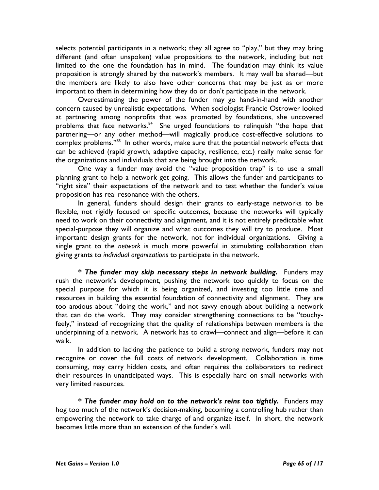selects potential participants in a network; they all agree to "play," but they may bring different (and often unspoken) value propositions to the network, including but not limited to the one the foundation has in mind. The foundation may think its value proposition is strongly shared by the network's members. It may well be shared—but the members are likely to also have other concerns that may be just as or more important to them in determining how they do or don't participate in the network.

Overestimating the power of the funder may go hand-in-hand with another concern caused by unrealistic expectations. When sociologist Francie Ostrower looked at partnering among nonprofits that was promoted by foundations, she uncovered problems that face networks.<sup>84</sup> She urged foundations to relinquish "the hope that partnering—or any other method—will magically produce cost-effective solutions to complex problems."<sup>85</sup> In other words, make sure that the potential network effects that can be achieved (rapid growth, adaptive capacity, resilience, etc.) really make sense for the organizations and individuals that are being brought into the network.

One way a funder may avoid the "value proposition trap" is to use a small planning grant to help a network get going. This allows the funder and participants to "right size" their expectations of the network and to test whether the funder's value proposition has real resonance with the others.

In general, funders should design their grants to early-stage networks to be flexible, not rigidly focused on specific outcomes, because the networks will typically need to work on their connectivity and alignment, and it is not entirely predictable what special-purpose they will organize and what outcomes they will try to produce. Most important: design grants for the network, not for individual organizations. Giving a single grant to the network is much more powerful in stimulating collaboration than giving grants to individual organizations to participate in the network.

\* The funder may skip necessary steps in network building. Funders may rush the network's development, pushing the network too quickly to focus on the special purpose for which it is being organized, and investing too little time and resources in building the essential foundation of connectivity and alignment. They are too anxious about "doing the work," and not savvy enough about building a network that can do the work. They may consider strengthening connections to be "touchyfeely," instead of recognizing that the quality of relationships between members is the underpinning of a network. A network has to crawl—connect and align—before it can walk.

In addition to lacking the patience to build a strong network, funders may not recognize or cover the full costs of network development. Collaboration is time consuming, may carry hidden costs, and often requires the collaborators to redirect their resources in unanticipated ways. This is especially hard on small networks with very limited resources.

\* The funder may hold on to the network's reins too tightly. Funders may hog too much of the network's decision-making, becoming a controlling hub rather than empowering the network to take charge of and organize itself. In short, the network becomes little more than an extension of the funder's will.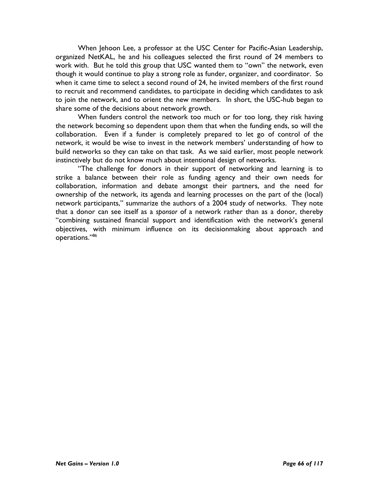When Jehoon Lee, a professor at the USC Center for Pacific-Asian Leadership, organized NetKAL, he and his colleagues selected the first round of 24 members to work with. But he told this group that USC wanted them to "own" the network, even though it would continue to play a strong role as funder, organizer, and coordinator. So when it came time to select a second round of 24, he invited members of the first round to recruit and recommend candidates, to participate in deciding which candidates to ask to join the network, and to orient the new members. In short, the USC-hub began to share some of the decisions about network growth.

When funders control the network too much or for too long, they risk having the network becoming so dependent upon them that when the funding ends, so will the collaboration. Even if a funder is completely prepared to let go of control of the network, it would be wise to invest in the network members' understanding of how to build networks so they can take on that task. As we said earlier, most people network instinctively but do not know much about intentional design of networks.

"The challenge for donors in their support of networking and learning is to strike a balance between their role as funding agency and their own needs for collaboration, information and debate amongst their partners, and the need for ownership of the network, its agenda and learning processes on the part of the (local) network participants," summarize the authors of a 2004 study of networks. They note that a donor can see itself as a sponsor of a network rather than as a donor, thereby "combining sustained financial support and identification with the network's general objectives, with minimum influence on its decisionmaking about approach and operations."86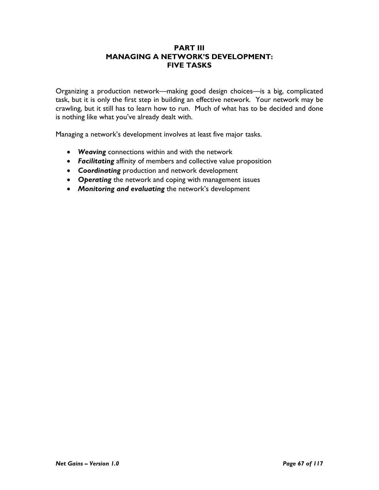# PART III MANAGING A NETWORK'S DEVELOPMENT: FIVE TASKS

Organizing a production network—making good design choices—is a big, complicated task, but it is only the first step in building an effective network. Your network may be crawling, but it still has to learn how to run. Much of what has to be decided and done is nothing like what you've already dealt with.

Managing a network's development involves at least five major tasks.

- Weaving connections within and with the network
- Facilitating affinity of members and collective value proposition
- Coordinating production and network development
- Operating the network and coping with management issues
- Monitoring and evaluating the network's development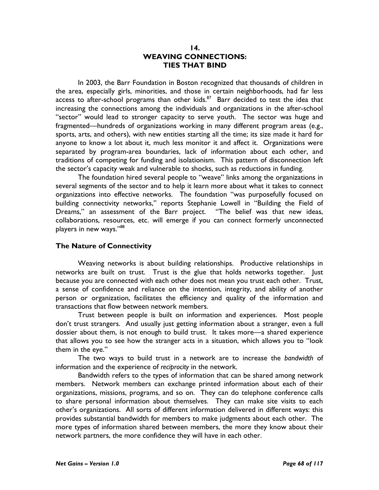### 14. WEAVING CONNECTIONS: TIES THAT BIND

In 2003, the Barr Foundation in Boston recognized that thousands of children in the area, especially girls, minorities, and those in certain neighborhoods, had far less access to after-school programs than other kids. $87$  Barr decided to test the idea that increasing the connections among the individuals and organizations in the after-school "sector" would lead to stronger capacity to serve youth. The sector was huge and fragmented—hundreds of organizations working in many different program areas (e.g., sports, arts, and others), with new entities starting all the time; its size made it hard for anyone to know a lot about it, much less monitor it and affect it. Organizations were separated by program-area boundaries, lack of information about each other, and traditions of competing for funding and isolationism. This pattern of disconnection left the sector's capacity weak and vulnerable to shocks, such as reductions in funding.

The foundation hired several people to "weave" links among the organizations in several segments of the sector and to help it learn more about what it takes to connect organizations into effective networks. The foundation "was purposefully focused on building connectivity networks," reports Stephanie Lowell in "Building the Field of Dreams," an assessment of the Barr project. "The belief was that new ideas, collaborations, resources, etc. will emerge if you can connect formerly unconnected players in new ways."<sup>88</sup>

### The Nature of Connectivity

Weaving networks is about building relationships. Productive relationships in networks are built on trust. Trust is the glue that holds networks together. Just because you are connected with each other does not mean you trust each other. Trust, a sense of confidence and reliance on the intention, integrity, and ability of another person or organization, facilitates the efficiency and quality of the information and transactions that flow between network members.

Trust between people is built on information and experiences. Most people don't trust strangers. And usually just getting information about a stranger, even a full dossier about them, is not enough to build trust. It takes more—a shared experience that allows you to see how the stranger acts in a situation, which allows you to "look them in the eye."

The two ways to build trust in a network are to increase the bandwidth of information and the experience of reciprocity in the network.

Bandwidth refers to the types of information that can be shared among network members. Network members can exchange printed information about each of their organizations, missions, programs, and so on. They can do telephone conference calls to share personal information about themselves. They can make site visits to each other's organizations. All sorts of different information delivered in different ways: this provides substantial bandwidth for members to make judgments about each other. The more types of information shared between members, the more they know about their network partners, the more confidence they will have in each other.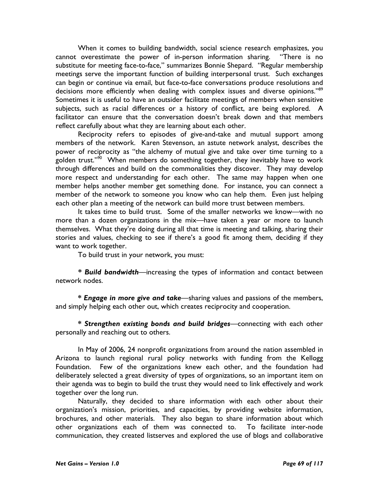When it comes to building bandwidth, social science research emphasizes, you cannot overestimate the power of in-person information sharing. "There is no substitute for meeting face-to-face," summarizes Bonnie Shepard. "Regular membership meetings serve the important function of building interpersonal trust. Such exchanges can begin or continue via email, but face-to-face conversations produce resolutions and decisions more efficiently when dealing with complex issues and diverse opinions."<sup>89</sup> Sometimes it is useful to have an outsider facilitate meetings of members when sensitive subjects, such as racial differences or a history of conflict, are being explored. A facilitator can ensure that the conversation doesn't break down and that members reflect carefully about what they are learning about each other.

Reciprocity refers to episodes of give-and-take and mutual support among members of the network. Karen Stevenson, an astute network analyst, describes the power of reciprocity as "the alchemy of mutual give and take over time turning to a golden trust." $90$  When members do something together, they inevitably have to work through differences and build on the commonalities they discover. They may develop more respect and understanding for each other. The same may happen when one member helps another member get something done. For instance, you can connect a member of the network to someone you know who can help them. Even just helping each other plan a meeting of the network can build more trust between members.

 It takes time to build trust. Some of the smaller networks we know—with no more than a dozen organizations in the mix—have taken a year or more to launch themselves. What they're doing during all that time is meeting and talking, sharing their stories and values, checking to see if there's a good fit among them, deciding if they want to work together.

To build trust in your network, you must:

\* Build bandwidth—increasing the types of information and contact between network nodes.

\* Engage in more give and take—sharing values and passions of the members, and simply helping each other out, which creates reciprocity and cooperation.

\* Strengthen existing bonds and build bridges—connecting with each other personally and reaching out to others.

In May of 2006, 24 nonprofit organizations from around the nation assembled in Arizona to launch regional rural policy networks with funding from the Kellogg Foundation. Few of the organizations knew each other, and the foundation had deliberately selected a great diversity of types of organizations, so an important item on their agenda was to begin to build the trust they would need to link effectively and work together over the long run.

Naturally, they decided to share information with each other about their organization's mission, priorities, and capacities, by providing website information, brochures, and other materials. They also began to share information about which other organizations each of them was connected to. To facilitate inter-node communication, they created listserves and explored the use of blogs and collaborative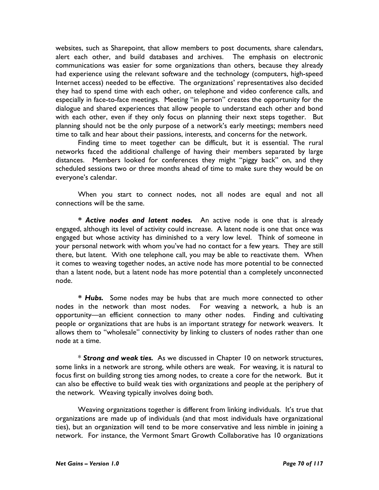websites, such as Sharepoint, that allow members to post documents, share calendars, alert each other, and build databases and archives. The emphasis on electronic communications was easier for some organizations than others, because they already had experience using the relevant software and the technology (computers, high-speed Internet access) needed to be effective. The organizations' representatives also decided they had to spend time with each other, on telephone and video conference calls, and especially in face-to-face meetings. Meeting "in person" creates the opportunity for the dialogue and shared experiences that allow people to understand each other and bond with each other, even if they only focus on planning their next steps together. But planning should not be the only purpose of a network's early meetings; members need time to talk and hear about their passions, interests, and concerns for the network.

Finding time to meet together can be difficult, but it is essential. The rural networks faced the additional challenge of having their members separated by large distances. Members looked for conferences they might "piggy back" on, and they scheduled sessions two or three months ahead of time to make sure they would be on everyone's calendar.

When you start to connect nodes, not all nodes are equal and not all connections will be the same.

\* Active nodes and latent nodes. An active node is one that is already engaged, although its level of activity could increase. A latent node is one that once was engaged but whose activity has diminished to a very low level. Think of someone in your personal network with whom you've had no contact for a few years. They are still there, but latent. With one telephone call, you may be able to reactivate them. When it comes to weaving together nodes, an active node has more potential to be connected than a latent node, but a latent node has more potential than a completely unconnected node.

\* Hubs. Some nodes may be hubs that are much more connected to other nodes in the network than most nodes. For weaving a network, a hub is an opportunity—an efficient connection to many other nodes. Finding and cultivating people or organizations that are hubs is an important strategy for network weavers. It allows them to "wholesale" connectivity by linking to clusters of nodes rather than one node at a time.

\* Strong and weak ties. As we discussed in Chapter 10 on network structures, some links in a network are strong, while others are weak. For weaving, it is natural to focus first on building strong ties among nodes, to create a core for the network. But it can also be effective to build weak ties with organizations and people at the periphery of the network. Weaving typically involves doing both.

Weaving organizations together is different from linking individuals. It's true that organizations are made up of individuals (and that most individuals have organizational ties), but an organization will tend to be more conservative and less nimble in joining a network. For instance, the Vermont Smart Growth Collaborative has 10 organizations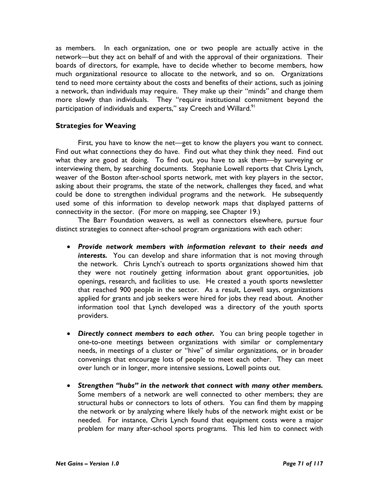as members. In each organization, one or two people are actually active in the network—but they act on behalf of and with the approval of their organizations. Their boards of directors, for example, have to decide whether to become members, how much organizational resource to allocate to the network, and so on. Organizations tend to need more certainty about the costs and benefits of their actions, such as joining a network, than individuals may require. They make up their "minds" and change them more slowly than individuals. They "require institutional commitment beyond the participation of individuals and experts," say Creech and Willard.<sup>91</sup>

## Strategies for Weaving

First, you have to know the net—get to know the players you want to connect. Find out what connections they do have. Find out what they think they need. Find out what they are good at doing. To find out, you have to ask them—by surveying or interviewing them, by searching documents. Stephanie Lowell reports that Chris Lynch, weaver of the Boston after-school sports network, met with key players in the sector, asking about their programs, the state of the network, challenges they faced, and what could be done to strengthen individual programs and the network. He subsequently used some of this information to develop network maps that displayed patterns of connectivity in the sector. (For more on mapping, see Chapter 19.)

 The Barr Foundation weavers, as well as connectors elsewhere, pursue four distinct strategies to connect after-school program organizations with each other:

- Provide network members with information relevant to their needs and interests. You can develop and share information that is not moving through the network. Chris Lynch's outreach to sports organizations showed him that they were not routinely getting information about grant opportunities, job openings, research, and facilities to use. He created a youth sports newsletter that reached 900 people in the sector. As a result, Lowell says, organizations applied for grants and job seekers were hired for jobs they read about. Another information tool that Lynch developed was a directory of the youth sports providers.
- Directly connect members to each other. You can bring people together in one-to-one meetings between organizations with similar or complementary needs, in meetings of a cluster or "hive" of similar organizations, or in broader convenings that encourage lots of people to meet each other. They can meet over lunch or in longer, more intensive sessions, Lowell points out.
- Strengthen "hubs" in the network that connect with many other members. Some members of a network are well connected to other members; they are structural hubs or connectors to lots of others. You can find them by mapping the network or by analyzing where likely hubs of the network might exist or be needed. For instance, Chris Lynch found that equipment costs were a major problem for many after-school sports programs. This led him to connect with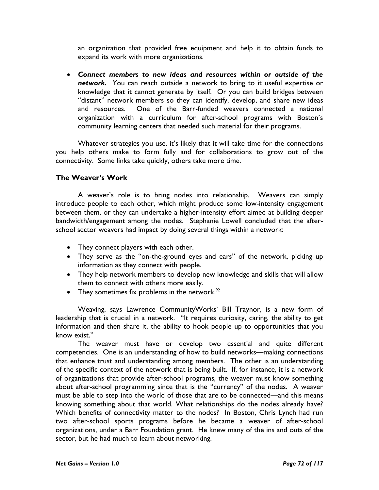an organization that provided free equipment and help it to obtain funds to expand its work with more organizations.

• Connect members to new ideas and resources within or outside of the network. You can reach outside a network to bring to it useful expertise or knowledge that it cannot generate by itself. Or you can build bridges between "distant" network members so they can identify, develop, and share new ideas and resources. One of the Barr-funded weavers connected a national organization with a curriculum for after-school programs with Boston's community learning centers that needed such material for their programs.

Whatever strategies you use, it's likely that it will take time for the connections you help others make to form fully and for collaborations to grow out of the connectivity. Some links take quickly, others take more time.

## The Weaver's Work

A weaver's role is to bring nodes into relationship. Weavers can simply introduce people to each other, which might produce some low-intensity engagement between them, or they can undertake a higher-intensity effort aimed at building deeper bandwidth/engagement among the nodes. Stephanie Lowell concluded that the afterschool sector weavers had impact by doing several things within a network:

- They connect players with each other.
- They serve as the "on-the-ground eyes and ears" of the network, picking up information as they connect with people.
- They help network members to develop new knowledge and skills that will allow them to connect with others more easily.
- They sometimes fix problems in the network.<sup>92</sup>

Weaving, says Lawrence CommunityWorks' Bill Traynor, is a new form of leadership that is crucial in a network. "It requires curiosity, caring, the ability to get information and then share it, the ability to hook people up to opportunities that you know exist."

The weaver must have or develop two essential and quite different competencies. One is an understanding of how to build networks—making connections that enhance trust and understanding among members. The other is an understanding of the specific context of the network that is being built. If, for instance, it is a network of organizations that provide after-school programs, the weaver must know something about after-school programming since that is the "currency" of the nodes. A weaver must be able to step into the world of those that are to be connected—and this means knowing something about that world. What relationships do the nodes already have? Which benefits of connectivity matter to the nodes? In Boston, Chris Lynch had run two after-school sports programs before he became a weaver of after-school organizations, under a Barr Foundation grant. He knew many of the ins and outs of the sector, but he had much to learn about networking.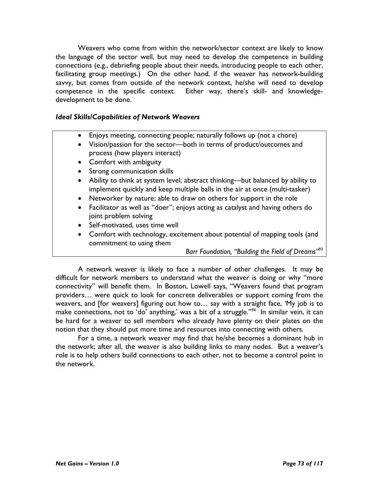Weavers who come from within the network/sector context are likely to know the language of the sector well, but may need to develop the competence in building connections (e.g., debriefing people about their needs, introducing people to each other, facilitating group meetings.) On the other hand, if the weaver has network-building savvy, but comes from outside of the network context, he/she will need to develop competence in the specific context. Either way, there's skill- and knowledgedevelopment to be done.

### Ideal Skills/Capabilities of Network Weavers

- Enjoys meeting, connecting people; naturally follows up (not a chore)
- Vision/passion for the sector—both in terms of product/outcomes and process (how players interact)
- Comfort with ambiguity
- Strong communication skills
- Ability to think at system level; abstract thinking—but balanced by ability to implement quickly and keep multiple balls in the air at once (multi-tasker)
- Networker by nature; able to draw on others for support in the role
- Facilitator as well as "doer"; enjoys acting as catalyst and having others do joint problem solving
- Self-motivated, uses time well
- Comfort with technology, excitement about potential of mapping tools (and commitment to using them

Barr Foundation, "Building the Field of Dreams"<sup>93</sup>

A network weaver is likely to face a number of other challenges. It may be difficult for network members to understand what the weaver is doing or why "more connectivity" will benefit them. In Boston, Lowell says, "Weavers found that program providers… were quick to look for concrete deliverables or support coming from the weavers, and [for weavers] figuring out how to… say with a straight face, 'My job is to make connections, not to 'do' anything,' was a bit of a struggle." $94$ <sup>T</sup> In similar vein, it can be hard for a weaver to sell members who already have plenty on their plates on the notion that they should put more time and resources into connecting with others.

 For a time, a network weaver may find that he/she becomes a dominant hub in the network; after all, the weaver is also building links to many nodes. But a weaver's role is to help others build connections to each other, not to become a control point in the network.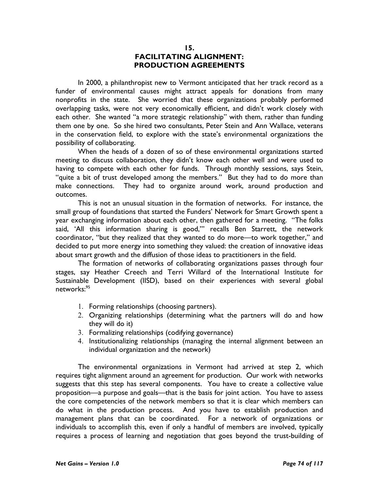#### 15. FACILITATING ALIGNMENT: PRODUCTION AGREEMENTS

In 2000, a philanthropist new to Vermont anticipated that her track record as a funder of environmental causes might attract appeals for donations from many nonprofits in the state. She worried that these organizations probably performed overlapping tasks, were not very economically efficient, and didn't work closely with each other. She wanted "a more strategic relationship" with them, rather than funding them one by one. So she hired two consultants, Peter Stein and Ann Wallace, veterans in the conservation field, to explore with the state's environmental organizations the possibility of collaborating.

When the heads of a dozen of so of these environmental organizations started meeting to discuss collaboration, they didn't know each other well and were used to having to compete with each other for funds. Through monthly sessions, says Stein, "quite a bit of trust developed among the members." But they had to do more than make connections. They had to organize around work, around production and outcomes.

This is not an unusual situation in the formation of networks. For instance, the small group of foundations that started the Funders' Network for Smart Growth spent a year exchanging information about each other, then gathered for a meeting. "The folks said, 'All this information sharing is good,'" recalls Ben Starrett, the network coordinator, "but they realized that they wanted to do more—to work together," and decided to put more energy into something they valued: the creation of innovative ideas about smart growth and the diffusion of those ideas to practitioners in the field.

The formation of networks of collaborating organizations passes through four stages, say Heather Creech and Terri Willard of the International Institute for Sustainable Development (IISD), based on their experiences with several global networks:<sup>95</sup>

- 1. Forming relationships (choosing partners).
- 2. Organizing relationships (determining what the partners will do and how they will do it)
- 3. Formalizing relationships (codifying governance)
- 4. Institutionalizing relationships (managing the internal alignment between an individual organization and the network)

The environmental organizations in Vermont had arrived at step 2, which requires tight alignment around an agreement for production. Our work with networks suggests that this step has several components. You have to create a collective value proposition—a purpose and goals—that is the basis for joint action. You have to assess the core competencies of the network members so that it is clear which members can do what in the production process. And you have to establish production and management plans that can be coordinated. For a network of organizations or individuals to accomplish this, even if only a handful of members are involved, typically requires a process of learning and negotiation that goes beyond the trust-building of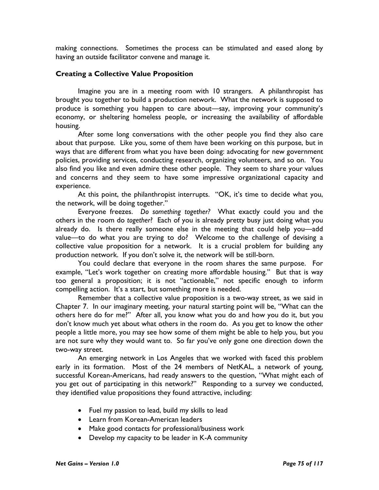making connections. Sometimes the process can be stimulated and eased along by having an outside facilitator convene and manage it.

### Creating a Collective Value Proposition

 Imagine you are in a meeting room with 10 strangers. A philanthropist has brought you together to build a production network. What the network is supposed to produce is something you happen to care about—say, improving your community's economy, or sheltering homeless people, or increasing the availability of affordable housing.

After some long conversations with the other people you find they also care about that purpose. Like you, some of them have been working on this purpose, but in ways that are different from what you have been doing: advocating for new government policies, providing services, conducting research, organizing volunteers, and so on. You also find you like and even admire these other people. They seem to share your values and concerns and they seem to have some impressive organizational capacity and experience.

At this point, the philanthropist interrupts. "OK, it's time to decide what you, the network, will be doing together."

Everyone freezes. Do something together? What exactly could you and the others in the room do together? Each of you is already pretty busy just doing what you already do. Is there really someone else in the meeting that could help you—add value—to do what you are trying to do? Welcome to the challenge of devising a collective value proposition for a network. It is a crucial problem for building any production network. If you don't solve it, the network will be still-born.

You could declare that everyone in the room shares the same purpose. For example, "Let's work together on creating more affordable housing." But that is way too general a proposition; it is not "actionable," not specific enough to inform compelling action. It's a start, but something more is needed.

Remember that a collective value proposition is a two-way street, as we said in Chapter 7. In our imaginary meeting, your natural starting point will be, "What can the others here do for me?" After all, you know what you do and how you do it, but you don't know much yet about what others in the room do. As you get to know the other people a little more, you may see how some of them might be able to help you, but you are not sure why they would want to. So far you've only gone one direction down the two-way street.

An emerging network in Los Angeles that we worked with faced this problem early in its formation. Most of the 24 members of NetKAL, a network of young, successful Korean-Americans, had ready answers to the question, "What might each of you get out of participating in this network?" Responding to a survey we conducted, they identified value propositions they found attractive, including:

- Fuel my passion to lead, build my skills to lead
- Learn from Korean-American leaders
- Make good contacts for professional/business work
- Develop my capacity to be leader in K-A community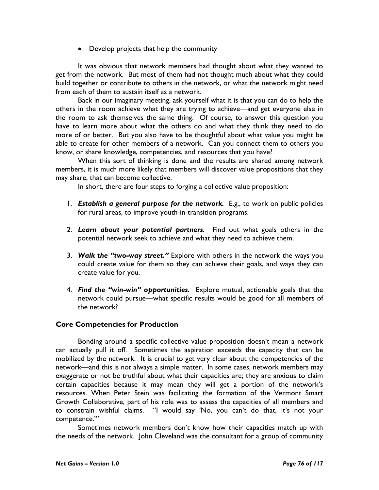• Develop projects that help the community

It was obvious that network members had thought about what they wanted to get from the network. But most of them had not thought much about what they could build together or contribute to others in the network, or what the network might need from each of them to sustain itself as a network.

Back in our imaginary meeting, ask yourself what it is that you can do to help the others in the room achieve what they are trying to achieve—and get everyone else in the room to ask themselves the same thing. Of course, to answer this question you have to learn more about what the others do and what they think they need to do more of or better. But you also have to be thoughtful about what value you might be able to create for other members of a network. Can you connect them to others you know, or share knowledge, competencies, and resources that you have?

When this sort of thinking is done and the results are shared among network members, it is much more likely that members will discover value propositions that they may share, that can become collective.

In short, there are four steps to forging a collective value proposition:

- 1. Establish a general purpose for the network. E.g., to work on public policies for rural areas, to improve youth-in-transition programs.
- 2. Learn about your potential partners. Find out what goals others in the potential network seek to achieve and what they need to achieve them.
- 3. Walk the "two-way street." Explore with others in the network the ways you could create value for them so they can achieve their goals, and ways they can create value for you.
- 4. Find the "win-win" opportunities. Explore mutual, actionable goals that the network could pursue—what specific results would be good for all members of the network?

## Core Competencies for Production

Bonding around a specific collective value proposition doesn't mean a network can actually pull it off. Sometimes the aspiration exceeds the capacity that can be mobilized by the network. It is crucial to get very clear about the competencies of the network—and this is not always a simple matter. In some cases, network members may exaggerate or not be truthful about what their capacities are; they are anxious to claim certain capacities because it may mean they will get a portion of the network's resources. When Peter Stein was facilitating the formation of the Vermont Smart Growth Collaborative, part of his role was to assess the capacities of all members and to constrain wishful claims. "I would say 'No, you can't do that, it's not your competence.'"

 Sometimes network members don't know how their capacities match up with the needs of the network. John Cleveland was the consultant for a group of community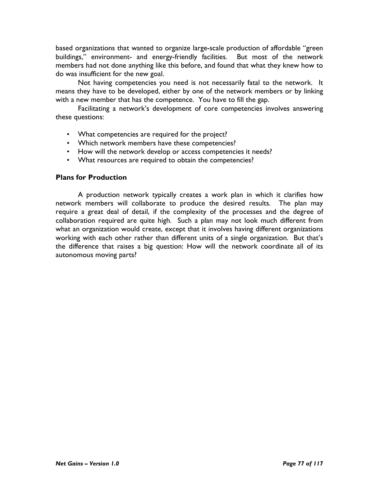based organizations that wanted to organize large-scale production of affordable "green buildings," environment- and energy-friendly facilities. But most of the network members had not done anything like this before, and found that what they knew how to do was insufficient for the new goal.

 Not having competencies you need is not necessarily fatal to the network. It means they have to be developed, either by one of the network members or by linking with a new member that has the competence. You have to fill the gap.

 Facilitating a network's development of core competencies involves answering these questions:

- What competencies are required for the project?
- Which network members have these competencies?
- How will the network develop or access competencies it needs?
- What resources are required to obtain the competencies?

#### Plans for Production

A production network typically creates a work plan in which it clarifies how network members will collaborate to produce the desired results. The plan may require a great deal of detail, if the complexity of the processes and the degree of collaboration required are quite high. Such a plan may not look much different from what an organization would create, except that it involves having different organizations working with each other rather than different units of a single organization. But that's the difference that raises a big question: How will the network coordinate all of its autonomous moving parts?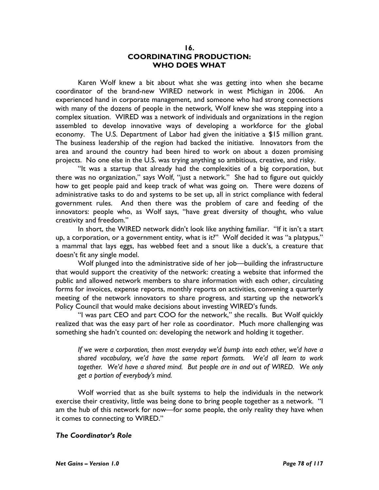#### 16. COORDINATING PRODUCTION: WHO DOES WHAT

Karen Wolf knew a bit about what she was getting into when she became coordinator of the brand-new WIRED network in west Michigan in 2006. An experienced hand in corporate management, and someone who had strong connections with many of the dozens of people in the network, Wolf knew she was stepping into a complex situation. WIRED was a network of individuals and organizations in the region assembled to develop innovative ways of developing a workforce for the global economy. The U.S. Department of Labor had given the initiative a \$15 million grant. The business leadership of the region had backed the initiative. Innovators from the area and around the country had been hired to work on about a dozen promising projects. No one else in the U.S. was trying anything so ambitious, creative, and risky.

"It was a startup that already had the complexities of a big corporation, but there was no organization," says Wolf, "just a network." She had to figure out quickly how to get people paid and keep track of what was going on. There were dozens of administrative tasks to do and systems to be set up, all in strict compliance with federal government rules. And then there was the problem of care and feeding of the innovators: people who, as Wolf says, "have great diversity of thought, who value creativity and freedom."

In short, the WIRED network didn't look like anything familiar. "If it isn't a start up, a corporation, or a government entity, what is it?" Wolf decided it was "a platypus," a mammal that lays eggs, has webbed feet and a snout like a duck's, a creature that doesn't fit any single model.

Wolf plunged into the administrative side of her job—building the infrastructure that would support the creativity of the network: creating a website that informed the public and allowed network members to share information with each other, circulating forms for invoices, expense reports, monthly reports on activities, convening a quarterly meeting of the network innovators to share progress, and starting up the network's Policy Council that would make decisions about investing WIRED's funds.

"I was part CEO and part COO for the network," she recalls. But Wolf quickly realized that was the easy part of her role as coordinator. Much more challenging was something she hadn't counted on: developing the network and holding it together.

If we were a corporation, then most everyday we'd bump into each other, we'd have a shared vocabulary, we'd have the same report formats. We'd all learn to work together. We'd have a shared mind. But people are in and out of WIRED. We only get a portion of everybody's mind.

Wolf worried that as she built systems to help the individuals in the network exercise their creativity, little was being done to bring people together as a network. "I am the hub of this network for now—for some people, the only reality they have when it comes to connecting to WIRED."

### The Coordinator's Role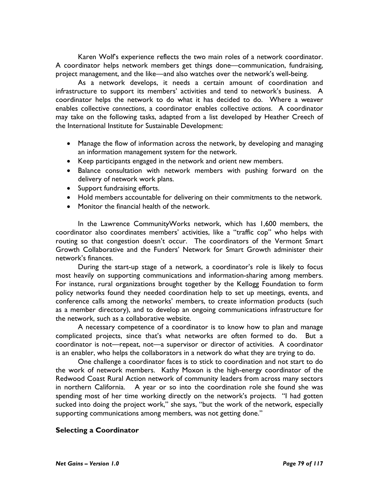Karen Wolf's experience reflects the two main roles of a network coordinator. A coordinator helps network members get things done—communication, fundraising, project management, and the like—and also watches over the network's well-being.

As a network develops, it needs a certain amount of coordination and infrastructure to support its members' activities and tend to network's business. A coordinator helps the network to do what it has decided to do. Where a weaver enables collective connections, a coordinator enables collective actions. A coordinator may take on the following tasks, adapted from a list developed by Heather Creech of the International Institute for Sustainable Development:

- Manage the flow of information across the network, by developing and managing an information management system for the network.
- Keep participants engaged in the network and orient new members.
- Balance consultation with network members with pushing forward on the delivery of network work plans.
- Support fundraising efforts.
- Hold members accountable for delivering on their commitments to the network.
- Monitor the financial health of the network.

In the Lawrence CommunityWorks network, which has 1,600 members, the coordinator also coordinates members' activities, like a "traffic cop" who helps with routing so that congestion doesn't occur. The coordinators of the Vermont Smart Growth Collaborative and the Funders' Network for Smart Growth administer their network's finances.

During the start-up stage of a network, a coordinator's role is likely to focus most heavily on supporting communications and information-sharing among members. For instance, rural organizations brought together by the Kellogg Foundation to form policy networks found they needed coordination help to set up meetings, events, and conference calls among the networks' members, to create information products (such as a member directory), and to develop an ongoing communications infrastructure for the network, such as a collaborative website.

A necessary competence of a coordinator is to know how to plan and manage complicated projects, since that's what networks are often formed to do. But a coordinator is not—repeat, not—a supervisor or director of activities. A coordinator is an enabler, who helps the collaborators in a network do what they are trying to do.

One challenge a coordinator faces is to stick to coordination and not start to do the work of network members. Kathy Moxon is the high-energy coordinator of the Redwood Coast Rural Action network of community leaders from across many sectors in northern California. A year or so into the coordination role she found she was spending most of her time working directly on the network's projects. "I had gotten sucked into doing the project work," she says, "but the work of the network, especially supporting communications among members, was not getting done."

## Selecting a Coordinator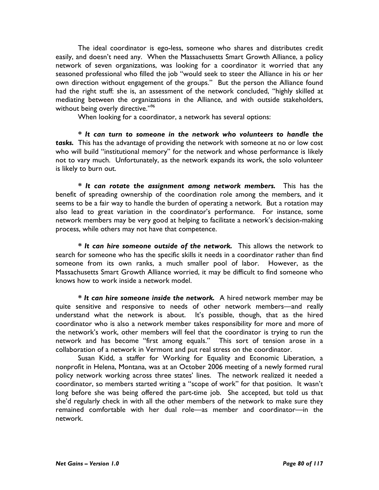The ideal coordinator is ego-less, someone who shares and distributes credit easily, and doesn't need any. When the Massachusetts Smart Growth Alliance, a policy network of seven organizations, was looking for a coordinator it worried that any seasoned professional who filled the job "would seek to steer the Alliance in his or her own direction without engagement of the groups." But the person the Alliance found had the right stuff: she is, an assessment of the network concluded, "highly skilled at mediating between the organizations in the Alliance, and with outside stakeholders, without being overly directive."<sup>96</sup>

When looking for a coordinator, a network has several options:

\* It can turn to someone in the network who volunteers to handle the tasks. This has the advantage of providing the network with someone at no or low cost who will build "institutional memory" for the network and whose performance is likely not to vary much. Unfortunately, as the network expands its work, the solo volunteer is likely to burn out.

\* It can rotate the assignment among network members. This has the benefit of spreading ownership of the coordination role among the members, and it seems to be a fair way to handle the burden of operating a network. But a rotation may also lead to great variation in the coordinator's performance. For instance, some network members may be very good at helping to facilitate a network's decision-making process, while others may not have that competence.

\* It can hire someone outside of the network. This allows the network to search for someone who has the specific skills it needs in a coordinator rather than find someone from its own ranks, a much smaller pool of labor. However, as the Massachusetts Smart Growth Alliance worried, it may be difficult to find someone who knows how to work inside a network model.

\* It can hire someone inside the network. A hired network member may be quite sensitive and responsive to needs of other network members—and really understand what the network is about. It's possible, though, that as the hired coordinator who is also a network member takes responsibility for more and more of the network's work, other members will feel that the coordinator is trying to run the network and has become "first among equals." This sort of tension arose in a collaboration of a network in Vermont and put real stress on the coordinator.

Susan Kidd, a staffer for Working for Equality and Economic Liberation, a nonprofit in Helena, Montana, was at an October 2006 meeting of a newly formed rural policy network working across three states' lines. The network realized it needed a coordinator, so members started writing a "scope of work" for that position. It wasn't long before she was being offered the part-time job. She accepted, but told us that she'd regularly check in with all the other members of the network to make sure they remained comfortable with her dual role—as member and coordinator—in the network.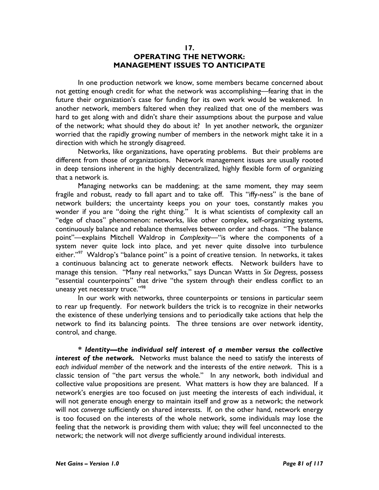#### 17. OPERATING THE NETWORK: MANAGEMENT ISSUES TO ANTICIPATE

In one production network we know, some members became concerned about not getting enough credit for what the network was accomplishing—fearing that in the future their organization's case for funding for its own work would be weakened. In another network, members faltered when they realized that one of the members was hard to get along with and didn't share their assumptions about the purpose and value of the network; what should they do about it? In yet another network, the organizer worried that the rapidly growing number of members in the network might take it in a direction with which he strongly disagreed.

 Networks, like organizations, have operating problems. But their problems are different from those of organizations. Network management issues are usually rooted in deep tensions inherent in the highly decentralized, highly flexible form of organizing that a network is.

Managing networks can be maddening; at the same moment, they may seem fragile and robust, ready to fall apart and to take off. This "iffy-ness" is the bane of network builders; the uncertainty keeps you on your toes, constantly makes you wonder if you are "doing the right thing." It is what scientists of complexity call an "edge of chaos" phenomenon: networks, like other complex, self-organizing systems, continuously balance and rebalance themselves between order and chaos. "The balance point"—explains Mitchell Waldrop in Complexity—"is where the components of a system never quite lock into place, and yet never quite dissolve into turbulence either."<sup>97</sup> Waldrop's "balance point" is a point of creative tension. In networks, it takes a continuous balancing act to generate network effects. Network builders have to manage this tension. "Many real networks," says Duncan Watts in Six Degress, possess "essential counterpoints" that drive "the system through their endless conflict to an uneasy yet necessary truce."<sup>98</sup>

In our work with networks, three counterpoints or tensions in particular seem to rear up frequently. For network builders the trick is to recognize in their networks the existence of these underlying tensions and to periodically take actions that help the network to find its balancing points. The three tensions are over network identity, control, and change.

\* Identity—the individual self interest of a member versus the collective interest of the network. Networks must balance the need to satisfy the interests of each individual member of the network and the interests of the entire network. This is a classic tension of "the part versus the whole." In any network, both individual and collective value propositions are present. What matters is how they are balanced. If a network's energies are too focused on just meeting the interests of each individual, it will not generate enough energy to maintain itself and grow as a network; the network will not converge sufficiently on shared interests. If, on the other hand, network energy is too focused on the interests of the whole network, some individuals may lose the feeling that the network is providing them with value; they will feel unconnected to the network; the network will not diverge sufficiently around individual interests.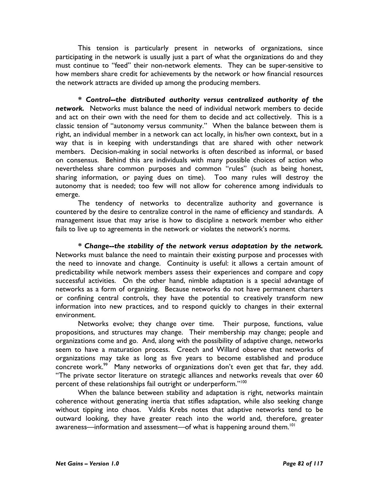This tension is particularly present in networks of organizations, since participating in the network is usually just a part of what the organizations do and they must continue to "feed" their non-network elements. They can be super-sensitive to how members share credit for achievements by the network or how financial resources the network attracts are divided up among the producing members.

\* Control--the distributed authority versus centralized authority of the network. Networks must balance the need of individual network members to decide and act on their own with the need for them to decide and act collectively. This is a classic tension of "autonomy versus community." When the balance between them is right, an individual member in a network can act locally, in his/her own context, but in a way that is in keeping with understandings that are shared with other network members. Decision-making in social networks is often described as informal, or based on consensus. Behind this are individuals with many possible choices of action who nevertheless share common purposes and common "rules" (such as being honest, sharing information, or paying dues on time). Too many rules will destroy the autonomy that is needed; too few will not allow for coherence among individuals to emerge.

The tendency of networks to decentralize authority and governance is countered by the desire to centralize control in the name of efficiency and standards. A management issue that may arise is how to discipline a network member who either fails to live up to agreements in the network or violates the network's norms.

\* Change--the stability of the network versus adaptation by the network. Networks must balance the need to maintain their existing purpose and processes with the need to innovate and change. Continuity is useful: it allows a certain amount of predictability while network members assess their experiences and compare and copy successful activities. On the other hand, nimble adaptation is a special advantage of networks as a form of organizing. Because networks do not have permanent charters or confining central controls, they have the potential to creatively transform new information into new practices, and to respond quickly to changes in their external environment.

Networks evolve; they change over time. Their purpose, functions, value propositions, and structures may change. Their membership may change; people and organizations come and go. And, along with the possibility of adaptive change, networks seem to have a maturation process. Creech and Willard observe that networks of organizations may take as long as five years to become established and produce concrete work.<sup>99</sup> Many networks of organizations don't even get that far, they add. "The private sector literature on strategic alliances and networks reveals that over 60 percent of these relationships fail outright or underperform."<sup>100</sup>

When the balance between stability and adaptation is right, networks maintain coherence without generating inertia that stifles adaptation, while also seeking change without tipping into chaos. Valdis Krebs notes that adaptive networks tend to be outward looking, they have greater reach into the world and, therefore, greater awareness—information and assessment—of what is happening around them.<sup>101</sup>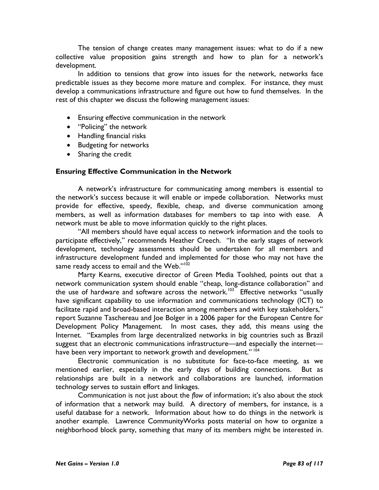The tension of change creates many management issues: what to do if a new collective value proposition gains strength and how to plan for a network's development.

 In addition to tensions that grow into issues for the network, networks face predictable issues as they become more mature and complex. For instance, they must develop a communications infrastructure and figure out how to fund themselves. In the rest of this chapter we discuss the following management issues:

- Ensuring effective communication in the network
- "Policing" the network
- Handling financial risks
- Budgeting for networks
- Sharing the credit

#### Ensuring Effective Communication in the Network

A network's infrastructure for communicating among members is essential to the network's success because it will enable or impede collaboration. Networks must provide for effective, speedy, flexible, cheap, and diverse communication among members, as well as information databases for members to tap into with ease. A network must be able to move information quickly to the right places.

"All members should have equal access to network information and the tools to participate effectively," recommends Heather Creech. "In the early stages of network development, technology assessments should be undertaken for all members and infrastructure development funded and implemented for those who may not have the same ready access to email and the Web." $10^{102}$ 

Marty Kearns, executive director of Green Media Toolshed, points out that a network communication system should enable "cheap, long-distance collaboration" and the use of hardware and software across the network.<sup>103</sup> Effective networks "usually have significant capability to use information and communications technology (ICT) to facilitate rapid and broad-based interaction among members and with key stakeholders," report Suzanne Taschereau and Joe Bolger in a 2006 paper for the European Centre for Development Policy Management. In most cases, they add, this means using the Internet. "Examples from large decentralized networks in big countries such as Brazil suggest that an electronic communications infrastructure—and especially the internet have been very important to network growth and development."<sup>104</sup>

Electronic communication is no substitute for face-to-face meeting, as we mentioned earlier, especially in the early days of building connections. But as relationships are built in a network and collaborations are launched, information technology serves to sustain effort and linkages.

 Communication is not just about the flow of information; it's also about the stock of information that a network may build. A directory of members, for instance, is a useful database for a network. Information about how to do things in the network is another example. Lawrence CommunityWorks posts material on how to organize a neighborhood block party, something that many of its members might be interested in.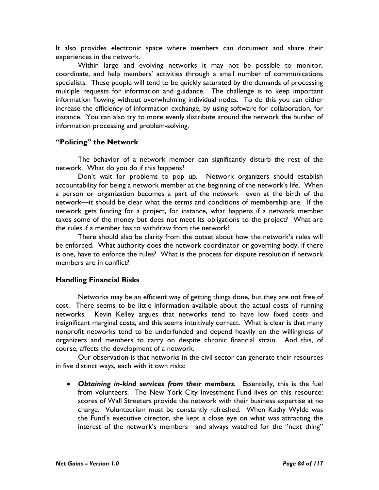It also provides electronic space where members can document and share their experiences in the network.

Within large and evolving networks it may not be possible to monitor, coordinate, and help members' activities through a small number of communications specialists. These people will tend to be quickly saturated by the demands of processing multiple requests for information and guidance. The challenge is to keep important information flowing without overwhelming individual nodes. To do this you can either increase the efficiency of information exchange, by using software for collaboration, for instance. You can also try to more evenly distribute around the network the burden of information processing and problem-solving.

## "Policing" the Network

The behavior of a network member can significantly disturb the rest of the network. What do you do if this happens?

 Don't wait for problems to pop up. Network organizers should establish accountability for being a network member at the beginning of the network's life. When a person or organization becomes a part of the network—even at the birth of the network—it should be clear what the terms and conditions of membership are. If the network gets funding for a project, for instance, what happens if a network member takes some of the money but does not meet its obligations to the project? What are the rules if a member has to withdraw from the network?

 There should also be clarity from the outset about how the network's rules will be enforced. What authority does the network coordinator or governing body, if there is one, have to enforce the rules? What is the process for dispute resolution if network members are in conflict?

## Handling Financial Risks

Networks may be an efficient way of getting things done, but they are not free of cost. There seems to be little information available about the actual costs of running networks. Kevin Kelley argues that networks tend to have low fixed costs and insignificant marginal costs, and this seems intuitively correct. What is clear is that many nonprofit networks tend to be underfunded and depend heavily on the willingness of organizers and members to carry on despite chronic financial strain. And this, of course, affects the development of a network.

Our observation is that networks in the civil sector can generate their resources in five distinct ways, each with it own risks:

• Obtaining in-kind services from their members. Essentially, this is the fuel from volunteers. The New York City Investment Fund lives on this resource: scores of Wall Streeters provide the network with their business expertise at no charge. Volunteerism must be constantly refreshed. When Kathy Wylde was the Fund's executive director, she kept a close eye on what was attracting the interest of the network's members—and always watched for the "next thing"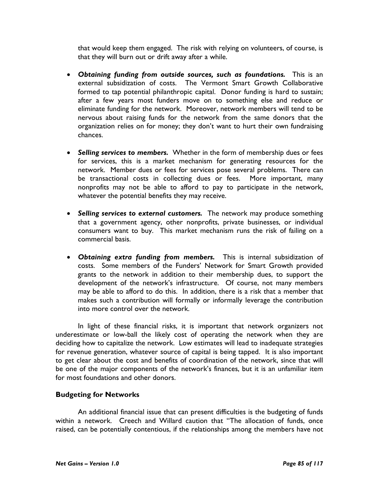that would keep them engaged. The risk with relying on volunteers, of course, is that they will burn out or drift away after a while.

- Obtaining funding from outside sources, such as foundations. This is an external subsidization of costs. The Vermont Smart Growth Collaborative formed to tap potential philanthropic capital. Donor funding is hard to sustain; after a few years most funders move on to something else and reduce or eliminate funding for the network. Moreover, network members will tend to be nervous about raising funds for the network from the same donors that the organization relies on for money; they don't want to hurt their own fundraising chances.
- Selling services to members. Whether in the form of membership dues or fees for services, this is a market mechanism for generating resources for the network. Member dues or fees for services pose several problems. There can be transactional costs in collecting dues or fees. More important, many nonprofits may not be able to afford to pay to participate in the network, whatever the potential benefits they may receive.
- Selling services to external customers. The network may produce something that a government agency, other nonprofits, private businesses, or individual consumers want to buy. This market mechanism runs the risk of failing on a commercial basis.
- Obtaining extra funding from members. This is internal subsidization of costs. Some members of the Funders' Network for Smart Growth provided grants to the network in addition to their membership dues, to support the development of the network's infrastructure. Of course, not many members may be able to afford to do this. In addition, there is a risk that a member that makes such a contribution will formally or informally leverage the contribution into more control over the network.

In light of these financial risks, it is important that network organizers not underestimate or low-ball the likely cost of operating the network when they are deciding how to capitalize the network. Low estimates will lead to inadequate strategies for revenue generation, whatever source of capital is being tapped. It is also important to get clear about the cost and benefits of coordination of the network, since that will be one of the major components of the network's finances, but it is an unfamiliar item for most foundations and other donors.

## Budgeting for Networks

An additional financial issue that can present difficulties is the budgeting of funds within a network. Creech and Willard caution that "The allocation of funds, once raised, can be potentially contentious, if the relationships among the members have not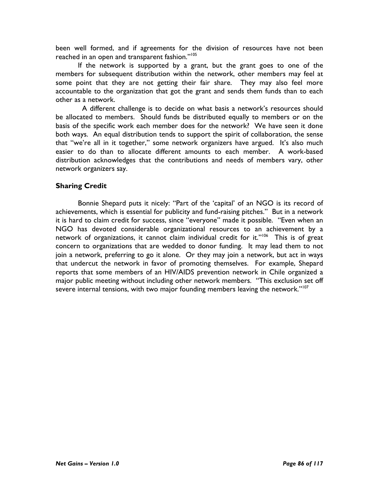been well formed, and if agreements for the division of resources have not been reached in an open and transparent fashion."<sup>105</sup>

If the network is supported by a grant, but the grant goes to one of the members for subsequent distribution within the network, other members may feel at some point that they are not getting their fair share. They may also feel more accountable to the organization that got the grant and sends them funds than to each other as a network.

 A different challenge is to decide on what basis a network's resources should be allocated to members. Should funds be distributed equally to members or on the basis of the specific work each member does for the network? We have seen it done both ways. An equal distribution tends to support the spirit of collaboration, the sense that "we're all in it together," some network organizers have argued. It's also much easier to do than to allocate different amounts to each member. A work-based distribution acknowledges that the contributions and needs of members vary, other network organizers say.

### Sharing Credit

Bonnie Shepard puts it nicely: "Part of the 'capital' of an NGO is its record of achievements, which is essential for publicity and fund-raising pitches." But in a network it is hard to claim credit for success, since "everyone" made it possible. "Even when an NGO has devoted considerable organizational resources to an achievement by a network of organizations, it cannot claim individual credit for it."<sup>106</sup> This is of great concern to organizations that are wedded to donor funding. It may lead them to not join a network, preferring to go it alone. Or they may join a network, but act in ways that undercut the network in favor of promoting themselves. For example, Shepard reports that some members of an HIV/AIDS prevention network in Chile organized a major public meeting without including other network members. "This exclusion set off severe internal tensions, with two major founding members leaving the network."<sup>107</sup>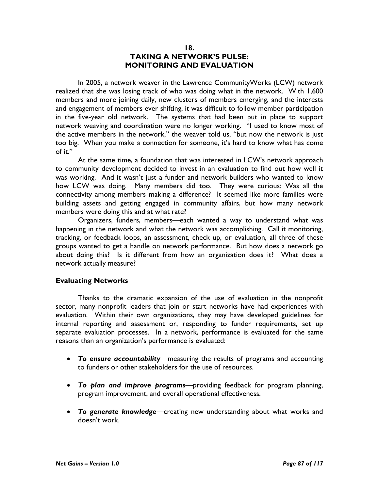#### 18. TAKING A NETWORK'S PULSE: MONITORING AND EVALUATION

 In 2005, a network weaver in the Lawrence CommunityWorks (LCW) network realized that she was losing track of who was doing what in the network. With 1,600 members and more joining daily, new clusters of members emerging, and the interests and engagement of members ever shifting, it was difficult to follow member participation in the five-year old network. The systems that had been put in place to support network weaving and coordination were no longer working. "I used to know most of the active members in the network," the weaver told us, "but now the network is just too big. When you make a connection for someone, it's hard to know what has come of it."

 At the same time, a foundation that was interested in LCW's network approach to community development decided to invest in an evaluation to find out how well it was working. And it wasn't just a funder and network builders who wanted to know how LCW was doing. Many members did too. They were curious: Was all the connectivity among members making a difference? It seemed like more families were building assets and getting engaged in community affairs, but how many network members were doing this and at what rate?

 Organizers, funders, members—each wanted a way to understand what was happening in the network and what the network was accomplishing. Call it monitoring, tracking, or feedback loops, an assessment, check up, or evaluation, all three of these groups wanted to get a handle on network performance. But how does a network go about doing this? Is it different from how an organization does it? What does a network actually measure?

#### Evaluating Networks

 Thanks to the dramatic expansion of the use of evaluation in the nonprofit sector, many nonprofit leaders that join or start networks have had experiences with evaluation. Within their own organizations, they may have developed guidelines for internal reporting and assessment or, responding to funder requirements, set up separate evaluation processes. In a network, performance is evaluated for the same reasons than an organization's performance is evaluated:

- To ensure accountability—measuring the results of programs and accounting to funders or other stakeholders for the use of resources.
- To plan and improve programs-providing feedback for program planning, program improvement, and overall operational effectiveness.
- To generate knowledge—creating new understanding about what works and doesn't work.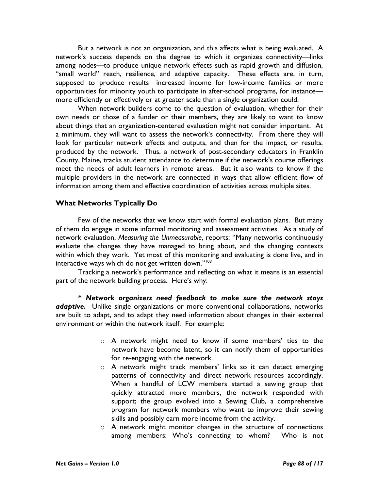But a network is not an organization, and this affects what is being evaluated. A network's success depends on the degree to which it organizes connectivity—links among nodes—to produce unique network effects such as rapid growth and diffusion, "small world" reach, resilience, and adaptive capacity. These effects are, in turn, supposed to produce results—increased income for low-income families or more opportunities for minority youth to participate in after-school programs, for instance more efficiently or effectively or at greater scale than a single organization could.

When network builders come to the question of evaluation, whether for their own needs or those of a funder or their members, they are likely to want to know about things that an organization-centered evaluation might not consider important. At a minimum, they will want to assess the network's connectivity. From there they will look for particular network effects and outputs, and then for the impact, or results, produced by the network. Thus, a network of post-secondary educators in Franklin County, Maine, tracks student attendance to determine if the network's course offerings meet the needs of adult learners in remote areas. But it also wants to know if the multiple providers in the network are connected in ways that allow efficient flow of information among them and effective coordination of activities across multiple sites.

### What Networks Typically Do

Few of the networks that we know start with formal evaluation plans. But many of them do engage in some informal monitoring and assessment activities. As a study of network evaluation, Measuring the Unmeasurable, reports: "Many networks continuously evaluate the changes they have managed to bring about, and the changing contexts within which they work. Yet most of this monitoring and evaluating is done live, and in interactive ways which do not get written down."<sup>108</sup>

 Tracking a network's performance and reflecting on what it means is an essential part of the network building process. Here's why:

\* Network organizers need feedback to make sure the network stays **adaptive.** Unlike single organizations or more conventional collaborations, networks are built to adapt, and to adapt they need information about changes in their external environment or within the network itself. For example:

- o A network might need to know if some members' ties to the network have become latent, so it can notify them of opportunities for re-engaging with the network.
- o A network might track members' links so it can detect emerging patterns of connectivity and direct network resources accordingly. When a handful of LCW members started a sewing group that quickly attracted more members, the network responded with support; the group evolved into a Sewing Club, a comprehensive program for network members who want to improve their sewing skills and possibly earn more income from the activity.
- o A network might monitor changes in the structure of connections among members: Who's connecting to whom? Who is not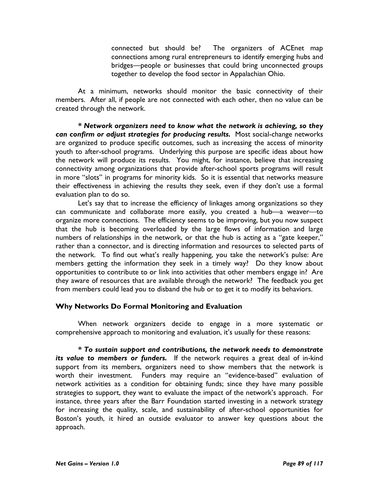connected but should be? The organizers of ACEnet map connections among rural entrepreneurs to identify emerging hubs and bridges—people or businesses that could bring unconnected groups together to develop the food sector in Appalachian Ohio.

At a minimum, networks should monitor the basic connectivity of their members. After all, if people are not connected with each other, then no value can be created through the network.

\* Network organizers need to know what the network is achieving, so they can confirm or adjust strategies for producing results. Most social-change networks are organized to produce specific outcomes, such as increasing the access of minority youth to after-school programs. Underlying this purpose are specific ideas about how the network will produce its results. You might, for instance, believe that increasing connectivity among organizations that provide after-school sports programs will result in more "slots" in programs for minority kids. So it is essential that networks measure their effectiveness in achieving the results they seek, even if they don't use a formal evaluation plan to do so.

Let's say that to increase the efficiency of linkages among organizations so they can communicate and collaborate more easily, you created a hub—a weaver—to organize more connections. The efficiency seems to be improving, but you now suspect that the hub is becoming overloaded by the large flows of information and large numbers of relationships in the network, or that the hub is acting as a "gate keeper," rather than a connector, and is directing information and resources to selected parts of the network. To find out what's really happening, you take the network's pulse: Are members getting the information they seek in a timely way? Do they know about opportunities to contribute to or link into activities that other members engage in? Are they aware of resources that are available through the network? The feedback you get from members could lead you to disband the hub or to get it to modify its behaviors.

#### Why Networks Do Formal Monitoring and Evaluation

When network organizers decide to engage in a more systematic or comprehensive approach to monitoring and evaluation, it's usually for these reasons:

\* To sustain support and contributions, the network needs to demonstrate its value to members or funders. If the network requires a great deal of in-kind support from its members, organizers need to show members that the network is worth their investment. Funders may require an "evidence-based" evaluation of network activities as a condition for obtaining funds; since they have many possible strategies to support, they want to evaluate the impact of the network's approach. For instance, three years after the Barr Foundation started investing in a network strategy for increasing the quality, scale, and sustainability of after-school opportunities for Boston's youth, it hired an outside evaluator to answer key questions about the approach.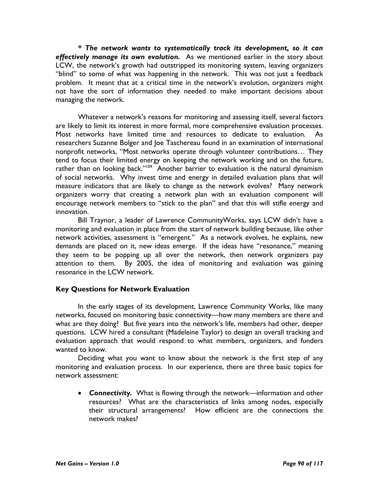\* The network wants to systematically track its development, so it can effectively manage its own evolution. As we mentioned earlier in the story about LCW, the network's growth had outstripped its monitoring system, leaving organizers "blind" to some of what was happening in the network. This was not just a feedback problem. It meant that at a critical time in the network's evolution, organizers might not have the sort of information they needed to make important decisions about managing the network.

Whatever a network's reasons for monitoring and assessing itself, several factors are likely to limit its interest in more formal, more comprehensive evaluation processes. Most networks have limited time and resources to dedicate to evaluation. As researchers Suzanne Bolger and Joe Taschereau found in an examination of international nonprofit networks, "Most networks operate through volunteer contributions… They tend to focus their limited energy on keeping the network working and on the future, rather than on looking back."<sup>109</sup> Another barrier to evaluation is the natural dynamism of social networks. Why invest time and energy in detailed evaluation plans that will measure indicators that are likely to change as the network evolves? Many network organizers worry that creating a network plan with an evaluation component will encourage network members to "stick to the plan" and that this will stifle energy and innovation.

 Bill Traynor, a leader of Lawrence CommunityWorks, says LCW didn't have a monitoring and evaluation in place from the start of network building because, like other network activities, assessment is "emergent." As a network evolves, he explains, new demands are placed on it, new ideas emerge. If the ideas have "resonance," meaning they seem to be popping up all over the network, then network organizers pay attention to them. By 2005, the idea of monitoring and evaluation was gaining resonance in the LCW network.

## Key Questions for Network Evaluation

 In the early stages of its development, Lawrence Community Works, like many networks, focused on monitoring basic connectivity—how many members are there and what are they doing? But five years into the network's life, members had other, deeper questions. LCW hired a consultant (Madeleine Taylor) to design an overall tracking and evaluation approach that would respond to what members, organizers, and funders wanted to know.

Deciding what you want to know about the network is the first step of any monitoring and evaluation process. In our experience, there are three basic topics for network assessment:

• Connectivity. What is flowing through the network—information and other resources? What are the characteristics of links among nodes, especially their structural arrangements? How efficient are the connections the network makes?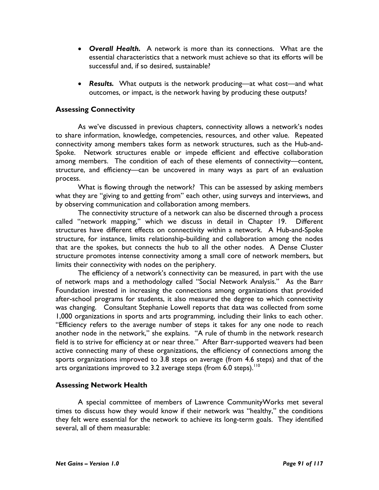- Overall Health. A network is more than its connections. What are the essential characteristics that a network must achieve so that its efforts will be successful and, if so desired, sustainable?
- Results. What outputs is the network producing—at what cost—and what outcomes, or impact, is the network having by producing these outputs?

## Assessing Connectivity

As we've discussed in previous chapters, connectivity allows a network's nodes to share information, knowledge, competencies, resources, and other value. Repeated connectivity among members takes form as network structures, such as the Hub-and-Spoke. Network structures enable or impede efficient and effective collaboration among members. The condition of each of these elements of connectivity—content, structure, and efficiency—can be uncovered in many ways as part of an evaluation process.

What is flowing through the network? This can be assessed by asking members what they are "giving to and getting from" each other, using surveys and interviews, and by observing communication and collaboration among members.

The connectivity structure of a network can also be discerned through a process called "network mapping," which we discuss in detail in Chapter 19. Different structures have different effects on connectivity within a network. A Hub-and-Spoke structure, for instance, limits relationship-building and collaboration among the nodes that are the spokes, but connects the hub to all the other nodes. A Dense Cluster structure promotes intense connectivity among a small core of network members, but limits their connectivity with nodes on the periphery.

The efficiency of a network's connectivity can be measured, in part with the use of network maps and a methodology called "Social Network Analysis." As the Barr Foundation invested in increasing the connections among organizations that provided after-school programs for students, it also measured the degree to which connectivity was changing. Consultant Stephanie Lowell reports that data was collected from some 1,000 organizations in sports and arts programming, including their links to each other. "Efficiency refers to the average number of steps it takes for any one node to reach another node in the network," she explains. "A rule of thumb in the network research field is to strive for efficiency at or near three." After Barr-supported weavers had been active connecting many of these organizations, the efficiency of connections among the sports organizations improved to 3.8 steps on average (from 4.6 steps) and that of the arts organizations improved to 3.2 average steps (from 6.0 steps).  $10^{\circ}$ 

#### Assessing Network Health

A special committee of members of Lawrence CommunityWorks met several times to discuss how they would know if their network was "healthy," the conditions they felt were essential for the network to achieve its long-term goals. They identified several, all of them measurable: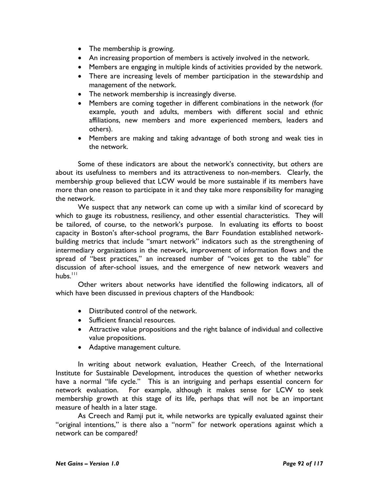- The membership is growing.
- An increasing proportion of members is actively involved in the network.
- Members are engaging in multiple kinds of activities provided by the network.
- There are increasing levels of member participation in the stewardship and management of the network.
- The network membership is increasingly diverse.
- Members are coming together in different combinations in the network (for example, youth and adults, members with different social and ethnic affiliations, new members and more experienced members, leaders and others).
- Members are making and taking advantage of both strong and weak ties in the network.

Some of these indicators are about the network's connectivity, but others are about its usefulness to members and its attractiveness to non-members. Clearly, the membership group believed that LCW would be more sustainable if its members have more than one reason to participate in it and they take more responsibility for managing the network.

We suspect that any network can come up with a similar kind of scorecard by which to gauge its robustness, resiliency, and other essential characteristics. They will be tailored, of course, to the network's purpose. In evaluating its efforts to boost capacity in Boston's after-school programs, the Barr Foundation established networkbuilding metrics that include "smart network" indicators such as the strengthening of intermediary organizations in the network, improvement of information flows and the spread of "best practices," an increased number of "voices get to the table" for discussion of after-school issues, and the emergence of new network weavers and hubs. $111$ 

Other writers about networks have identified the following indicators, all of which have been discussed in previous chapters of the Handbook:

- Distributed control of the network.
- Sufficient financial resources.
- Attractive value propositions and the right balance of individual and collective value propositions.
- Adaptive management culture.

In writing about network evaluation, Heather Creech, of the International Institute for Sustainable Development, introduces the question of whether networks have a normal "life cycle." This is an intriguing and perhaps essential concern for network evaluation. For example, although it makes sense for LCW to seek membership growth at this stage of its life, perhaps that will not be an important measure of health in a later stage.

As Creech and Ramji put it, while networks are typically evaluated against their "original intentions," is there also a "norm" for network operations against which a network can be compared?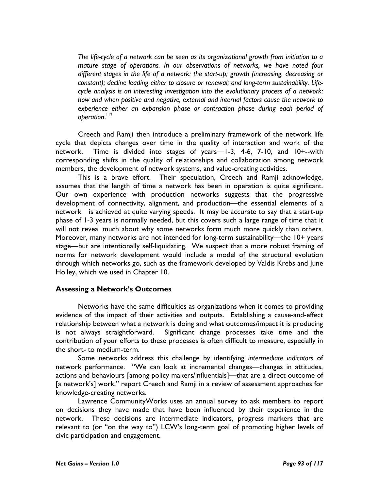The life-cycle of a network can be seen as its organizational growth from initiation to a mature stage of operations. In our observations of networks, we have noted four different stages in the life of a network: the start-up; growth (increasing, decreasing or constant); decline leading either to closure or renewal; and long-term sustainability. Lifecycle analysis is an interesting investigation into the evolutionary process of a network: how and when positive and negative, external and internal factors cause the network to experience either an expansion phase or contraction phase during each period of operation.<sup>''2</sup>

 Creech and Ramji then introduce a preliminary framework of the network life cycle that depicts changes over time in the quality of interaction and work of the network. Time is divided into stages of years—1-3, 4-6, 7-10, and 10+--with corresponding shifts in the quality of relationships and collaboration among network members, the development of network systems, and value-creating activities.

This is a brave effort. Their speculation, Creech and Ramji acknowledge, assumes that the length of time a network has been in operation is quite significant. Our own experience with production networks suggests that the progressive development of connectivity, alignment, and production—the essential elements of a network—is achieved at quite varying speeds. It may be accurate to say that a start-up phase of 1-3 years is normally needed, but this covers such a large range of time that it will not reveal much about why some networks form much more quickly than others. Moreover, many networks are not intended for long-term sustainability—the 10+ years stage—but are intentionally self-liquidating. We suspect that a more robust framing of norms for network development would include a model of the structural evolution through which networks go, such as the framework developed by Valdis Krebs and June Holley, which we used in Chapter 10.

#### Assessing a Network's Outcomes

Networks have the same difficulties as organizations when it comes to providing evidence of the impact of their activities and outputs. Establishing a cause-and-effect relationship between what a network is doing and what outcomes/impact it is producing is not always straightforward. Significant change processes take time and the contribution of your efforts to these processes is often difficult to measure, especially in the short- to medium-term.

Some networks address this challenge by identifying intermediate indicators of network performance. "We can look at incremental changes—changes in attitudes, actions and behaviours [among policy makers/influentials]—that are a direct outcome of [a network's] work," report Creech and Ramji in a review of assessment approaches for knowledge-creating networks.

Lawrence CommunityWorks uses an annual survey to ask members to report on decisions they have made that have been influenced by their experience in the network. These decisions are intermediate indicators, progress markers that are relevant to (or "on the way to") LCW's long-term goal of promoting higher levels of civic participation and engagement.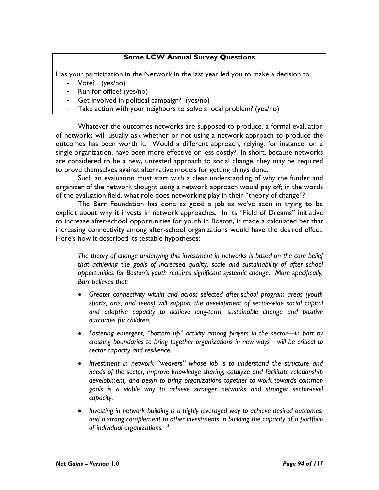## Some LCW Annual Survey Questions

Has your participation in the Network in the last year led you to make a decision to

- Vote? (yes/no)
- Run for office? (yes/no)
- Get involved in political campaign? (yes/no)
- Take action with your neighbors to solve a local problem? (yes/no)

Whatever the outcomes networks are supposed to produce, a formal evaluation of networks will usually ask whether or not using a network approach to produce the outcomes has been worth it. Would a different approach, relying, for instance, on a single organization, have been more effective or less costly? In short, because networks are considered to be a new, untested approach to social change, they may be required to prove themselves against alternative models for getting things done.

Such an evaluation must start with a clear understanding of why the funder and organizer of the network thought using a network approach would pay off; in the words of the evaluation field, what role does networking play in their "theory of change"?

The Barr Foundation has done as good a job as we've seen in trying to be explicit about why it invests in network approaches. In its "Field of Dreams" initiative to increase after-school opportunities for youth in Boston, it made a calculated bet that increasing connectivity among after-school organizations would have the desired effect. Here's how it described its testable hypotheses:

The theory of change underlying this investment in networks is based on the core belief that achieving the goals of increased quality, scale and sustainability of after school opportunities for Boston's youth requires significant systemic change. More specifically, Barr believes that:

- Greater connectivity within and across selected after-school program areas (youth sports, arts, and teens) will support the development of sector-wide social capital and adaptive capacity to achieve long-term, sustainable change and positive outcomes for children.
- Fostering emergent, "bottom up" activity among players in the sector—in part by crossing boundaries to bring together organizations in new ways—will be critical to sector capacity and resilience.
- Investment in network "weavers" whose job is to understand the structure and needs of the sector, improve knowledge sharing, catalyze and facilitate relationship development, and begin to bring organizations together to work towards common goals is a viable way to achieve stronger networks and stronger sector-level capacity.
- Investing in network building is a highly leveraged way to achieve desired outcomes, and a strong complement to other investments in building the capacity of a portfolio of individual organizations.<sup>113</sup>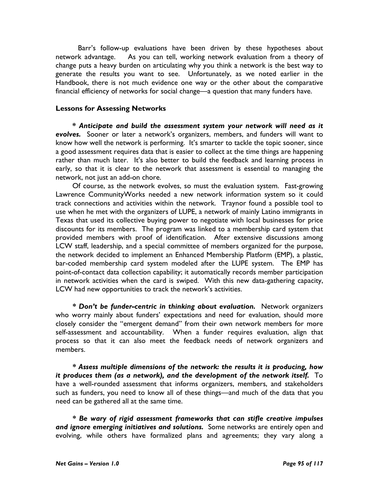Barr's follow-up evaluations have been driven by these hypotheses about network advantage. As you can tell, working network evaluation from a theory of change puts a heavy burden on articulating why you think a network is the best way to generate the results you want to see. Unfortunately, as we noted earlier in the Handbook, there is not much evidence one way or the other about the comparative financial efficiency of networks for social change—a question that many funders have.

### Lessons for Assessing Networks

\* Anticipate and build the assessment system your network will need as it evolves. Sooner or later a network's organizers, members, and funders will want to know how well the network is performing. It's smarter to tackle the topic sooner, since a good assessment requires data that is easier to collect at the time things are happening rather than much later. It's also better to build the feedback and learning process in early, so that it is clear to the network that assessment is essential to managing the network, not just an add-on chore.

Of course, as the network evolves, so must the evaluation system. Fast-growing Lawrence CommunityWorks needed a new network information system so it could track connections and activities within the network. Traynor found a possible tool to use when he met with the organizers of LUPE, a network of mainly Latino immigrants in Texas that used its collective buying power to negotiate with local businesses for price discounts for its members. The program was linked to a membership card system that provided members with proof of identification. After extensive discussions among LCW staff, leadership, and a special committee of members organized for the purpose, the network decided to implement an Enhanced Membership Platform (EMP), a plastic, bar-coded membership card system modeled after the LUPE system. The EMP has point-of-contact data collection capability; it automatically records member participation in network activities when the card is swiped. With this new data-gathering capacity, LCW had new opportunities to track the network's activities.

\* Don't be funder-centric in thinking about evaluation. Network organizers who worry mainly about funders' expectations and need for evaluation, should more closely consider the "emergent demand" from their own network members for more self-assessment and accountability. When a funder requires evaluation, align that process so that it can also meet the feedback needs of network organizers and members.

\* Assess multiple dimensions of the network: the results it is producing, how it produces them (as a network), and the development of the network itself. To have a well-rounded assessment that informs organizers, members, and stakeholders such as funders, you need to know all of these things—and much of the data that you need can be gathered all at the same time.

\* Be wary of rigid assessment frameworks that can stifle creative impulses and ignore emerging initiatives and solutions. Some networks are entirely open and evolving, while others have formalized plans and agreements; they vary along a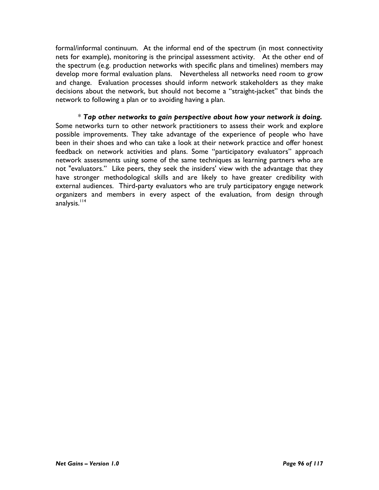formal/informal continuum. At the informal end of the spectrum (in most connectivity nets for example), monitoring is the principal assessment activity. At the other end of the spectrum (e.g. production networks with specific plans and timelines) members may develop more formal evaluation plans. Nevertheless all networks need room to grow and change. Evaluation processes should inform network stakeholders as they make decisions about the network, but should not become a "straight-jacket" that binds the network to following a plan or to avoiding having a plan.

 $*$  Tap other networks to gain perspective about how your network is doing. Some networks turn to other network practitioners to assess their work and explore possible improvements. They take advantage of the experience of people who have been in their shoes and who can take a look at their network practice and offer honest feedback on network activities and plans. Some "participatory evaluators" approach network assessments using some of the same techniques as learning partners who are not "evaluators." Like peers, they seek the insiders' view with the advantage that they have stronger methodological skills and are likely to have greater credibility with external audiences. Third-party evaluators who are truly participatory engage network organizers and members in every aspect of the evaluation, from design through analysis.<sup>114</sup>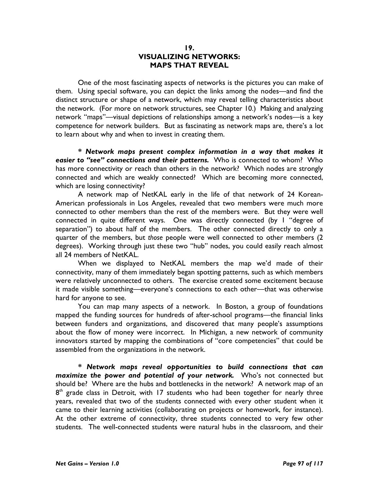#### 19. VISUALIZING NETWORKS: MAPS THAT REVEAL

One of the most fascinating aspects of networks is the pictures you can make of them. Using special software, you can depict the links among the nodes—and find the distinct structure or shape of a network, which may reveal telling characteristics about the network. (For more on network structures, see Chapter 10.) Making and analyzing network "maps"—visual depictions of relationships among a network's nodes—is a key competence for network builders. But as fascinating as network maps are, there's a lot to learn about why and when to invest in creating them.

\* Network maps present complex information in a way that makes it easier to "see" connections and their patterns. Who is connected to whom? Who has more connectivity or reach than others in the network? Which nodes are strongly connected and which are weakly connected? Which are becoming more connected, which are losing connectivity?

A network map of NetKAL early in the life of that network of 24 Korean-American professionals in Los Angeles, revealed that two members were much more connected to other members than the rest of the members were. But they were well connected in quite different ways. One was directly connected (by 1 "degree of separation") to about half of the members. The other connected directly to only a quarter of the members, but those people were well connected to other members (2 degrees). Working through just these two "hub" nodes, you could easily reach almost all 24 members of NetKAL.

When we displayed to NetKAL members the map we'd made of their connectivity, many of them immediately began spotting patterns, such as which members were relatively unconnected to others. The exercise created some excitement because it made visible something—everyone's connections to each other—that was otherwise hard for anyone to see.

You can map many aspects of a network. In Boston, a group of foundations mapped the funding sources for hundreds of after-school programs—the financial links between funders and organizations, and discovered that many people's assumptions about the flow of money were incorrect. In Michigan, a new network of community innovators started by mapping the combinations of "core competencies" that could be assembled from the organizations in the network.

\* Network maps reveal opportunities to build connections that can maximize the power and potential of your network. Who's not connected but should be? Where are the hubs and bottlenecks in the network? A network map of an 8<sup>th</sup> grade class in Detroit, with 17 students who had been together for nearly three years, revealed that two of the students connected with every other student when it came to their learning activities (collaborating on projects or homework, for instance). At the other extreme of connectivity, three students connected to very few other students. The well-connected students were natural hubs in the classroom, and their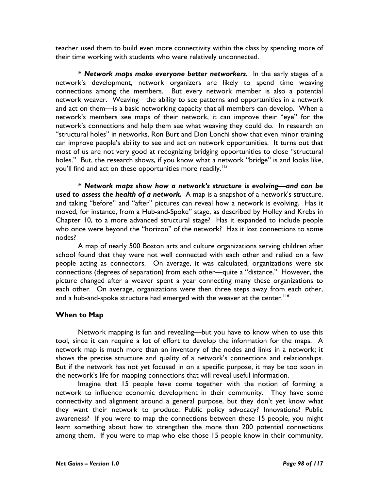teacher used them to build even more connectivity within the class by spending more of their time working with students who were relatively unconnected.

\* Network maps make everyone better networkers. In the early stages of a network's development, network organizers are likely to spend time weaving connections among the members. But every network member is also a potential network weaver. Weaving—the ability to see patterns and opportunities in a network and act on them—is a basic networking capacity that all members can develop. When a network's members see maps of their network, it can improve their "eye" for the network's connections and help them see what weaving they could do. In research on "structural holes" in networks, Ron Burt and Don Lonchi show that even minor training can improve people's ability to see and act on network opportunities. It turns out that most of us are not very good at recognizing bridging opportunities to close "structural holes." But, the research shows, if you know what a network "bridge" is and looks like, you'll find and act on these opportunities more readily.<sup>115</sup>

\* Network maps show how a network's structure is evolving—and can be used to assess the health of a network. A map is a snapshot of a network's structure, and taking "before" and "after" pictures can reveal how a network is evolving. Has it moved, for instance, from a Hub-and-Spoke" stage, as described by Holley and Krebs in Chapter 10, to a more advanced structural stage? Has it expanded to include people who once were beyond the "horizon" of the network? Has it lost connections to some nodes?

A map of nearly 500 Boston arts and culture organizations serving children after school found that they were not well connected with each other and relied on a few people acting as connectors. On average, it was calculated, organizations were six connections (degrees of separation) from each other—quite a "distance." However, the picture changed after a weaver spent a year connecting many these organizations to each other. On average, organizations were then three steps away from each other, and a hub-and-spoke structure had emerged with the weaver at the center.<sup>116</sup>

## When to Map

Network mapping is fun and revealing—but you have to know when to use this tool, since it can require a lot of effort to develop the information for the maps. A network map is much more than an inventory of the nodes and links in a network; it shows the precise structure and quality of a network's connections and relationships. But if the network has not yet focused in on a specific purpose, it may be too soon in the network's life for mapping connections that will reveal useful information.

Imagine that 15 people have come together with the notion of forming a network to influence economic development in their community. They have some connectivity and alignment around a general purpose, but they don't yet know what they want their network to produce: Public policy advocacy? Innovations? Public awareness? If you were to map the connections between these 15 people, you might learn something about how to strengthen the more than 200 potential connections among them. If you were to map who else those 15 people know in their community,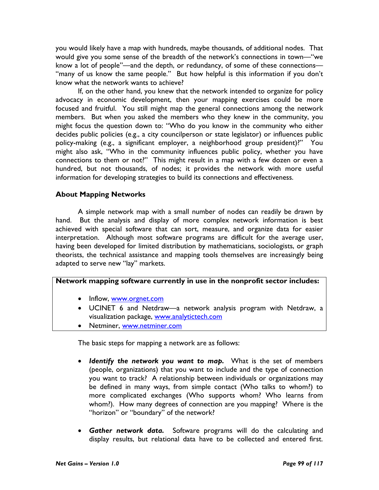you would likely have a map with hundreds, maybe thousands, of additional nodes. That would give you some sense of the breadth of the network's connections in town—"we know a lot of people"—and the depth, or redundancy, of some of these connections— "many of us know the same people." But how helpful is this information if you don't know what the network wants to achieve?

If, on the other hand, you knew that the network intended to organize for policy advocacy in economic development, then your mapping exercises could be more focused and fruitful. You still might map the general connections among the network members. But when you asked the members who they knew in the community, you might focus the question down to: "Who do you know in the community who either decides public policies (e.g., a city councilperson or state legislator) or influences public policy-making (e.g., a significant employer, a neighborhood group president)?" You might also ask, "Who in the community influences public policy, whether you have connections to them or not?" This might result in a map with a few dozen or even a hundred, but not thousands, of nodes; it provides the network with more useful information for developing strategies to build its connections and effectiveness.

## About Mapping Networks

 A simple network map with a small number of nodes can readily be drawn by hand. But the analysis and display of more complex network information is best achieved with special software that can sort, measure, and organize data for easier interpretation. Although most software programs are difficult for the average user, having been developed for limited distribution by mathematicians, sociologists, or graph theorists, the technical assistance and mapping tools themselves are increasingly being adapted to serve new "lay" markets.

## Network mapping software currently in use in the nonprofit sector includes:

- Inflow, www.orgnet.com
- UCINET 6 and Netdraw—a network analysis program with Netdraw, a visualization package, www.analytictech.com
- Netminer, www.netminer.com

The basic steps for mapping a network are as follows:

- Identify the network you want to map. What is the set of members (people, organizations) that you want to include and the type of connection you want to track? A relationship between individuals or organizations may be defined in many ways, from simple contact (Who talks to whom?) to more complicated exchanges (Who supports whom? Who learns from whom?). How many degrees of connection are you mapping? Where is the "horizon" or "boundary" of the network?
- Gather network data. Software programs will do the calculating and display results, but relational data have to be collected and entered first.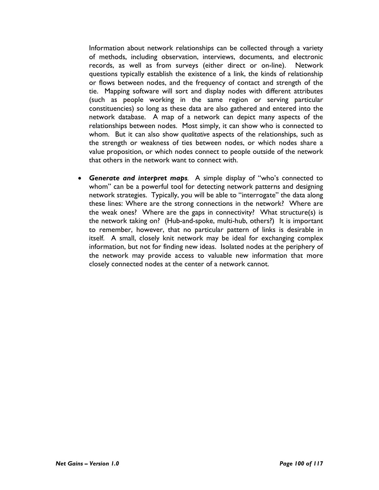Information about network relationships can be collected through a variety of methods, including observation, interviews, documents, and electronic records, as well as from surveys (either direct or on-line). Network questions typically establish the existence of a link, the kinds of relationship or flows between nodes, and the frequency of contact and strength of the tie. Mapping software will sort and display nodes with different attributes (such as people working in the same region or serving particular constituencies) so long as these data are also gathered and entered into the network database. A map of a network can depict many aspects of the relationships between nodes. Most simply, it can show who is connected to whom. But it can also show qualitative aspects of the relationships, such as the strength or weakness of ties between nodes, or which nodes share a value proposition, or which nodes connect to people outside of the network that others in the network want to connect with.

• Generate and interpret maps. A simple display of "who's connected to whom" can be a powerful tool for detecting network patterns and designing network strategies. Typically, you will be able to "interrogate" the data along these lines: Where are the strong connections in the network? Where are the weak ones? Where are the gaps in connectivity? What structure(s) is the network taking on? (Hub-and-spoke, multi-hub, others?) It is important to remember, however, that no particular pattern of links is desirable in itself. A small, closely knit network may be ideal for exchanging complex information, but not for finding new ideas. Isolated nodes at the periphery of the network may provide access to valuable new information that more closely connected nodes at the center of a network cannot.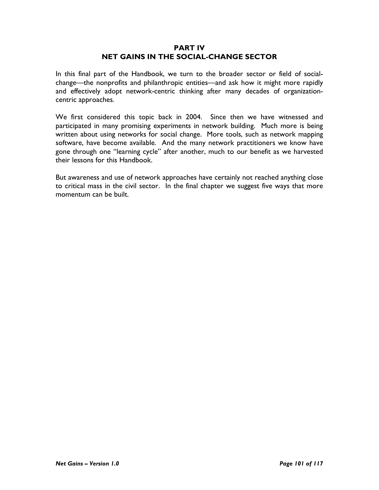### PART IV NET GAINS IN THE SOCIAL-CHANGE SECTOR

In this final part of the Handbook, we turn to the broader sector or field of socialchange—the nonprofits and philanthropic entities—and ask how it might more rapidly and effectively adopt network-centric thinking after many decades of organizationcentric approaches.

We first considered this topic back in 2004. Since then we have witnessed and participated in many promising experiments in network building. Much more is being written about using networks for social change. More tools, such as network mapping software, have become available. And the many network practitioners we know have gone through one "learning cycle" after another, much to our benefit as we harvested their lessons for this Handbook.

But awareness and use of network approaches have certainly not reached anything close to critical mass in the civil sector. In the final chapter we suggest five ways that more momentum can be built.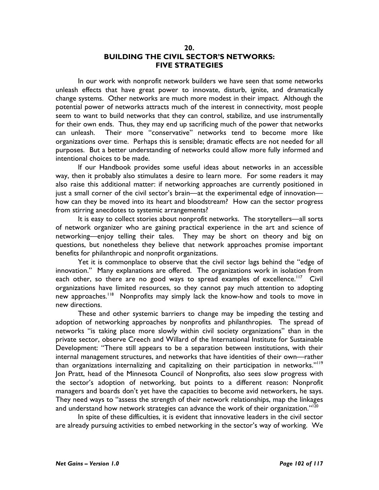#### 20. BUILDING THE CIVIL SECTOR'S NETWORKS: FIVE STRATEGIES

In our work with nonprofit network builders we have seen that some networks unleash effects that have great power to innovate, disturb, ignite, and dramatically change systems. Other networks are much more modest in their impact. Although the potential power of networks attracts much of the interest in connectivity, most people seem to want to build networks that they can control, stabilize, and use instrumentally for their own ends. Thus, they may end up sacrificing much of the power that networks can unleash. Their more "conservative" networks tend to become more like organizations over time. Perhaps this is sensible; dramatic effects are not needed for all purposes. But a better understanding of networks could allow more fully informed and intentional choices to be made.

If our Handbook provides some useful ideas about networks in an accessible way, then it probably also stimulates a desire to learn more. For some readers it may also raise this additional matter: if networking approaches are currently positioned in just a small corner of the civil sector's brain—at the experimental edge of innovation how can they be moved into its heart and bloodstream? How can the sector progress from stirring anecdotes to systemic arrangements?

It is easy to collect stories about nonprofit networks. The storytellers—all sorts of network organizer who are gaining practical experience in the art and science of networking—enjoy telling their tales. They may be short on theory and big on questions, but nonetheless they believe that network approaches promise important benefits for philanthropic and nonprofit organizations.

Yet it is commonplace to observe that the civil sector lags behind the "edge of innovation." Many explanations are offered. The organizations work in isolation from each other, so there are no good ways to spread examples of excellence.<sup>117</sup> Civil organizations have limited resources, so they cannot pay much attention to adopting new approaches.<sup>118</sup> Nonprofits may simply lack the know-how and tools to move in new directions.

These and other systemic barriers to change may be impeding the testing and adoption of networking approaches by nonprofits and philanthropies. The spread of networks "is taking place more slowly within civil society organizations" than in the private sector, observe Creech and Willard of the International Institute for Sustainable Development: "There still appears to be a separation between institutions, with their internal management structures, and networks that have identities of their own—rather than organizations internalizing and capitalizing on their participation in networks."<sup>119</sup> Jon Pratt, head of the Minnesota Council of Nonprofits, also sees slow progress with the sector's adoption of networking, but points to a different reason: Nonprofit managers and boards don't yet have the capacities to become avid networkers, he says. They need ways to "assess the strength of their network relationships, map the linkages and understand how network strategies can advance the work of their organization."<sup>120</sup>

In spite of these difficulties, it is evident that innovative leaders in the civil sector are already pursuing activities to embed networking in the sector's way of working. We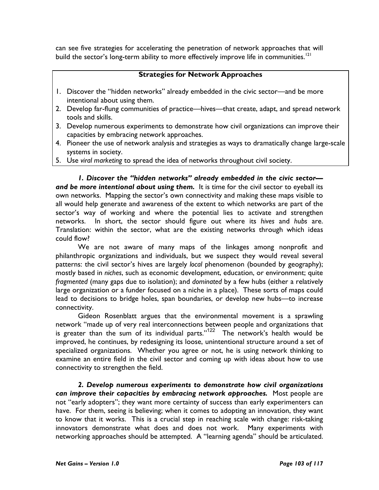can see five strategies for accelerating the penetration of network approaches that will build the sector's long-term ability to more effectively improve life in communities.<sup>121</sup>

# Strategies for Network Approaches

- 1. Discover the "hidden networks" already embedded in the civic sector—and be more intentional about using them.
- 2. Develop far-flung communities of practice—hives—that create, adapt, and spread network tools and skills.
- 3. Develop numerous experiments to demonstrate how civil organizations can improve their capacities by embracing network approaches.
- 4. Pioneer the use of network analysis and strategies as ways to dramatically change large-scale systems in society.
- 5. Use viral marketing to spread the idea of networks throughout civil society.

1. Discover the "hidden networks" already embedded in the civic sector and be more intentional about using them. It is time for the civil sector to eyeball its own networks. Mapping the sector's own connectivity and making these maps visible to all would help generate and awareness of the extent to which networks are part of the sector's way of working and where the potential lies to activate and strengthen networks. In short, the sector should figure out where its hives and hubs are. Translation: within the sector, what are the existing networks through which ideas could flow?

We are not aware of many maps of the linkages among nonprofit and philanthropic organizations and individuals, but we suspect they would reveal several patterns: the civil sector's hives are largely local phenomenon (bounded by geography); mostly based in niches, such as economic development, education, or environment; quite fragmented (many gaps due to isolation); and dominated by a few hubs (either a relatively large organization or a funder focused on a niche in a place). These sorts of maps could lead to decisions to bridge holes, span boundaries, or develop new hubs—to increase connectivity.

Gideon Rosenblatt argues that the environmental movement is a sprawling network "made up of very real interconnections between people and organizations that is greater than the sum of its individual parts." $122$  The network's health would be improved, he continues, by redesigning its loose, unintentional structure around a set of specialized organizations. Whether you agree or not, he is using network thinking to examine an entire field in the civil sector and coming up with ideas about how to use connectivity to strengthen the field.

2. Develop numerous experiments to demonstrate how civil organizations can improve their capacities by embracing network approaches. Most people are not "early adopters"; they want more certainty of success than early experimenters can have. For them, seeing is believing; when it comes to adopting an innovation, they want to know that it works. This is a crucial step in reaching scale with change: risk-taking innovators demonstrate what does and does not work. Many experiments with networking approaches should be attempted. A "learning agenda" should be articulated.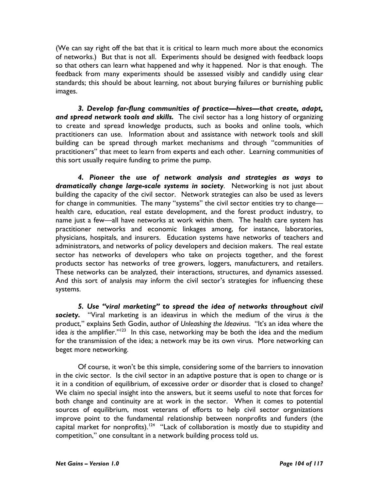(We can say right off the bat that it is critical to learn much more about the economics of networks.) But that is not all. Experiments should be designed with feedback loops so that others can learn what happened and why it happened. Nor is that enough. The feedback from many experiments should be assessed visibly and candidly using clear standards; this should be about learning, not about burying failures or burnishing public images.

3. Develop far-flung communities of practice—hives—that create, adapt, and spread network tools and skills. The civil sector has a long history of organizing to create and spread knowledge products, such as books and online tools, which practitioners can use. Information about and assistance with network tools and skill building can be spread through market mechanisms and through "communities of practitioners" that meet to learn from experts and each other. Learning communities of this sort usually require funding to prime the pump.

4. Pioneer the use of network analysis and strategies as ways to dramatically change large-scale systems in society. Networking is not just about building the capacity of the civil sector. Network strategies can also be used as levers for change in communities. The many "systems" the civil sector entities try to change health care, education, real estate development, and the forest product industry, to name just a few—all have networks at work within them. The health care system has practitioner networks and economic linkages among, for instance, laboratories, physicians, hospitals, and insurers. Education systems have networks of teachers and administrators, and networks of policy developers and decision makers. The real estate sector has networks of developers who take on projects together, and the forest products sector has networks of tree growers, loggers, manufacturers, and retailers. These networks can be analyzed, their interactions, structures, and dynamics assessed. And this sort of analysis may inform the civil sector's strategies for influencing these systems.

5. Use "viral marketing" to spread the idea of networks throughout civil society. "Viral marketing is an ideavirus in which the medium of the virus is the product," explains Seth Godin, author of Unleashing the Ideavirus. "It's an idea where the idea is the amplifier." $123$  In this case, networking may be both the idea and the medium for the transmission of the idea; a network may be its own virus. More networking can beget more networking.

Of course, it won't be this simple, considering some of the barriers to innovation in the civic sector. Is the civil sector in an adaptive posture that is open to change or is it in a condition of equilibrium, of excessive order or disorder that is closed to change? We claim no special insight into the answers, but it seems useful to note that forces for both change and continuity are at work in the sector. When it comes to potential sources of equilibrium, most veterans of efforts to help civil sector organizations improve point to the fundamental relationship between nonprofits and funders (the capital market for nonprofits).<sup>124</sup> "Lack of collaboration is mostly due to stupidity and competition," one consultant in a network building process told us.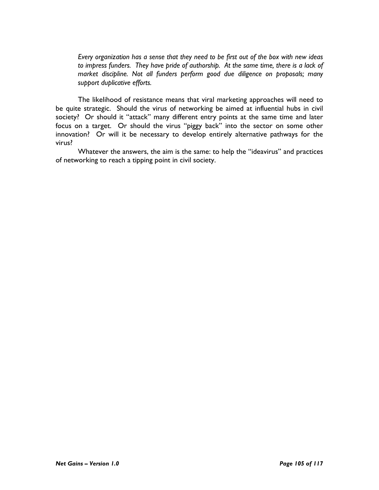Every organization has a sense that they need to be first out of the box with new ideas to impress funders. They have pride of authorship. At the same time, there is a lack of market discipline. Not all funders perform good due diligence on proposals; many support duplicative efforts.

The likelihood of resistance means that viral marketing approaches will need to be quite strategic. Should the virus of networking be aimed at influential hubs in civil society? Or should it "attack" many different entry points at the same time and later focus on a target. Or should the virus "piggy back" into the sector on some other innovation? Or will it be necessary to develop entirely alternative pathways for the virus?

Whatever the answers, the aim is the same: to help the "ideavirus" and practices of networking to reach a tipping point in civil society.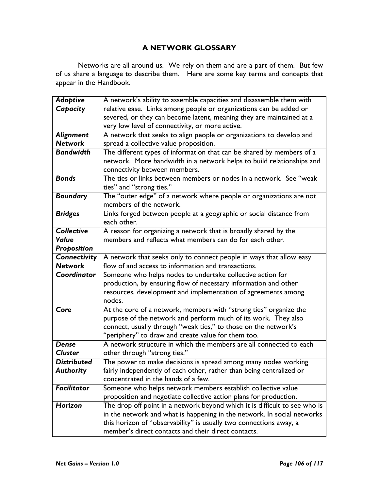# A NETWORK GLOSSARY

Networks are all around us. We rely on them and are a part of them. But few of us share a language to describe them. Here are some key terms and concepts that appear in the Handbook.

| <b>Adaptive</b>    | A network's ability to assemble capacities and disassemble them with       |
|--------------------|----------------------------------------------------------------------------|
| Capacity           | relative ease. Links among people or organizations can be added or         |
|                    | severed, or they can become latent, meaning they are maintained at a       |
|                    | very low level of connectivity, or more active.                            |
| Alignment          | A network that seeks to align people or organizations to develop and       |
| <b>Network</b>     | spread a collective value proposition.                                     |
| <b>Bandwidth</b>   | The different types of information that can be shared by members of a      |
|                    | network. More bandwidth in a network helps to build relationships and      |
|                    | connectivity between members.                                              |
| <b>Bonds</b>       | The ties or links between members or nodes in a network. See "weak         |
|                    | ties" and "strong ties."                                                   |
| <b>Boundary</b>    | The "outer edge" of a network where people or organizations are not        |
|                    | members of the network.                                                    |
| <b>Bridges</b>     | Links forged between people at a geographic or social distance from        |
|                    | each other.                                                                |
| <b>Collective</b>  | A reason for organizing a network that is broadly shared by the            |
| Value              | members and reflects what members can do for each other.                   |
| Proposition        |                                                                            |
| Connectivity       | A network that seeks only to connect people in ways that allow easy        |
| <b>Network</b>     | flow of and access to information and transactions.                        |
| Coordinator        | Someone who helps nodes to undertake collective action for                 |
|                    | production, by ensuring flow of necessary information and other            |
|                    | resources, development and implementation of agreements among              |
|                    | nodes.                                                                     |
| Core               | At the core of a network, members with "strong ties" organize the          |
|                    | purpose of the network and perform much of its work. They also             |
|                    | connect, usually through "weak ties," to those on the network's            |
|                    | "periphery" to draw and create value for them too.                         |
| <b>Dense</b>       | A network structure in which the members are all connected to each         |
| <b>Cluster</b>     | other through "strong ties."                                               |
| <b>Distributed</b> | The power to make decisions is spread among many nodes working             |
| <b>Authority</b>   | fairly independently of each other, rather than being centralized or       |
|                    | concentrated in the hands of a few.                                        |
| <b>Facilitator</b> | Someone who helps network members establish collective value               |
|                    | proposition and negotiate collective action plans for production.          |
| Horizon            | The drop off point in a network beyond which it is difficult to see who is |
|                    | in the network and what is happening in the network. In social networks    |
|                    | this horizon of "observability" is usually two connections away, a         |
|                    | member's direct contacts and their direct contacts.                        |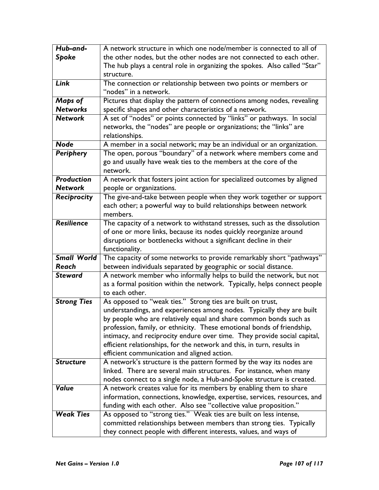| Hub-and-           | A network structure in which one node/member is connected to all of                                                                                |
|--------------------|----------------------------------------------------------------------------------------------------------------------------------------------------|
| Spoke              | the other nodes, but the other nodes are not connected to each other.                                                                              |
|                    | The hub plays a central role in organizing the spokes. Also called "Star"                                                                          |
|                    | structure.                                                                                                                                         |
| Link               | The connection or relationship between two points or members or                                                                                    |
|                    | "nodes" in a network.                                                                                                                              |
| Maps of            | Pictures that display the pattern of connections among nodes, revealing                                                                            |
| <b>Networks</b>    | specific shapes and other characteristics of a network.                                                                                            |
| <b>Network</b>     | A set of "nodes" or points connected by "links" or pathways. In social                                                                             |
|                    | networks, the "nodes" are people or organizations; the "links" are                                                                                 |
|                    | relationships.                                                                                                                                     |
| <b>Node</b>        | A member in a social network; may be an individual or an organization.                                                                             |
| Periphery          | The open, porous "boundary" of a network where members come and                                                                                    |
|                    | go and usually have weak ties to the members at the core of the                                                                                    |
|                    | network.                                                                                                                                           |
| <b>Production</b>  | A network that fosters joint action for specialized outcomes by aligned                                                                            |
| <b>Network</b>     | people or organizations.                                                                                                                           |
| Reciprocity        | The give-and-take between people when they work together or support                                                                                |
|                    | each other; a powerful way to build relationships between network                                                                                  |
|                    | members.                                                                                                                                           |
| Resilience         | The capacity of a network to withstand stresses, such as the dissolution                                                                           |
|                    | of one or more links, because its nodes quickly reorganize around                                                                                  |
|                    | disruptions or bottlenecks without a significant decline in their                                                                                  |
|                    | functionality.                                                                                                                                     |
| <b>Small World</b> | The capacity of some networks to provide remarkably short "pathways"                                                                               |
| Reach              | between individuals separated by geographic or social distance.                                                                                    |
| <b>Steward</b>     | A network member who informally helps to build the network, but not                                                                                |
|                    | as a formal position within the network. Typically, helps connect people                                                                           |
|                    | to each other.                                                                                                                                     |
| <b>Strong Ties</b> | As opposed to "weak ties." Strong ties are built on trust,                                                                                         |
|                    | understandings, and experiences among nodes. Typically they are built                                                                              |
|                    | by people who are relatively equal and share common bonds such as                                                                                  |
|                    | profession, family, or ethnicity. These emotional bonds of friendship,                                                                             |
|                    | intimacy, and reciprocity endure over time. They provide social capital,<br>efficient relationships, for the network and this, in turn, results in |
|                    | efficient communication and aligned action.                                                                                                        |
| <b>Structure</b>   | A network's structure is the pattern formed by the way its nodes are                                                                               |
|                    | linked. There are several main structures. For instance, when many                                                                                 |
|                    | nodes connect to a single node, a Hub-and-Spoke structure is created.                                                                              |
| <b>Value</b>       | A network creates value for its members by enabling them to share                                                                                  |
|                    | information, connections, knowledge, expertise, services, resources, and                                                                           |
|                    | funding with each other. Also see "collective value proposition."                                                                                  |
| <b>Weak Ties</b>   |                                                                                                                                                    |
|                    |                                                                                                                                                    |
|                    | they connect people with different interests, values, and ways of                                                                                  |
|                    | As opposed to "strong ties." Weak ties are built on less intense,<br>committed relationships between members than strong ties. Typically           |
|                    |                                                                                                                                                    |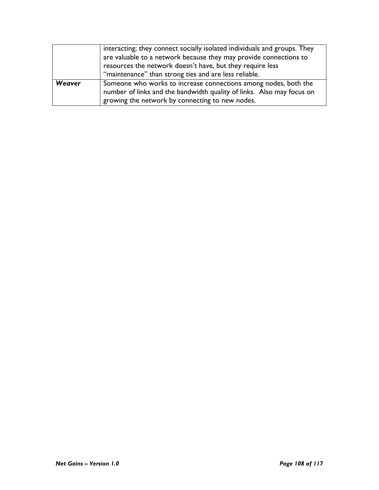|        | interacting; they connect socially isolated individuals and groups. They |
|--------|--------------------------------------------------------------------------|
|        | are valuable to a network because they may provide connections to        |
|        | resources the network doesn't have, but they require less                |
|        | "maintenance" than strong ties and are less reliable.                    |
| Weaver | Someone who works to increase connections among nodes, both the          |
|        | number of links and the bandwidth quality of links. Also may focus on    |
|        | growing the network by connecting to new nodes.                          |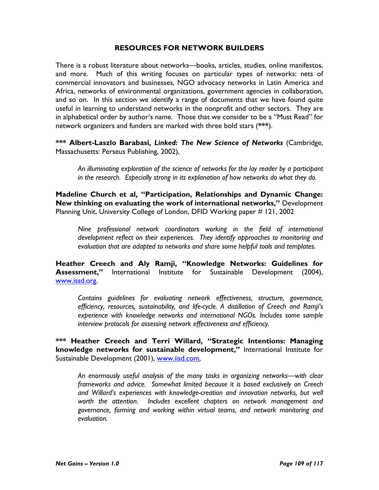## RESOURCES FOR NETWORK BUILDERS

There is a robust literature about networks—books, articles, studies, online manifestos, and more. Much of this writing focuses on particular types of networks: nets of commercial innovators and businesses, NGO advocacy networks in Latin America and Africa, networks of environmental organizations, government agencies in collaboration, and so on. In this section we identify a range of documents that we have found quite useful in learning to understand networks in the nonprofit and other sectors. They are in alphabetical order by author's name. Those that we consider to be a "Must Read" for network organizers and funders are marked with three bold stars (\*\*\*).

\*\*\* Albert-Laszlo Barabasi, Linked: The New Science of Networks (Cambridge, Massachusetts: Perseus Publishing, 2002),

An illuminating exploration of the science of networks for the lay reader by a participant in the research. Especially strong in its explanation of how networks do what they do.

Madeline Church et al, "Participation, Relationships and Dynamic Change: New thinking on evaluating the work of international networks," Development Planning Unit, University College of London, DFID Working paper # 121, 2002

Nine professional network coordinators working in the field of international development reflect on their experiences. They identify approaches to monitoring and evaluation that are adapted to networks and share some helpful tools and templates.

Heather Creech and Aly Ramji, "Knowledge Networks: Guidelines for Assessment," International Institute for Sustainable Development (2004), www.issd.org.

Contains guidelines for evaluating network effectiveness, structure, governance, efficiency, resources, sustainability, and life-cycle. A distillation of Creech and Ramji's experience with knowledge networks and international NGOs. Includes some sample interview protocols for assessing network effectiveness and efficiency.

\*\*\* Heather Creech and Terri Willard, "Strategic Intentions: Managing knowledge networks for sustainable development," International Institute for Sustainable Development (2001), www.iisd.com,

An enormously useful analysis of the many tasks in organizing networks—with clear frameworks and advice. Somewhat limited because it is based exclusively on Creech and Willard's experiences with knowledge-creation and innovation networks, but well worth the attention. Includes excellent chapters on network management and governance, forming and working within virtual teams, and network monitoring and evaluation.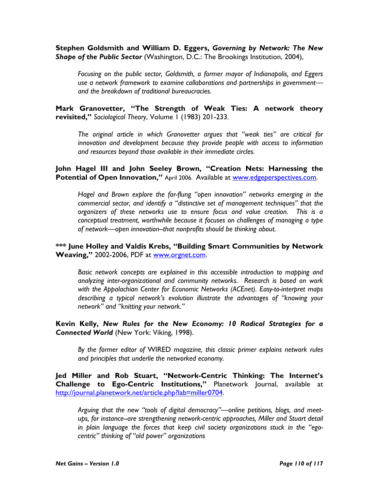Stephen Goldsmith and William D. Eggers, Governing by Network: The New Shape of the Public Sector (Washington, D.C.: The Brookings Institution, 2004),

Focusing on the public sector, Goldsmith, a former mayor of Indianapolis, and Eggers use a network framework to examine collaborations and partnerships in government and the breakdown of traditional bureaucracies.

Mark Granovetter, "The Strength of Weak Ties: A network theory revisited," Sociological Theory, Volume 1 (1983) 201-233.

The original article in which Granovetter argues that "weak ties" are critical for innovation and development because they provide people with access to information and resources beyond those available in their immediate circles.

John Hagel III and John Seeley Brown, "Creation Nets: Harnessing the Potential of Open Innovation," April 2006. Available at www.edgeperspectives.com.

Hagel and Brown explore the far-flung "open innovation" networks emerging in the commercial sector, and identify a "distinctive set of management techniques" that the organizers of these networks use to ensure focus and value creation. This is a conceptual treatment, worthwhile because it focuses on challenges of managing a type of network—open innovation--that nonprofits should be thinking about.

## \*\*\* June Holley and Valdis Krebs, "Building Smart Communities by Network Weaving," 2002-2006, PDF at www.orgnet.com.

Basic network concepts are explained in this accessible introduction to mapping and analyzing inter-organizational and community networks. Research is based on work with the Appalachian Center for Economic Networks (ACEnet). Easy-to-interpret maps describing a typical network's evolution illustrate the advantages of "knowing your network" and "knitting your network."

Kevin Kelly, New Rules for the New Economy: 10 Radical Strategies for a Connected World (New York: Viking, 1998).

By the former editor of WIRED magazine, this classic primer explains network rules and principles that underlie the networked economy.

Jed Miller and Rob Stuart, "Network-Centric Thinking: The Internet's Challenge to Ego-Centric Institutions," Planetwork Journal, available at http://journal.planetwork.net/article.php?lab=miller0704.

Arguing that the new "tools of digital democracy"—online petitions, blogs, and meetups, for instance--are strengthening network-centric approaches, Miller and Stuart detail in plain language the forces that keep civil society organizations stuck in the "egocentric" thinking of "old power" organizations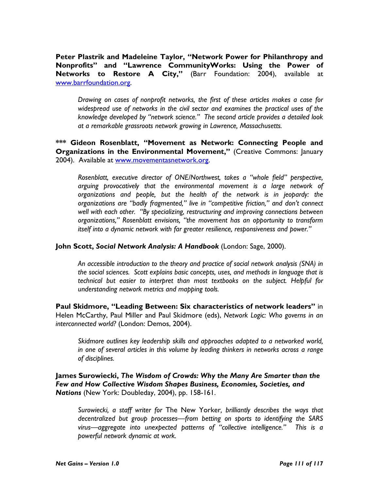Peter Plastrik and Madeleine Taylor, "Network Power for Philanthropy and Nonprofits" and "Lawrence CommunityWorks: Using the Power of Networks to Restore A City," (Barr Foundation: 2004), available at www.barrfoundation.org.

Drawing on cases of nonprofit networks, the first of these articles makes a case for widespread use of networks in the civil sector and examines the practical uses of the knowledge developed by "network science." The second article provides a detailed look at a remarkable grassroots network growing in Lawrence, Massachusetts.

\*\*\* Gideon Rosenblatt, "Movement as Network: Connecting People and Organizations in the Environmental Movement," (Creative Commons: January 2004). Available at www.movementasnetwork.org.

Rosenblatt, executive director of ONE/Northwest, takes a "whole field" perspective, arguing provocatively that the environmental movement is a large network of organizations and people, but the health of the network is in jeopardy: the organizations are "badly fragmented," live in "competitive friction," and don't connect well with each other. "By specializing, restructuring and improving connections between organizations," Rosenblatt envisions, "the movement has an opportunity to transform itself into a dynamic network with far greater resilience, responsiveness and power."

John Scott, Social Network Analysis: A Handbook (London: Sage, 2000).

An accessible introduction to the theory and practice of social network analysis (SNA) in the social sciences. Scott explains basic concepts, uses, and methods in language that is technical but easier to interpret than most textbooks on the subject. Helpful for understanding network metrics and mapping tools.

Paul Skidmore, "Leading Between: Six characteristics of network leaders" in Helen McCarthy, Paul Miller and Paul Skidmore (eds), Network Logic: Who governs in an interconnected world? (London: Demos, 2004).

Skidmore outlines key leadership skills and approaches adapted to a networked world, in one of several articles in this volume by leading thinkers in networks across a range of disciplines.

James Surowiecki, The Wisdom of Crowds: Why the Many Are Smarter than the Few and How Collective Wisdom Shapes Business, Economies, Societies, and Nations (New York: Doubleday, 2004), pp. 158-161.

Surowiecki, a staff writer for The New Yorker, brilliantly describes the ways that decentralized but group processes—from betting on sports to identifying the SARS virus—aggregate into unexpected patterns of "collective intelligence." This is a powerful network dynamic at work.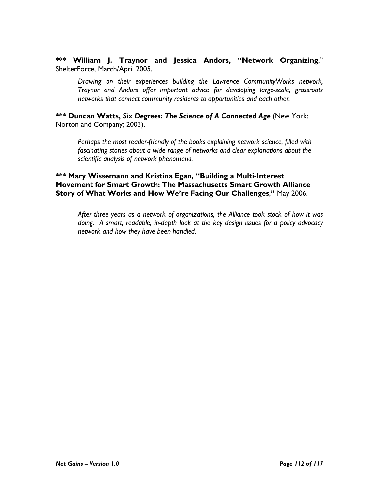\*\*\* William J. Traynor and Jessica Andors, "Network Organizing," ShelterForce, March/April 2005.

Drawing on their experiences building the Lawrence CommunityWorks network, Traynor and Andors offer important advice for developing large-scale, grassroots networks that connect community residents to opportunities and each other.

\*\*\* Duncan Watts, Six Degrees: The Science of A Connected Age (New York: Norton and Company; 2003),

Perhaps the most reader-friendly of the books explaining network science, filled with fascinating stories about a wide range of networks and clear explanations about the scientific analysis of network phenomena.

\*\*\* Mary Wissemann and Kristina Egan, "Building a Multi-Interest Movement for Smart Growth: The Massachusetts Smart Growth Alliance Story of What Works and How We're Facing Our Challenges," May 2006.

After three years as a network of organizations, the Alliance took stock of how it was doing. A smart, readable, in-depth look at the key design issues for a policy advocacy network and how they have been handled.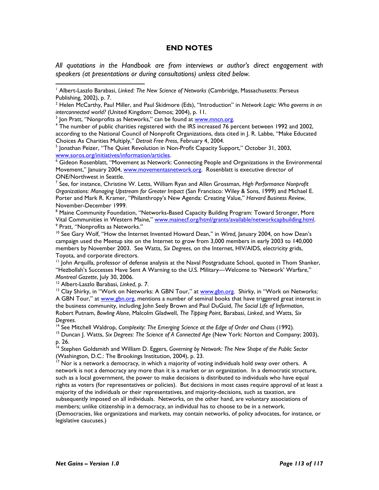## END NOTES

All quotations in the Handbook are from interviews or author's direct engagement with speakers (at presentations or during consultations) unless cited below.

<sup>5</sup> Jonathan Peizer, "The Quiet Revolution in Non-Profit Capacity Support," October 31, 2003, www.soros.org/initiatives/information/articles.

<sup>6</sup> Gideon Rosenblatt, "Movement as Network: Connecting People and Organizations in the Environmental Movement," January 2004, www.movementasnetwork.org. Rosenblatt is executive director of ONE/Northwest in Seattle.

 $^7$  See, for instance, Christine W. Letts, William Ryan and Allen Grossman, High Performance Nonprofit Organizations: Managing Upstream for Greater Impact (San Francisco: Wiley & Sons, 1999) and Michael E. Porter and Mark R. Kramer, "Philanthropy's New Agenda: Creating Value," Harvard Business Review, November-December 1999.

<sup>8</sup> Maine Community Foundation, "Networks-Based Capacity Building Program: Toward Stronger, More Vital Communities in Western Maine," www.mainecf.org/html/grants/available/networkcapbuilding.html. <sup>9</sup> Pratt, "Nonprofits as Networks."

 $10$  See Gary Wolf, "How the Internet Invented Howard Dean," in Wired, January 2004, on how Dean's campaign used the Meetup site on the Internet to grow from 3,000 members in early 2003 to 140,000 members by November 2003. See Watts, Six Degrees, on the Internet, HIV/AIDS, electricity grids, Toyota, and corporate directors.

<sup>11</sup> John Arquilla, professor of defense analysis at the Naval Postgraduate School, quoted in Thom Shanker, "Hezbollah's Successes Have Sent A Warning to the U.S. Military—Welcome to 'Network' Warfare," Montreal Gazette, July 30, 2006.

<sup>12</sup> Albert-Laszlo Barabasi, Linked, p. 7.

 $\overline{a}$ 

<sup>13</sup> Clay Shirky, in "Work on Networks: A GBN Tour," at **www.gbn.org**. Shirky, in "Work on Networks: A GBN Tour," at www.gbn.org, mentions a number of seminal books that have triggered great interest in the business community, including John Seely Brown and Paul DuGuid, The Social Life of Information, Robert Putnam, Bowling Alone, Malcolm Gladwell, The Tipping Point, Barabasi, Linked, and Watts, Six Degrees.

<sup>14</sup> See Mitchell Waldrop, Complexity: The Emerging Science at the Edge of Order and Chaos (1992).

<sup>15</sup> Duncan J. Watts, Six Degrees: The Science of A Connected Age (New York: Norton and Company; 2003), p. 26.

<sup>16</sup> Stephen Goldsmith and William D. Eggers, Governing by Network: The New Shape of the Public Sector (Washington, D.C.: The Brookings Institution, 2004), p. 23.

 $17$  Nor is a network a democracy, in which a majority of voting individuals hold sway over others. A network is not a democracy any more than it is a market or an organization. In a democratic structure, such as a local government, the power to make decisions is distributed to individuals who have equal rights as voters (for representatives or policies). But decisions in most cases require approval of at least a majority of the individuals or their representatives, and majority-decisions, such as taxation, are subsequently imposed on all individuals. Networks, on the other hand, are voluntary associations of members; unlike citizenship in a democracy, an individual has to choose to be in a network. (Democracies, like organizations and markets, may contain networks, of policy advocates, for instance, or legislative caucuses.)

<sup>&</sup>lt;sup>1</sup> Albert-Laszlo Barabasi, Linked: The New Science of Networks (Cambridge, Massachusetts: Perseus Publishing, 2002), p. 7.

 $2$  Helen McCarthy, Paul Miller, and Paul Skidmore (Eds), "Introduction" in Network Logic: Who governs in an interconnected world? (United Kingdom: Demos; 2004), p. 11.

<sup>&</sup>lt;sup>3</sup> Jon Pratt, "Nonprofits as Networks," can be found at <u>www.mncn.org</u>.

<sup>4</sup> The number of public charities registered with the IRS increased 76 percent between 1992 and 2002, according to the National Council of Nonprofit Organizations, data cited in J. R. Labbe, "Make Educated Choices As Charities Multiply," Detroit Free Press, February 4, 2004.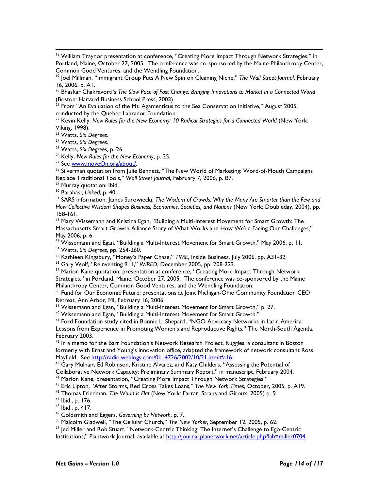<sup>18</sup> William Traynor presentation at conference, "Creating More Impact Through Network Strategies," in Portland, Maine, October 27, 2005. The conference was co-sponsored by the Maine Philanthropy Center, Common Good Ventures, and the Wendling Foundation.

<sup>20</sup> Bhaskar Chakravorti's The Slow Pace of Fast Change: Bringing Innovations to Market in a Connected World (Boston: Harvard Business School Press, 2003).

 $21$  From "An Evaluation of the Mt. Agamenticus to the Sea Conservation Initiative," August 2005, conducted by the Quebec Labrador Foundation.

 $^{22}$  Kevin Kelly, New Rules for the New Economy: 10 Radical Strategies for a Connected World (New York: Viking, 1998).

<sup>23</sup> Watts, Six Degrees.

 $\overline{a}$ 

<sup>24</sup> Watts, Six Degrees.

<sup>25</sup> Watts, Six Degrees, p. 26.

<sup>26</sup> Kelly, New Rules for the New Economy, p. 25.

<sup>27</sup> See www.moveOn.org/about/.

<sup>28</sup> Silverman quotation from Julie Bennett, "The New World of Marketing: Word-of-Mouth Campaigns Replace Traditional Tools," Wall Street Journal, February 7, 2006, p. B7.

<sup>29</sup> Murray quotation: Ibid.

<sup>30</sup> Barabasi, Linked, p. 40.

<sup>31</sup> SARS information: James Surowiecki, The Wisdom of Crowds: Why the Many Are Smarter than the Few and How Collective Wisdom Shapes Business, Economies, Societies, and Nations (New York: Doubleday, 2004), pp. 158-161.

<sup>32</sup> Mary Wissemann and Kristina Egan, "Building a Multi-Interest Movement for Smart Growth: The Massachusetts Smart Growth Alliance Story of What Works and How We're Facing Our Challenges," May 2006, p. 6.

 $33$  Wissemann and Egan, "Building a Multi-Interest Movement for Smart Growth," May 2006, p. 11.

<sup>34</sup> Watts, Six Degrees, pp. 254-260.

<sup>35</sup> Kathleen Kingsbury, "Money's Paper Chase," TIME, Inside Business, July 2006, pp. A31-32.

<sup>36</sup> Gary Wolf, "Reinventing 911," WIRED, December 2005, pp. 208-223.

<sup>37</sup> Marion Kane quotation: presentation at conference, "Creating More Impact Through Network Strategies," in Portland, Maine, October 27, 2005. The conference was co-sponsored by the Maine Philanthropy Center, Common Good Ventures, and the Wendling Foundation.

<sup>38</sup> Fund for Our Economic Future: presentations at Joint Michigan-Ohio Community Foundation CEO Retreat, Ann Arbor, MI, February 16, 2006.

<sup>39</sup> Wissemann and Egan, "Building a Multi-Interest Movement for Smart Growth," p. 27.

<sup>40</sup> Wissemann and Egan, "Building a Multi-Interest Movement for Smart Growth."

<sup>41</sup> Ford Foundation study cited in Bonnie L. Shepard, "NGO Advocacy Networks in Latin America: Lessons from Experience in Promoting Women's and Reproductive Rights," The North-South Agenda, February 2003.

 $42$  In a memo for the Barr Foundation's Network Research Project, Ruggles, a consultant in Boston formerly with Ernst and Young's innovation office, adapted the framework of network consultant Ross Mayfield. See http://radio.weblogs.com/0114726/2002/10/21.html#a16.

 $43$  Gary Mulhair, Ed Robinson, Kristine Alvarez, and Katy Childers, "Assessing the Potential of Collaborative Network Capacity: Preliminary Summary Report," in manuscript, February 2004.

<sup>44</sup> Marion Kane, presentation, "Creating More Impact Through Network Strategies."

<sup>45</sup> Eric Lipton, "After Storms, Red Cross Takes Loans," The New York Times, October, 2005, p. A19.

<sup>46</sup> Thomas Friedman, The World is Flat (New York: Farrar, Straus and Giroux; 2005) p. 9.

<sup>47</sup> Ibid., p. 176.

<sup>48</sup> Ibid., p. 417.

<sup>49</sup> Goldsmith and Eggers, Governing by Network, p. 7.

<sup>50</sup> Malcolm Gladwell, "The Cellular Church," The New Yorker, September 12, 2005, p. 62.

<sup>51</sup> Jed Miller and Rob Stuart, "Network-Centric Thinking: The Internet's Challenge to Ego-Centric

Institutions," Plantwork Journal, available at http://journal.planetwork.net/article.php?lab=miller0704.

<sup>&</sup>lt;sup>19</sup> Joel Millman, "Immigrant Group Puts A New Spin on Cleaning Niche," The Wall Street Journal, February 16, 2006, p. A1.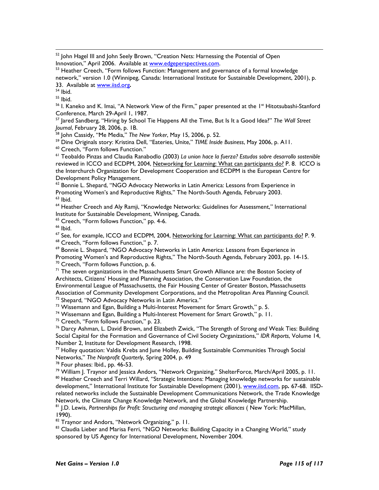$52$  John Hagel III and John Seely Brown, "Creation Nets: Harnessing the Potential of Open Innovation," April 2006. Available at **www.edgeperspectives.com.** 

<sup>53</sup> Heather Creech, "Form follows Function: Management and governance of a formal knowledge network," version 1.0 (Winnipeg, Canada: International Institute for Sustainable Development, 2001), p. 33. Available at www.iisd.org.

<sup>54</sup> Ibid.

 $55$  Ibid.

 $\overline{a}$ 

<sup>56</sup> I. Kaneko and K. Imai, "A Network View of the Firm," paper presented at the 1<sup>st</sup> Hitotsubashi-Stanford Conference, March 29-April 1, 1987.

<sup>57</sup> Jared Sandberg, "Hiring by School Tie Happens All the Time, But Is It a Good Idea?" The Wall Street Journal, February 28, 2006, p. 1B.

<sup>58</sup> John Cassidy, "Me Media," The New Yorker, May 15, 2006, p. 52.

<sup>59</sup> Dine Originals story: Kristina Dell, "Eateries, Unite," TIME Inside Business, May 2006, p. A11.

<sup>60</sup> Creech, "Form follows Function."

<sup>61</sup> Teobaldo Pinzas and Claudia Ranabodlo (2003) La union hace la fuerza? Estudos sobre desarrollo sostenible reviewed in ICCO and ECDPM, 2004, Networking for Learning: What can participants do? P. 8. ICCO is the Interchurch Organization for Development Cooperation and ECDPM is the European Centre for Development Policy Management.

 $62$  Bonnie L. Shepard, "NGO Advocacy Networks in Latin America: Lessons from Experience in Promoting Women's and Reproductive Rights," The North-South Agenda, February 2003.  $63$  Ibid.

<sup>64</sup> Heather Creech and Aly Ramji, "Knowledge Networks: Guidelines for Assessment," International Institute for Sustainable Development, Winnipeg, Canada.

<sup>65</sup> Creech, "Form follows Function," pp. 4-6.

 $66$  Ibid.

<sup>67</sup> See, for example, ICCO and ECDPM, 2004, Networking for Learning: What can participants do? P. 9.

<sup>68</sup> Creech, "Form follows Function," p. 7.

<sup>69</sup> Bonnie L. Shepard, "NGO Advocacy Networks in Latin America: Lessons from Experience in

Promoting Women's and Reproductive Rights," The North-South Agenda, February 2003, pp. 14-15. <sup>70</sup> Creech, "Form follows Function, p. 6.

 $71$  The seven organizations in the Massachusetts Smart Growth Alliance are: the Boston Society of Architects, Citizens' Housing and Planning Association, the Conservation Law Foundation, the Environmental League of Massachusetts, the Fair Housing Center of Greater Boston, Massachusetts Association of Community Development Corporations, and the Metropolitan Area Planning Council. <sup>72</sup> Shepard, "NGO Advocacy Networks in Latin America."

<sup>73</sup> Wissemann and Egan, Building a Multi-Interest Movement for Smart Growth," p. 5.

<sup>74</sup> Wissemann and Egan, Building a Multi-Interest Movement for Smart Growth," p. 11.

<sup>75</sup> Creech, "Form follows Function," p. 23.

 $^{76}$  Darcy Ashman, L. David Brown, and Elizabeth Zwick, "The Strength of Strong and Weak Ties: Building Social Capital for the Formation and Governance of Civil Society Organizations," IDR Reports, Volume 14, Number 2, Institute for Development Research, 1998.

 $77$  Holley quotation: Valdis Krebs and June Holley, Building Sustainable Communities Through Social Networks," The Nonprofit Quarterly, Spring 2004, p. 49

<sup>78</sup> Four phases: Ibid., pp. 46-53.

<sup>79</sup> William J. Traynor and Jessica Andors, "Network Organizing," ShelterForce, March/April 2005, p. 11.

<sup>80</sup> Heather Creech and Terri Willard, "Strategic Intentions: Managing knowledge networks for sustainable development," International Institute for Sustainable Development (2001), www.iisd.com, pp. 67-68. IISDrelated networks include the Sustainable Development Communications Network, the Trade Knowledge Network, the Climate Change Knowledge Network, and the Global Knowledge Partnership.

<sup>81</sup> J.D. Lewis, Partnerships for Profit: Structuring and managing strategic alliances (New York: MacMillan, 1990).

82 Traynor and Andors, "Network Organizing," p. 11.

83 Claudia Lieber and Marisa Ferri, "NGO Networks: Building Capacity in a Changing World," study sponsored by US Agency for International Development, November 2004.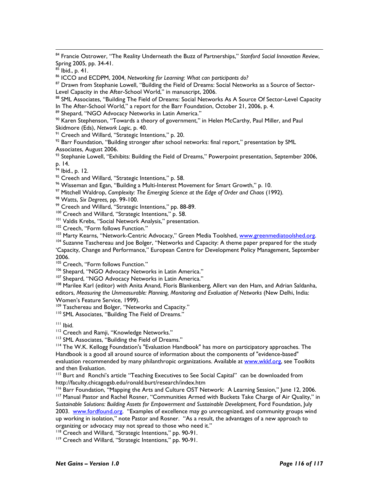84 Francie Ostrower, "The Reality Underneath the Buzz of Partnerships," Stanford Social Innovation Review, Spring 2005, pp. 34-41.

 $85$  Ibid., p. 41.

 $\overline{a}$ 

<sup>86</sup> ICCO and ECDPM, 2004, Networking for Learning: What can participants do?

87 Drawn from Stephanie Lowell, "Building the Field of Dreams: Social Networks as a Source of Sector-Level Capacity in the After-School World," in manuscript, 2006.

88 SML Associates, "Building The Field of Dreams: Social Networks As A Source Of Sector-Level Capacity In The After-School World," a report for the Barr Foundation, October 21, 2006, p. 4.

89 Shepard, "NGO Advocacy Networks in Latin America."

90 Karen Stephenson, "Towards a theory of government," in Helen McCarthy, Paul Miller, and Paul Skidmore (Eds), Network Logic, p. 40.

<sup>91</sup> Creech and Willard, "Strategic Intentions," p. 20.

 $92$  Barr Foundation, "Building stronger after school networks: final report," presentation by SML Associates, August 2006.

<sup>93</sup> Stephanie Lowell, "Exhibits: Building the Field of Dreams," Powerpoint presentation, September 2006, p. 14.

<sup>94</sup> Ibid., p. 12.

<sup>95</sup> Creech and Willard, "Strategic Intentions," p. 58.

<sup>96</sup> Wisseman and Egan, "Building a Multi-Interest Movement for Smart Growth," p. 10.

<sup>97</sup> Mitchell Waldrop, Complexity: The Emerging Science at the Edge of Order and Chaos (1992).

98 Watts, Six Degrees, pp. 99-100.

<sup>99</sup> Creech and Willard, "Strategic Intentions," pp. 88-89.

<sup>100</sup> Creech and Willard, "Strategic Intentions," p. 58.

<sup>101</sup> Valdis Krebs, "Social Network Analysis," presentation.

<sup>102</sup> Creech, "Form follows Function."

103 Marty Kearns, "Network-Centric Advocacy," Green Media Toolshed, www.greenmediatoolshed.org.

<sup>104</sup> Suzanne Taschereau and Joe Bolger, "Networks and Capacity: A theme paper prepared for the study 'Capacity, Change and Performance," European Centre for Development Policy Management, September 2006.

<sup>105</sup> Creech, "Form follows Function."

<sup>106</sup> Shepard, "NGO Advocacy Networks in Latin America."

<sup>107</sup> Shepard, "NGO Advocacy Networks in Latin America."

<sup>108</sup> Marilee Karl (editor) with Anita Anand, Floris Blankenberg, Allert van den Ham, and Adrian Saldanha, editors, Measuring the Unmeasurable: Planning, Monitoring and Evaluation of Networks (New Delhi, India: Women's Feature Service, 1999).

<sup>109</sup> Taschereau and Bolger, "Networks and Capacity."

110 SML Associates, "Building The Field of Dreams."

<sup>111</sup> Ibid.

<sup>112</sup> Creech and Ramji, "Knowledge Networks."

<sup>113</sup> SML Associates, "Building the Field of Dreams."

<sup>114</sup> The W.K. Kellogg Foundation's "Evaluation Handbook" has more on participatory approaches. The Handbook is a good all around source of information about the components of "evidence-based" evaluation recommended by many philanthropic organizations. Available at www.wkkf.org, see Toolkits and then Evaluation.

<sup>115</sup> Burt and Ronchi's article "Teaching Executives to See Social Capital" can be downloaded from http://faculty.chicagogsb.edu/ronald.burt/research/index.htm

<sup>116</sup> Barr Foundation, "Mapping the Arts and Culture OST Network: A Learning Session," June 12, 2006. <sup>117</sup> Manual Pastor and Rachel Rosner, "Communities Armed with Buckets Take Charge of Air Quality," in Sustainable Solutions: Building Assets for Empowerment and Sustainable Development, Ford Foundation, July

2003. www.fordfound.org. "Examples of excellence may go unrecognized, and community groups wind up working in isolation," note Pastor and Rosner. "As a result, the advantages of a new approach to organizing or advocacy may not spread to those who need it."

<sup>118</sup> Creech and Willard, "Strategic Intentions," pp. 90-91.

119 Creech and Willard, "Strategic Intentions," pp. 90-91.